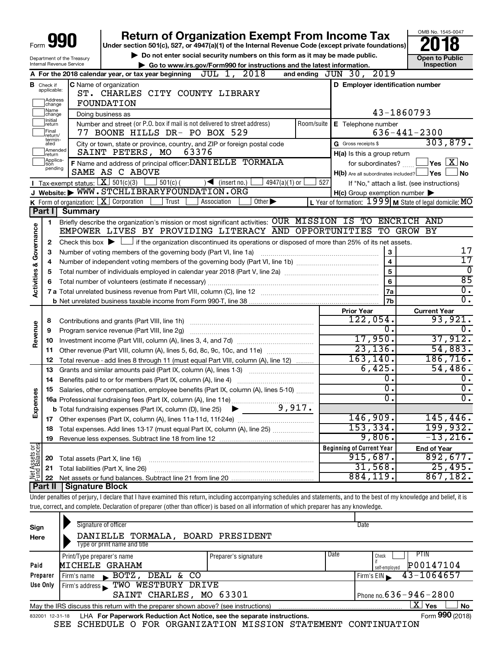|                                    |                                                                                                           |                                                               | <b>Return of Organization Exempt From Income Tax</b><br>Under section 501(c), 527, or 4947(a)(1) of the Internal Revenue Code (except private foundations)                                                       |                  |                                                     | OMB No. 1545-0047                                       |  |  |  |  |
|------------------------------------|-----------------------------------------------------------------------------------------------------------|---------------------------------------------------------------|------------------------------------------------------------------------------------------------------------------------------------------------------------------------------------------------------------------|------------------|-----------------------------------------------------|---------------------------------------------------------|--|--|--|--|
|                                    | Do not enter social security numbers on this form as it may be made public.<br>Department of the Treasury |                                                               |                                                                                                                                                                                                                  |                  |                                                     |                                                         |  |  |  |  |
|                                    |                                                                                                           | Internal Revenue Service                                      | Go to www.irs.gov/Form990 for instructions and the latest information.                                                                                                                                           |                  |                                                     | <b>Open to Public</b><br>Inspection                     |  |  |  |  |
|                                    |                                                                                                           |                                                               | A For the 2018 calendar year, or tax year beginning $JUL$ 1, $2018$                                                                                                                                              |                  | and ending $JUN$ 30, $2019$                         |                                                         |  |  |  |  |
|                                    | <b>B</b> Check if                                                                                         |                                                               | C Name of organization                                                                                                                                                                                           |                  | D Employer identification number                    |                                                         |  |  |  |  |
|                                    | applicable:                                                                                               |                                                               | ST. CHARLES CITY COUNTY LIBRARY                                                                                                                                                                                  |                  |                                                     |                                                         |  |  |  |  |
|                                    | Address<br> change                                                                                        |                                                               | FOUNDATION                                                                                                                                                                                                       |                  |                                                     |                                                         |  |  |  |  |
|                                    | Name<br>change                                                                                            |                                                               | Doing business as                                                                                                                                                                                                |                  |                                                     | 43-1860793                                              |  |  |  |  |
|                                    | Initial<br>∣return                                                                                        |                                                               | Number and street (or P.O. box if mail is not delivered to street address)                                                                                                                                       |                  | Room/suite   E Telephone number                     |                                                         |  |  |  |  |
|                                    | Final<br> return/                                                                                         |                                                               | 77 BOONE HILLS DR- PO BOX 529                                                                                                                                                                                    |                  |                                                     | $636 - 441 - 2300$                                      |  |  |  |  |
|                                    | termin-<br>ated                                                                                           |                                                               | City or town, state or province, country, and ZIP or foreign postal code                                                                                                                                         |                  | G Gross receipts \$                                 | 303,879.                                                |  |  |  |  |
|                                    | Amended<br>Ireturn                                                                                        |                                                               | SAINT PETERS, MO<br>63376                                                                                                                                                                                        |                  | H(a) Is this a group return                         |                                                         |  |  |  |  |
|                                    | Applica-<br>tion<br>pending                                                                               |                                                               | F Name and address of principal officer: DANIELLE TORMALA                                                                                                                                                        |                  | for subordinates?                                   | $\Box$ Yes $[X]$ No                                     |  |  |  |  |
|                                    |                                                                                                           |                                                               | SAME AS C ABOVE                                                                                                                                                                                                  |                  | H(b) Are all subordinates included? Ves             | ∫No                                                     |  |  |  |  |
|                                    |                                                                                                           | Tax-exempt status: $X \over 301(c)(3)$                        | $501(c)$ (<br>$\sqrt{\frac{1}{1}}$ (insert no.)<br>$4947(a)(1)$ or                                                                                                                                               | 527              |                                                     | If "No," attach a list. (see instructions)              |  |  |  |  |
|                                    |                                                                                                           |                                                               | J Website: WWW.STCHLIBRARYFOUNDATION.ORG                                                                                                                                                                         |                  | $H(c)$ Group exemption number $\blacktriangleright$ |                                                         |  |  |  |  |
|                                    |                                                                                                           |                                                               | K Form of organization: $X$ Corporation<br>Other $\blacktriangleright$<br>Trust<br>Association                                                                                                                   |                  |                                                     | L Year of formation: 1999 M State of legal domicile: MO |  |  |  |  |
|                                    | Part I                                                                                                    | <b>Summary</b>                                                |                                                                                                                                                                                                                  |                  |                                                     |                                                         |  |  |  |  |
|                                    | $\mathbf{1}$                                                                                              |                                                               | Briefly describe the organization's mission or most significant activities: OUR MISSION IS TO<br>EMPOWER LIVES BY PROVIDING LITERACY AND OPPORTUNITIES                                                           |                  |                                                     | <b>ENCRICH AND</b><br>TO GROW BY                        |  |  |  |  |
|                                    |                                                                                                           |                                                               |                                                                                                                                                                                                                  |                  |                                                     |                                                         |  |  |  |  |
|                                    | 2                                                                                                         |                                                               | Check this box $\blacktriangleright$ $\Box$ if the organization discontinued its operations or disposed of more than 25% of its net assets.<br>Number of voting members of the governing body (Part VI, line 1a) |                  |                                                     | 17                                                      |  |  |  |  |
|                                    | з<br>4                                                                                                    |                                                               | 3<br>$\overline{4}$                                                                                                                                                                                              | $\overline{17}$  |                                                     |                                                         |  |  |  |  |
|                                    | 5                                                                                                         |                                                               | $\overline{5}$                                                                                                                                                                                                   | 0                |                                                     |                                                         |  |  |  |  |
|                                    | 6                                                                                                         |                                                               |                                                                                                                                                                                                                  |                  | 6                                                   | 85                                                      |  |  |  |  |
| <b>Activities &amp; Governance</b> |                                                                                                           |                                                               |                                                                                                                                                                                                                  |                  | 7a                                                  | $\overline{0}$ .                                        |  |  |  |  |
|                                    |                                                                                                           |                                                               |                                                                                                                                                                                                                  |                  | 7 <sub>b</sub>                                      | $\overline{0}$ .                                        |  |  |  |  |
|                                    |                                                                                                           |                                                               |                                                                                                                                                                                                                  |                  | <b>Prior Year</b>                                   | <b>Current Year</b>                                     |  |  |  |  |
|                                    | 8                                                                                                         |                                                               |                                                                                                                                                                                                                  |                  | 122,054.                                            | 93,921.                                                 |  |  |  |  |
| Revenue                            | 9                                                                                                         |                                                               | Program service revenue (Part VIII, line 2g)                                                                                                                                                                     |                  | О.                                                  | $0$ .                                                   |  |  |  |  |
|                                    | 10                                                                                                        |                                                               |                                                                                                                                                                                                                  |                  | 17,950.                                             | 37,912.                                                 |  |  |  |  |
|                                    | 11                                                                                                        |                                                               | Other revenue (Part VIII, column (A), lines 5, 6d, 8c, 9c, 10c, and 11e)                                                                                                                                         |                  | 23, 136.                                            | 54,883.                                                 |  |  |  |  |
|                                    | 12                                                                                                        |                                                               | Total revenue - add lines 8 through 11 (must equal Part VIII, column (A), line 12)                                                                                                                               |                  | 163, 140.                                           | 186, 716.                                               |  |  |  |  |
|                                    | 13                                                                                                        |                                                               | Grants and similar amounts paid (Part IX, column (A), lines 1-3)                                                                                                                                                 |                  | 6,425.                                              | 54,486.                                                 |  |  |  |  |
|                                    | 14                                                                                                        | Benefits paid to or for members (Part IX, column (A), line 4) | σ.                                                                                                                                                                                                               | $\overline{0}$ . |                                                     |                                                         |  |  |  |  |
|                                    | 15                                                                                                        |                                                               | Salaries, other compensation, employee benefits (Part IX, column (A), lines 5-10)                                                                                                                                | $\overline{0}$ . | $\overline{0}$ .                                    |                                                         |  |  |  |  |
| Expense                            |                                                                                                           |                                                               |                                                                                                                                                                                                                  | 0.               | $\overline{0}$ .                                    |                                                         |  |  |  |  |
|                                    |                                                                                                           |                                                               |                                                                                                                                                                                                                  | 146,909.         |                                                     |                                                         |  |  |  |  |
|                                    | 17                                                                                                        |                                                               |                                                                                                                                                                                                                  |                  |                                                     | 145, 446.                                               |  |  |  |  |
|                                    | 18                                                                                                        |                                                               | Total expenses. Add lines 13-17 (must equal Part IX, column (A), line 25)                                                                                                                                        | 153, 334.        | 199,932.                                            |                                                         |  |  |  |  |
|                                    | 19                                                                                                        |                                                               |                                                                                                                                                                                                                  |                  | 9,806.                                              | $-13, 216.$                                             |  |  |  |  |
| Net Assets or                      |                                                                                                           |                                                               |                                                                                                                                                                                                                  |                  | <b>Beginning of Current Year</b><br>915,687.        | <b>End of Year</b><br>892,677.                          |  |  |  |  |
|                                    | 20                                                                                                        | Total assets (Part X, line 16)                                |                                                                                                                                                                                                                  |                  | 31,568.                                             | 25,495.                                                 |  |  |  |  |
|                                    | 21                                                                                                        |                                                               | Total liabilities (Part X, line 26)                                                                                                                                                                              | 884,119.         | 867,182.                                            |                                                         |  |  |  |  |
|                                    | 22<br>Part II                                                                                             | <b>Signature Block</b>                                        |                                                                                                                                                                                                                  |                  |                                                     |                                                         |  |  |  |  |
|                                    |                                                                                                           |                                                               | Under penalties of perjury, I declare that I have examined this return, including accompanying schedules and statements, and to the best of my knowledge and belief, it is                                       |                  |                                                     |                                                         |  |  |  |  |
|                                    |                                                                                                           |                                                               | true, correct, and complete. Declaration of preparer (other than officer) is based on all information of which preparer has any knowledge.                                                                       |                  |                                                     |                                                         |  |  |  |  |
|                                    |                                                                                                           |                                                               |                                                                                                                                                                                                                  |                  |                                                     |                                                         |  |  |  |  |

| Sign<br>Here                                         | Signature of officer<br>DANIELLE TORMALA,<br>Type or print name and title                                    | BOARD PRESIDENT              |      | Date                           |  |  |  |  |  |
|------------------------------------------------------|--------------------------------------------------------------------------------------------------------------|------------------------------|------|--------------------------------|--|--|--|--|--|
|                                                      | Print/Type preparer's name                                                                                   | Preparer's signature         | Date | <b>PTIN</b><br>Check           |  |  |  |  |  |
| P00147104<br>MICHELE GRAHAM<br>Paid<br>self-employed |                                                                                                              |                              |      |                                |  |  |  |  |  |
| Preparer                                             | DEAL & CO<br>BOTZ<br>Firm's name<br>$\mathbf{r}$                                                             |                              |      | $43 - 1064657$<br>Firm's EIN   |  |  |  |  |  |
| Use Only                                             | TWO WESTBURY DRIVE<br>Firm's address                                                                         |                              |      |                                |  |  |  |  |  |
|                                                      | SAINT CHARLES, MO 63301                                                                                      | Phone no. $636 - 946 - 2800$ |      |                                |  |  |  |  |  |
|                                                      | May the IRS discuss this return with the preparer shown above? (see instructions)                            |                              |      | $X \mid$<br><b>No</b><br>∣ Yes |  |  |  |  |  |
|                                                      | Form 990 (2018)<br>LHA For Paperwork Reduction Act Notice, see the separate instructions.<br>832001 12-31-18 |                              |      |                                |  |  |  |  |  |

SEE SCHEDULE O FOR ORGANIZATION MISSION STATEMENT CONTINUATION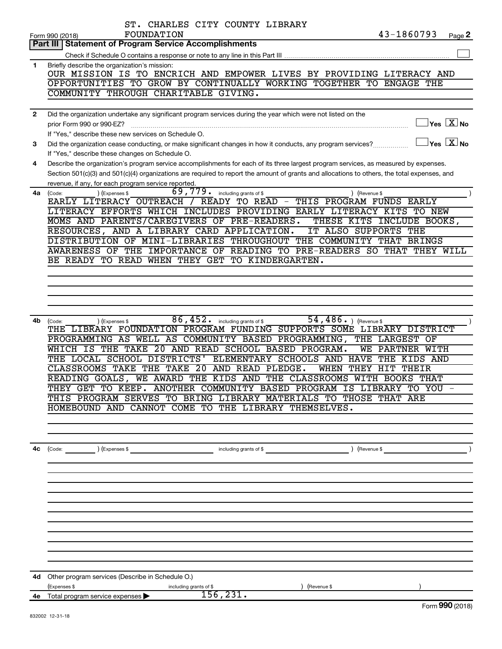|              | ST. CHARLES CITY COUNTY LIBRARY                                                                                                                        |
|--------------|--------------------------------------------------------------------------------------------------------------------------------------------------------|
|              | 43-1860793<br>FOUNDATION<br>Page 2<br>Form 990 (2018)                                                                                                  |
|              | <b>Part III Statement of Program Service Accomplishments</b>                                                                                           |
|              |                                                                                                                                                        |
| 1            | Briefly describe the organization's mission:                                                                                                           |
|              | OUR MISSION IS TO ENCRICH AND EMPOWER LIVES BY PROVIDING LITERACY AND<br>OPPORTUNITIES TO GROW BY CONTINUALLY WORKING TOGETHER TO<br><b>ENGAGE THE</b> |
|              | COMMUNITY THROUGH CHARITABLE GIVING.                                                                                                                   |
|              |                                                                                                                                                        |
| $\mathbf{2}$ | Did the organization undertake any significant program services during the year which were not listed on the                                           |
|              | $Yes \  \  \boxed{X} No$<br>prior Form 990 or 990-EZ?                                                                                                  |
|              | If "Yes," describe these new services on Schedule O.                                                                                                   |
| 3            | $Yes \quad \boxed{X}$ No<br>Did the organization cease conducting, or make significant changes in how it conducts, any program services?               |
|              | If "Yes," describe these changes on Schedule O.                                                                                                        |
| 4            | Describe the organization's program service accomplishments for each of its three largest program services, as measured by expenses.                   |
|              | Section 501(c)(3) and 501(c)(4) organizations are required to report the amount of grants and allocations to others, the total expenses, and           |
|              | revenue, if any, for each program service reported.                                                                                                    |
| 4a           | 69,779.<br>(Expenses \$<br>including grants of \$<br>) (Revenue \$<br>(Code:                                                                           |
|              | EARLY LITERACY OUTREACH /<br>READY TO READ -<br>THIS PROGRAM FUNDS<br><b>EARLY</b>                                                                     |
|              | LITERACY EFFORTS WHICH INCLUDES PROVIDING EARLY LITERACY KITS TO NEW                                                                                   |
|              | MOMS AND PARENTS/CAREGIVERS OF PRE-READERS.<br>THESE KITS INCLUDE BOOKS,                                                                               |
|              | RESOURCES, AND A LIBRARY CARD APPLICATION.<br>IT ALSO SUPPORTS<br>THE                                                                                  |
|              | DISTRIBUTION OF MINI-LIBRARIES THROUGHOUT THE COMMUNITY THAT BRINGS                                                                                    |
|              | AWARENESS OF THE IMPORTANCE OF READING TO PRE-READERS SO THAT THEY WILL                                                                                |
|              | BE READY TO READ WHEN THEY GET TO KINDERGARTEN.                                                                                                        |
|              |                                                                                                                                                        |
|              |                                                                                                                                                        |
|              |                                                                                                                                                        |
|              |                                                                                                                                                        |
|              |                                                                                                                                                        |
| 4b           | 86,452.<br>54, 486. ) (Revenue \$<br>including grants of \$<br>(Code:<br>(Expenses \$                                                                  |
|              | THE LIBRARY FOUNDATION PROGRAM FUNDING SUPPORTS SOME LIBRARY DISTRICT                                                                                  |
|              | PROGRAMMING AS WELL AS COMMUNITY BASED<br>PROGRAMMING,<br>THE LARGEST OF                                                                               |
|              | THE TAKE<br>20 AND READ SCHOOL BASED PROGRAM.<br>WЕ<br>WHICH IS<br>PARTNER WITH                                                                        |
|              | THE LOCAL SCHOOL DISTRICTS'<br>ELEMENTARY SCHOOLS AND HAVE<br>THE<br>KIDS AND                                                                          |
|              | CLASSROOMS TAKE THE TAKE<br>20<br>AND READ PLEDGE.<br>WHEN<br>THEY HIT<br>THEIR                                                                        |
|              | WE AWARD THE KIDS AND THE CLASSROOMS WITH BOOKS THAT<br>READING GOALS,                                                                                 |
|              | THEY GET TO KEEP. ANOTHER COMMUNITY BASED PROGRAM IS LIBRARY TO YOU -                                                                                  |
|              | THIS PROGRAM SERVES TO BRING LIBRARY MATERIALS TO THOSE THAT ARE                                                                                       |
|              | HOMEBOUND AND CANNOT COME TO THE LIBRARY THEMSELVES.                                                                                                   |
|              |                                                                                                                                                        |
|              |                                                                                                                                                        |
|              |                                                                                                                                                        |
| 4с           | $\left(\text{Code:}\right)$ $\left(\text{Expenses $}\right)$<br>including grants of \$<br>) (Revenue \$                                                |
|              |                                                                                                                                                        |
|              |                                                                                                                                                        |
|              |                                                                                                                                                        |
|              |                                                                                                                                                        |
|              |                                                                                                                                                        |
|              |                                                                                                                                                        |
|              |                                                                                                                                                        |
|              |                                                                                                                                                        |
|              |                                                                                                                                                        |
|              |                                                                                                                                                        |
|              |                                                                                                                                                        |
|              |                                                                                                                                                        |
| 4d -         | Other program services (Describe in Schedule O.)                                                                                                       |
|              | (Expenses \$<br>including grants of \$<br>) (Revenue \$<br>156, 231.                                                                                   |
|              | 4e Total program service expenses ><br>$F_{\alpha r}$ QQ $\Omega$ (2018)                                                                               |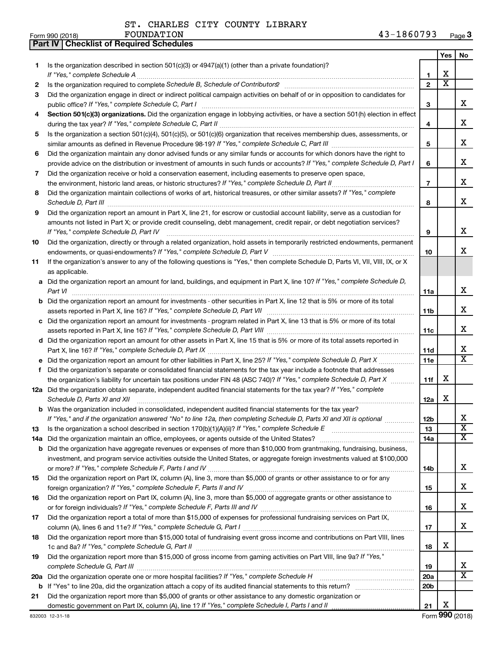**Part IV Checklist of Required Schedules**

|     |                                                                                                                                                                                                                                     |                 | Yes                     | No                           |
|-----|-------------------------------------------------------------------------------------------------------------------------------------------------------------------------------------------------------------------------------------|-----------------|-------------------------|------------------------------|
| 1.  | Is the organization described in section $501(c)(3)$ or $4947(a)(1)$ (other than a private foundation)?                                                                                                                             |                 |                         |                              |
|     |                                                                                                                                                                                                                                     | 1               | х                       |                              |
| 2   | Is the organization required to complete Schedule B, Schedule of Contributors? [11] the organization required to complete Schedule B, Schedule of Contributors?                                                                     | $\mathbf{2}$    | $\overline{\textbf{x}}$ |                              |
| 3   | Did the organization engage in direct or indirect political campaign activities on behalf of or in opposition to candidates for                                                                                                     |                 |                         |                              |
|     |                                                                                                                                                                                                                                     | 3               |                         | х                            |
| 4   | Section 501(c)(3) organizations. Did the organization engage in lobbying activities, or have a section 501(h) election in effect                                                                                                    |                 |                         |                              |
|     |                                                                                                                                                                                                                                     | 4               |                         | х                            |
| 5   | Is the organization a section 501(c)(4), 501(c)(5), or 501(c)(6) organization that receives membership dues, assessments, or                                                                                                        |                 |                         |                              |
|     |                                                                                                                                                                                                                                     | 5               |                         | х                            |
| 6   | Did the organization maintain any donor advised funds or any similar funds or accounts for which donors have the right to                                                                                                           |                 |                         |                              |
|     | provide advice on the distribution or investment of amounts in such funds or accounts? If "Yes," complete Schedule D, Part I                                                                                                        | 6               |                         | х                            |
| 7   | Did the organization receive or hold a conservation easement, including easements to preserve open space,                                                                                                                           |                 |                         |                              |
|     |                                                                                                                                                                                                                                     | $\overline{7}$  |                         | х                            |
| 8   | Did the organization maintain collections of works of art, historical treasures, or other similar assets? If "Yes," complete                                                                                                        |                 |                         |                              |
|     | Schedule D, Part III <b>Marting Communities</b> and the contract of the contract of the contract of the contract of the contract of the contract of the contract of the contract of the contract of the contract of the contract of | 8               |                         | х                            |
| 9   | Did the organization report an amount in Part X, line 21, for escrow or custodial account liability, serve as a custodian for                                                                                                       |                 |                         |                              |
|     | amounts not listed in Part X; or provide credit counseling, debt management, credit repair, or debt negotiation services?                                                                                                           |                 |                         |                              |
|     | If "Yes," complete Schedule D, Part IV                                                                                                                                                                                              | 9               |                         | х                            |
| 10  | Did the organization, directly or through a related organization, hold assets in temporarily restricted endowments, permanent                                                                                                       |                 |                         |                              |
|     |                                                                                                                                                                                                                                     | 10              |                         | x                            |
| 11  | If the organization's answer to any of the following questions is "Yes," then complete Schedule D, Parts VI, VIII, VIII, IX, or X                                                                                                   |                 |                         |                              |
|     | as applicable.                                                                                                                                                                                                                      |                 |                         |                              |
|     | a Did the organization report an amount for land, buildings, and equipment in Part X, line 10? If "Yes," complete Schedule D,                                                                                                       |                 |                         |                              |
|     | Part VI                                                                                                                                                                                                                             | 11a             |                         | х                            |
|     | <b>b</b> Did the organization report an amount for investments - other securities in Part X, line 12 that is 5% or more of its total                                                                                                |                 |                         |                              |
|     |                                                                                                                                                                                                                                     | 11b             |                         | х                            |
|     | c Did the organization report an amount for investments - program related in Part X, line 13 that is 5% or more of its total                                                                                                        |                 |                         | х                            |
|     |                                                                                                                                                                                                                                     | 11c             |                         |                              |
|     | d Did the organization report an amount for other assets in Part X, line 15 that is 5% or more of its total assets reported in                                                                                                      |                 |                         | x                            |
|     |                                                                                                                                                                                                                                     | 11d<br>11e      |                         | $\overline{\mathtt{x}}$      |
| f   | Did the organization's separate or consolidated financial statements for the tax year include a footnote that addresses                                                                                                             |                 |                         |                              |
|     | the organization's liability for uncertain tax positions under FIN 48 (ASC 740)? If "Yes," complete Schedule D, Part X                                                                                                              | 11f             | х                       |                              |
|     | 12a Did the organization obtain separate, independent audited financial statements for the tax year? If "Yes," complete                                                                                                             |                 |                         |                              |
|     | Schedule D, Parts XI and XII                                                                                                                                                                                                        | 12a             | х                       |                              |
|     | <b>b</b> Was the organization included in consolidated, independent audited financial statements for the tax year?                                                                                                                  |                 |                         |                              |
|     | If "Yes," and if the organization answered "No" to line 12a, then completing Schedule D, Parts XI and XII is optional <i>manum</i>                                                                                                  | 12b             |                         | х                            |
| 13  |                                                                                                                                                                                                                                     | 13              |                         | $\overline{\textbf{x}}$      |
| 14a |                                                                                                                                                                                                                                     | 14a             |                         | $\overline{\textbf{X}}$      |
| b   | Did the organization have aggregate revenues or expenses of more than \$10,000 from grantmaking, fundraising, business,                                                                                                             |                 |                         |                              |
|     | investment, and program service activities outside the United States, or aggregate foreign investments valued at \$100,000                                                                                                          |                 |                         |                              |
|     |                                                                                                                                                                                                                                     | 14b             |                         | х                            |
| 15  | Did the organization report on Part IX, column (A), line 3, more than \$5,000 of grants or other assistance to or for any                                                                                                           |                 |                         |                              |
|     |                                                                                                                                                                                                                                     | 15              |                         | х                            |
| 16  | Did the organization report on Part IX, column (A), line 3, more than \$5,000 of aggregate grants or other assistance to                                                                                                            |                 |                         |                              |
|     |                                                                                                                                                                                                                                     | 16              |                         | x                            |
| 17  | Did the organization report a total of more than \$15,000 of expenses for professional fundraising services on Part IX,                                                                                                             |                 |                         |                              |
|     |                                                                                                                                                                                                                                     | 17              |                         | x                            |
| 18  | Did the organization report more than \$15,000 total of fundraising event gross income and contributions on Part VIII, lines                                                                                                        |                 |                         |                              |
|     |                                                                                                                                                                                                                                     | 18              | x                       |                              |
| 19  | Did the organization report more than \$15,000 of gross income from gaming activities on Part VIII, line 9a? If "Yes,"                                                                                                              |                 |                         |                              |
|     |                                                                                                                                                                                                                                     | 19              |                         | x<br>$\overline{\texttt{x}}$ |
| 20a |                                                                                                                                                                                                                                     | 20a             |                         |                              |
| b   |                                                                                                                                                                                                                                     | 20 <sub>b</sub> |                         |                              |
| 21  | Did the organization report more than \$5,000 of grants or other assistance to any domestic organization or                                                                                                                         | 21              | х                       |                              |
|     |                                                                                                                                                                                                                                     |                 |                         |                              |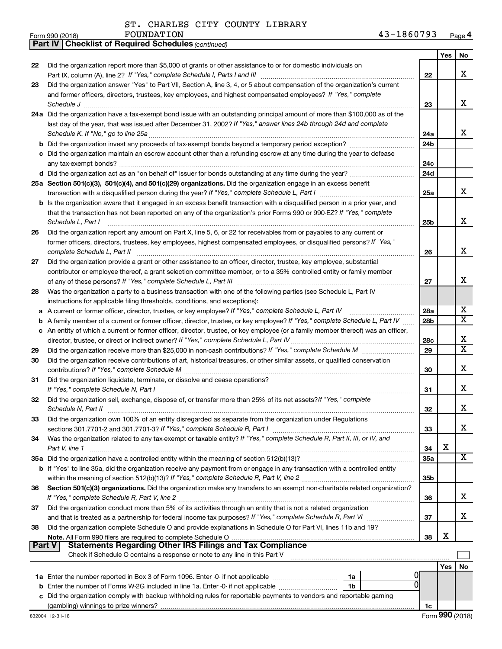*(continued)* **Part IV Checklist of Required Schedules**

|        |                                                                                                                                                                                                                                                                                                                                                                                                                                                           |                 | Yes | No |
|--------|-----------------------------------------------------------------------------------------------------------------------------------------------------------------------------------------------------------------------------------------------------------------------------------------------------------------------------------------------------------------------------------------------------------------------------------------------------------|-----------------|-----|----|
| 22     | Did the organization report more than \$5,000 of grants or other assistance to or for domestic individuals on                                                                                                                                                                                                                                                                                                                                             |                 |     |    |
|        |                                                                                                                                                                                                                                                                                                                                                                                                                                                           | 22              |     | x  |
| 23     | Did the organization answer "Yes" to Part VII, Section A, line 3, 4, or 5 about compensation of the organization's current                                                                                                                                                                                                                                                                                                                                |                 |     |    |
|        | and former officers, directors, trustees, key employees, and highest compensated employees? If "Yes," complete                                                                                                                                                                                                                                                                                                                                            |                 |     |    |
|        | $\textit{Schedule J} \textit{ \textbf{}} \textit{ \textbf{}} \textit{ \textbf{}} \textit{ \textbf{}} \textit{ \textbf{}} \textit{ \textbf{}} \textit{ \textbf{}} \textit{ \textbf{}} \textit{ \textbf{}} \textit{ \textbf{}} \textit{ \textbf{}} \textit{ \textbf{}} \textit{ \textbf{}} \textit{ \textbf{}} \textit{ \textbf{}} \textit{ \textbf{}} \textit{ \textbf{}} \textit{ \textbf{}} \textit{ \textbf{}} \textit{ \textbf{}} \textit{ \textbf{}}$ | 23              |     | x  |
|        | 24a Did the organization have a tax-exempt bond issue with an outstanding principal amount of more than \$100,000 as of the                                                                                                                                                                                                                                                                                                                               |                 |     |    |
|        | last day of the year, that was issued after December 31, 2002? If "Yes," answer lines 24b through 24d and complete                                                                                                                                                                                                                                                                                                                                        |                 |     |    |
|        | Schedule K. If "No," go to line 25a                                                                                                                                                                                                                                                                                                                                                                                                                       | 24a             |     | x  |
|        | b Did the organization invest any proceeds of tax-exempt bonds beyond a temporary period exception?                                                                                                                                                                                                                                                                                                                                                       | 24 <sub>b</sub> |     |    |
|        | c Did the organization maintain an escrow account other than a refunding escrow at any time during the year to defease                                                                                                                                                                                                                                                                                                                                    |                 |     |    |
|        |                                                                                                                                                                                                                                                                                                                                                                                                                                                           | 24c             |     |    |
|        |                                                                                                                                                                                                                                                                                                                                                                                                                                                           | 24d             |     |    |
|        | 25a Section 501(c)(3), 501(c)(4), and 501(c)(29) organizations. Did the organization engage in an excess benefit                                                                                                                                                                                                                                                                                                                                          |                 |     |    |
|        |                                                                                                                                                                                                                                                                                                                                                                                                                                                           | 25a             |     | x  |
|        | <b>b</b> Is the organization aware that it engaged in an excess benefit transaction with a disqualified person in a prior year, and                                                                                                                                                                                                                                                                                                                       |                 |     |    |
|        | that the transaction has not been reported on any of the organization's prior Forms 990 or 990-EZ? If "Yes," complete                                                                                                                                                                                                                                                                                                                                     |                 |     |    |
|        | Schedule L, Part I                                                                                                                                                                                                                                                                                                                                                                                                                                        | 25 <sub>b</sub> |     | x  |
| 26     | Did the organization report any amount on Part X, line 5, 6, or 22 for receivables from or payables to any current or                                                                                                                                                                                                                                                                                                                                     |                 |     |    |
|        | former officers, directors, trustees, key employees, highest compensated employees, or disqualified persons? If "Yes,"                                                                                                                                                                                                                                                                                                                                    |                 |     |    |
|        | complete Schedule L, Part II                                                                                                                                                                                                                                                                                                                                                                                                                              | 26              |     | x  |
| 27     | Did the organization provide a grant or other assistance to an officer, director, trustee, key employee, substantial                                                                                                                                                                                                                                                                                                                                      |                 |     |    |
|        | contributor or employee thereof, a grant selection committee member, or to a 35% controlled entity or family member                                                                                                                                                                                                                                                                                                                                       |                 |     | x  |
|        |                                                                                                                                                                                                                                                                                                                                                                                                                                                           | 27              |     |    |
| 28     | Was the organization a party to a business transaction with one of the following parties (see Schedule L, Part IV                                                                                                                                                                                                                                                                                                                                         |                 |     |    |
|        | instructions for applicable filing thresholds, conditions, and exceptions):                                                                                                                                                                                                                                                                                                                                                                               |                 |     | х  |
| а      | A current or former officer, director, trustee, or key employee? If "Yes," complete Schedule L, Part IV                                                                                                                                                                                                                                                                                                                                                   | 28a             |     | X  |
| b      | A family member of a current or former officer, director, trustee, or key employee? If "Yes," complete Schedule L, Part IV                                                                                                                                                                                                                                                                                                                                | 28 <sub>b</sub> |     |    |
|        | c An entity of which a current or former officer, director, trustee, or key employee (or a family member thereof) was an officer,                                                                                                                                                                                                                                                                                                                         | 28c             |     | х  |
| 29     | director, trustee, or direct or indirect owner? If "Yes," complete Schedule L, Part IV.                                                                                                                                                                                                                                                                                                                                                                   | 29              |     | X  |
| 30     | Did the organization receive contributions of art, historical treasures, or other similar assets, or qualified conservation                                                                                                                                                                                                                                                                                                                               |                 |     |    |
|        |                                                                                                                                                                                                                                                                                                                                                                                                                                                           | 30              |     | х  |
| 31     | Did the organization liquidate, terminate, or dissolve and cease operations?                                                                                                                                                                                                                                                                                                                                                                              |                 |     |    |
|        | If "Yes," complete Schedule N, Part I                                                                                                                                                                                                                                                                                                                                                                                                                     | 31              |     | х  |
| 32     | Did the organization sell, exchange, dispose of, or transfer more than 25% of its net assets? If "Yes," complete                                                                                                                                                                                                                                                                                                                                          |                 |     |    |
|        |                                                                                                                                                                                                                                                                                                                                                                                                                                                           | 32              |     | х  |
| 33     | Did the organization own 100% of an entity disregarded as separate from the organization under Regulations                                                                                                                                                                                                                                                                                                                                                |                 |     |    |
|        | sections 301.7701-2 and 301.7701-3? If "Yes," complete Schedule R, Part I                                                                                                                                                                                                                                                                                                                                                                                 | 33              |     | х  |
| 34     | Was the organization related to any tax-exempt or taxable entity? If "Yes," complete Schedule R, Part II, III, or IV, and                                                                                                                                                                                                                                                                                                                                 |                 |     |    |
|        | Part V, line 1                                                                                                                                                                                                                                                                                                                                                                                                                                            | 34              | х   |    |
|        | 35a Did the organization have a controlled entity within the meaning of section 512(b)(13)?                                                                                                                                                                                                                                                                                                                                                               | 35a             |     | х  |
|        | b If "Yes" to line 35a, did the organization receive any payment from or engage in any transaction with a controlled entity                                                                                                                                                                                                                                                                                                                               |                 |     |    |
|        |                                                                                                                                                                                                                                                                                                                                                                                                                                                           | 35 <sub>b</sub> |     |    |
| 36     | Section 501(c)(3) organizations. Did the organization make any transfers to an exempt non-charitable related organization?                                                                                                                                                                                                                                                                                                                                |                 |     |    |
|        |                                                                                                                                                                                                                                                                                                                                                                                                                                                           | 36              |     | х  |
| 37     | Did the organization conduct more than 5% of its activities through an entity that is not a related organization                                                                                                                                                                                                                                                                                                                                          |                 |     |    |
|        | and that is treated as a partnership for federal income tax purposes? If "Yes," complete Schedule R, Part VI                                                                                                                                                                                                                                                                                                                                              | 37              |     | х  |
| 38     | Did the organization complete Schedule O and provide explanations in Schedule O for Part VI, lines 11b and 19?                                                                                                                                                                                                                                                                                                                                            |                 |     |    |
|        |                                                                                                                                                                                                                                                                                                                                                                                                                                                           | 38              | х   |    |
| Part V | <b>Statements Regarding Other IRS Filings and Tax Compliance</b>                                                                                                                                                                                                                                                                                                                                                                                          |                 |     |    |
|        | Check if Schedule O contains a response or note to any line in this Part V                                                                                                                                                                                                                                                                                                                                                                                |                 |     |    |
|        |                                                                                                                                                                                                                                                                                                                                                                                                                                                           |                 | Yes | No |
|        | 1a                                                                                                                                                                                                                                                                                                                                                                                                                                                        |                 |     |    |
|        | <b>b</b> Enter the number of Forms W-2G included in line 1a. Enter -0- if not applicable<br>1b                                                                                                                                                                                                                                                                                                                                                            |                 |     |    |
|        | c Did the organization comply with backup withholding rules for reportable payments to vendors and reportable gaming                                                                                                                                                                                                                                                                                                                                      |                 |     |    |
|        |                                                                                                                                                                                                                                                                                                                                                                                                                                                           | 1c              |     |    |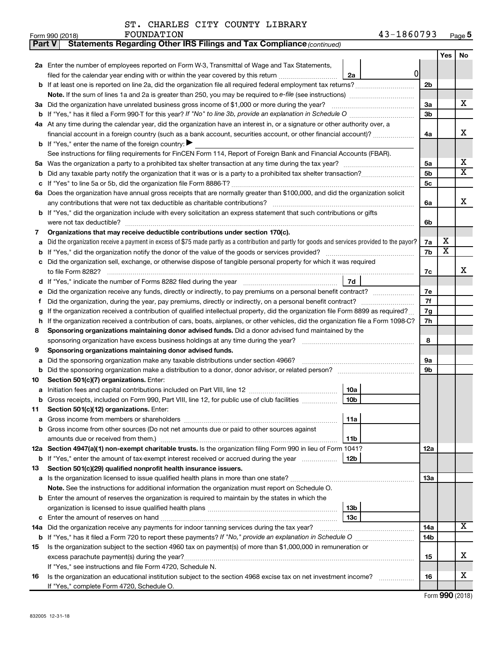| <b>Part V</b> | Statements Regarding Other IRS Filings and Tax Compliance (continued)                                                                           |                |                         |     |  |  |  |  |
|---------------|-------------------------------------------------------------------------------------------------------------------------------------------------|----------------|-------------------------|-----|--|--|--|--|
|               |                                                                                                                                                 |                | Yes                     | No. |  |  |  |  |
|               | 2a Enter the number of employees reported on Form W-3, Transmittal of Wage and Tax Statements,                                                  |                |                         |     |  |  |  |  |
|               | 0<br>filed for the calendar year ending with or within the year covered by this return<br>2a                                                    |                |                         |     |  |  |  |  |
|               | b If at least one is reported on line 2a, did the organization file all required federal employment tax returns?                                | 2 <sub>b</sub> |                         |     |  |  |  |  |
|               |                                                                                                                                                 |                |                         |     |  |  |  |  |
|               | 3a Did the organization have unrelated business gross income of \$1,000 or more during the year?                                                | За             |                         | x   |  |  |  |  |
|               | <b>b</b> If "Yes," has it filed a Form 990-T for this year? If "No" to line 3b, provide an explanation in Schedule O manumerroom                | 3b             |                         |     |  |  |  |  |
|               | 4a At any time during the calendar year, did the organization have an interest in, or a signature or other authority over, a                    |                |                         |     |  |  |  |  |
|               | financial account in a foreign country (such as a bank account, securities account, or other financial account)?                                | 4a             |                         | x   |  |  |  |  |
|               | <b>b</b> If "Yes," enter the name of the foreign country: $\blacktriangleright$                                                                 |                |                         |     |  |  |  |  |
|               | See instructions for filing requirements for FinCEN Form 114, Report of Foreign Bank and Financial Accounts (FBAR).                             |                |                         |     |  |  |  |  |
| 5a            |                                                                                                                                                 | 5a             |                         | х   |  |  |  |  |
| b             |                                                                                                                                                 | 5b             |                         | X   |  |  |  |  |
|               |                                                                                                                                                 | 5с             |                         |     |  |  |  |  |
|               | 6a Does the organization have annual gross receipts that are normally greater than \$100,000, and did the organization solicit                  |                |                         |     |  |  |  |  |
|               | any contributions that were not tax deductible as charitable contributions?                                                                     | 6a             |                         | х   |  |  |  |  |
|               | b If "Yes," did the organization include with every solicitation an express statement that such contributions or gifts                          |                |                         |     |  |  |  |  |
|               | were not tax deductible?                                                                                                                        | 6b             |                         |     |  |  |  |  |
| 7             | Organizations that may receive deductible contributions under section 170(c).                                                                   |                |                         |     |  |  |  |  |
| a             | Did the organization receive a payment in excess of \$75 made partly as a contribution and partly for goods and services provided to the payor? | 7a             | х                       |     |  |  |  |  |
| b             |                                                                                                                                                 | 7b             | $\overline{\textbf{x}}$ |     |  |  |  |  |
|               | Did the organization sell, exchange, or otherwise dispose of tangible personal property for which it was required                               |                |                         |     |  |  |  |  |
|               |                                                                                                                                                 | 7c             |                         | x   |  |  |  |  |
|               | 7d                                                                                                                                              |                |                         |     |  |  |  |  |
|               | Did the organization receive any funds, directly or indirectly, to pay premiums on a personal benefit contract?                                 | 7е             |                         |     |  |  |  |  |
| f             |                                                                                                                                                 | 7f<br>7g       |                         |     |  |  |  |  |
| g             | If the organization received a contribution of qualified intellectual property, did the organization file Form 8899 as required?                |                |                         |     |  |  |  |  |
| h             | If the organization received a contribution of cars, boats, airplanes, or other vehicles, did the organization file a Form 1098-C?              |                |                         |     |  |  |  |  |
| 8             | Sponsoring organizations maintaining donor advised funds. Did a donor advised fund maintained by the                                            | 8              |                         |     |  |  |  |  |
| 9             |                                                                                                                                                 |                |                         |     |  |  |  |  |
| а             | Sponsoring organizations maintaining donor advised funds.<br>Did the sponsoring organization make any taxable distributions under section 4966? |                |                         |     |  |  |  |  |
| b             | Did the sponsoring organization make a distribution to a donor, donor advisor, or related person?                                               | 9а<br>9b       |                         |     |  |  |  |  |
| 10            | Section 501(c)(7) organizations. Enter:                                                                                                         |                |                         |     |  |  |  |  |
|               | 10a                                                                                                                                             |                |                         |     |  |  |  |  |
|               | 10 <sub>b</sub><br>b Gross receipts, included on Form 990, Part VIII, line 12, for public use of club facilities                                |                |                         |     |  |  |  |  |
| 11            | Section 501(c)(12) organizations. Enter:                                                                                                        |                |                         |     |  |  |  |  |
|               | 11a                                                                                                                                             |                |                         |     |  |  |  |  |
|               | b Gross income from other sources (Do not net amounts due or paid to other sources against                                                      |                |                         |     |  |  |  |  |
|               | amounts due or received from them.)<br>11 <sub>b</sub>                                                                                          |                |                         |     |  |  |  |  |
|               | 12a Section 4947(a)(1) non-exempt charitable trusts. Is the organization filing Form 990 in lieu of Form 1041?                                  | 12a            |                         |     |  |  |  |  |
|               | 12 <sub>b</sub><br>b If "Yes," enter the amount of tax-exempt interest received or accrued during the year                                      |                |                         |     |  |  |  |  |
| 13            | Section 501(c)(29) qualified nonprofit health insurance issuers.                                                                                |                |                         |     |  |  |  |  |
|               | a Is the organization licensed to issue qualified health plans in more than one state?                                                          | 13a            |                         |     |  |  |  |  |
|               | Note. See the instructions for additional information the organization must report on Schedule O.                                               |                |                         |     |  |  |  |  |
|               | <b>b</b> Enter the amount of reserves the organization is required to maintain by the states in which the                                       |                |                         |     |  |  |  |  |
|               | 13 <sub>b</sub>                                                                                                                                 |                |                         |     |  |  |  |  |
|               | 13c                                                                                                                                             |                |                         |     |  |  |  |  |
|               | 14a Did the organization receive any payments for indoor tanning services during the tax year?                                                  | 14a            |                         | x   |  |  |  |  |
|               |                                                                                                                                                 | 14b            |                         |     |  |  |  |  |
| 15            | Is the organization subject to the section 4960 tax on payment(s) of more than \$1,000,000 in remuneration or                                   |                |                         |     |  |  |  |  |
|               | excess parachute payment(s) during the year?                                                                                                    | 15             |                         | x   |  |  |  |  |
|               | If "Yes," see instructions and file Form 4720, Schedule N.                                                                                      |                |                         | x   |  |  |  |  |
| 16            | Is the organization an educational institution subject to the section 4968 excise tax on net investment income?                                 | 16             |                         |     |  |  |  |  |
|               | If "Yes," complete Form 4720, Schedule O.                                                                                                       |                |                         |     |  |  |  |  |

Form (2018) **990**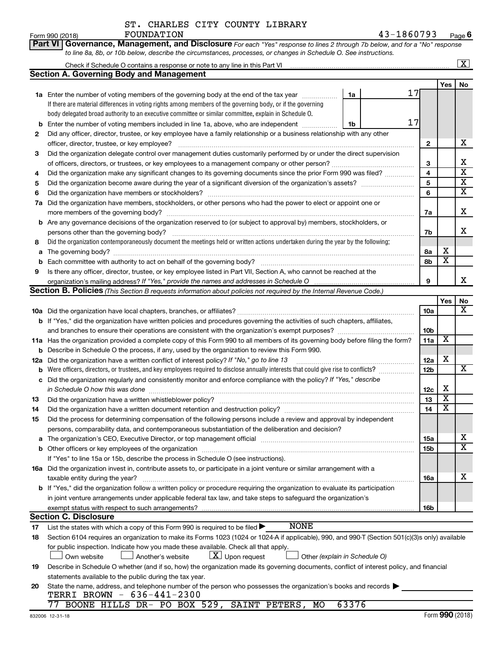|                 | ST. CHARLES CITY COUNTY LIBRARY |  |  |
|-----------------|---------------------------------|--|--|
| Form 990 (2018) | FOUNDATION                      |  |  |

|          | Part VI Governance, Management, and Disclosure For each "Yes" response to lines 2 through 7b below, and for a "No" response                                                              |              |                         |                         |  |  |  |  |  |
|----------|------------------------------------------------------------------------------------------------------------------------------------------------------------------------------------------|--------------|-------------------------|-------------------------|--|--|--|--|--|
|          | to line 8a, 8b, or 10b below, describe the circumstances, processes, or changes in Schedule O. See instructions.                                                                         |              |                         |                         |  |  |  |  |  |
|          |                                                                                                                                                                                          |              |                         | $\overline{\mathbf{X}}$ |  |  |  |  |  |
|          | <b>Section A. Governing Body and Management</b>                                                                                                                                          |              |                         |                         |  |  |  |  |  |
|          |                                                                                                                                                                                          |              | Yes                     | No                      |  |  |  |  |  |
|          | 17<br>1a Enter the number of voting members of the governing body at the end of the tax year<br>1a                                                                                       |              |                         |                         |  |  |  |  |  |
|          | If there are material differences in voting rights among members of the governing body, or if the governing                                                                              |              |                         |                         |  |  |  |  |  |
|          | body delegated broad authority to an executive committee or similar committee, explain in Schedule O.                                                                                    |              |                         |                         |  |  |  |  |  |
| b        | 17<br>Enter the number of voting members included in line 1a, above, who are independent<br>1b                                                                                           |              |                         |                         |  |  |  |  |  |
| 2        | Did any officer, director, trustee, or key employee have a family relationship or a business relationship with any other                                                                 |              |                         |                         |  |  |  |  |  |
|          | officer, director, trustee, or key employee?                                                                                                                                             | $\mathbf{2}$ |                         | х                       |  |  |  |  |  |
| 3        | Did the organization delegate control over management duties customarily performed by or under the direct supervision                                                                    |              |                         |                         |  |  |  |  |  |
|          |                                                                                                                                                                                          | 3            |                         | х                       |  |  |  |  |  |
| 4        | Did the organization make any significant changes to its governing documents since the prior Form 990 was filed?                                                                         | 4            |                         | $\overline{\textbf{x}}$ |  |  |  |  |  |
| 5        |                                                                                                                                                                                          | 5            |                         | $\overline{\textbf{X}}$ |  |  |  |  |  |
| 6        |                                                                                                                                                                                          | 6            |                         | $\overline{\mathbf{x}}$ |  |  |  |  |  |
| 7a       | Did the organization have members, stockholders, or other persons who had the power to elect or appoint one or                                                                           |              |                         |                         |  |  |  |  |  |
|          |                                                                                                                                                                                          | 7a           |                         | X                       |  |  |  |  |  |
|          | b Are any governance decisions of the organization reserved to (or subject to approval by) members, stockholders, or                                                                     |              |                         |                         |  |  |  |  |  |
|          | persons other than the governing body?                                                                                                                                                   | 7b           |                         | x                       |  |  |  |  |  |
| 8        | Did the organization contemporaneously document the meetings held or written actions undertaken during the year by the following:                                                        |              |                         |                         |  |  |  |  |  |
| a        |                                                                                                                                                                                          | 8а           | х                       |                         |  |  |  |  |  |
| b        |                                                                                                                                                                                          | 8b           | $\overline{\mathbf{x}}$ |                         |  |  |  |  |  |
| 9        | Is there any officer, director, trustee, or key employee listed in Part VII, Section A, who cannot be reached at the                                                                     |              |                         |                         |  |  |  |  |  |
|          |                                                                                                                                                                                          | 9            |                         | X                       |  |  |  |  |  |
|          | Section B. Policies (This Section B requests information about policies not required by the Internal Revenue Code.)                                                                      |              |                         |                         |  |  |  |  |  |
|          |                                                                                                                                                                                          |              | Yes                     | No<br>x                 |  |  |  |  |  |
|          |                                                                                                                                                                                          | 10a          |                         |                         |  |  |  |  |  |
|          | <b>b</b> If "Yes," did the organization have written policies and procedures governing the activities of such chapters, affiliates,                                                      |              |                         |                         |  |  |  |  |  |
|          | and branches to ensure their operations are consistent with the organization's exempt purposes? www.www.www.www.                                                                         | 10b          | X                       |                         |  |  |  |  |  |
|          | 11a Has the organization provided a complete copy of this Form 990 to all members of its governing body before filing the form?                                                          | 11a          |                         |                         |  |  |  |  |  |
| b        | Describe in Schedule O the process, if any, used by the organization to review this Form 990.<br>Did the organization have a written conflict of interest policy? If "No," go to line 13 |              | х                       |                         |  |  |  |  |  |
| 12a      | Were officers, directors, or trustees, and key employees required to disclose annually interests that could give rise to conflicts?                                                      | 12a<br>12b   |                         | х                       |  |  |  |  |  |
| b        | Did the organization regularly and consistently monitor and enforce compliance with the policy? If "Yes," describe                                                                       |              |                         |                         |  |  |  |  |  |
| с        |                                                                                                                                                                                          | 12c          | х                       |                         |  |  |  |  |  |
| 13       |                                                                                                                                                                                          | 13           | $\overline{\mathbf{X}}$ |                         |  |  |  |  |  |
|          | Did the organization have a written document retention and destruction policy? [111] [12] manument contains an                                                                           | 14           | $\overline{\text{x}}$   |                         |  |  |  |  |  |
| 14<br>15 | Did the process for determining compensation of the following persons include a review and approval by independent                                                                       |              |                         |                         |  |  |  |  |  |
|          | persons, comparability data, and contemporaneous substantiation of the deliberation and decision?                                                                                        |              |                         |                         |  |  |  |  |  |
|          |                                                                                                                                                                                          | 15a          |                         | х                       |  |  |  |  |  |
|          |                                                                                                                                                                                          | 15b          |                         | $\overline{\text{X}}$   |  |  |  |  |  |
|          | If "Yes" to line 15a or 15b, describe the process in Schedule O (see instructions).                                                                                                      |              |                         |                         |  |  |  |  |  |
|          | 16a Did the organization invest in, contribute assets to, or participate in a joint venture or similar arrangement with a                                                                |              |                         |                         |  |  |  |  |  |
|          | taxable entity during the year?                                                                                                                                                          | 16a          |                         | х                       |  |  |  |  |  |
|          | b If "Yes," did the organization follow a written policy or procedure requiring the organization to evaluate its participation                                                           |              |                         |                         |  |  |  |  |  |
|          | in joint venture arrangements under applicable federal tax law, and take steps to safeguard the organization's                                                                           |              |                         |                         |  |  |  |  |  |
|          | exempt status with respect to such arrangements?                                                                                                                                         | 16b          |                         |                         |  |  |  |  |  |
|          | <b>Section C. Disclosure</b>                                                                                                                                                             |              |                         |                         |  |  |  |  |  |
| 17       | <b>NONE</b><br>List the states with which a copy of this Form 990 is required to be filed >                                                                                              |              |                         |                         |  |  |  |  |  |
| 18       | Section 6104 requires an organization to make its Forms 1023 (1024 or 1024 A if applicable), 990, and 990 T (Section 501(c)(3)s only) available                                          |              |                         |                         |  |  |  |  |  |
|          | for public inspection. Indicate how you made these available. Check all that apply.                                                                                                      |              |                         |                         |  |  |  |  |  |
|          | $\lfloor \underline{X} \rfloor$ Upon request<br>Another's website<br>Other (explain in Schedule O)<br>Own website                                                                        |              |                         |                         |  |  |  |  |  |
| 19       | Describe in Schedule O whether (and if so, how) the organization made its governing documents, conflict of interest policy, and financial                                                |              |                         |                         |  |  |  |  |  |
|          | statements available to the public during the tax year.                                                                                                                                  |              |                         |                         |  |  |  |  |  |
| 20       | State the name, address, and telephone number of the person who possesses the organization's books and records                                                                           |              |                         |                         |  |  |  |  |  |
|          | TERRI BROWN - 636-441-2300                                                                                                                                                               |              |                         |                         |  |  |  |  |  |
|          | BOONE HILLS DR- PO BOX 529, SAINT PETERS, MO<br>63376<br>77                                                                                                                              |              |                         |                         |  |  |  |  |  |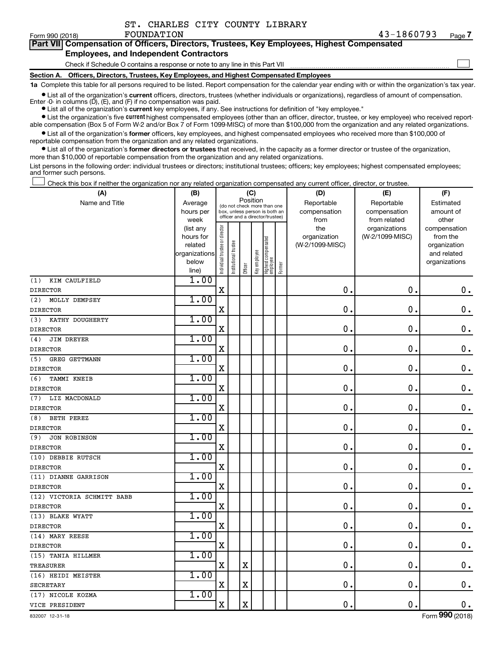|  |  | ST. CHARLES CITY COUNTY LIBRARY |  |  |  |
|--|--|---------------------------------|--|--|--|
|--|--|---------------------------------|--|--|--|

 $\Box$ 

| Part VII Compensation of Officers, Directors, Trustees, Key Employees, Highest Compensated |  |
|--------------------------------------------------------------------------------------------|--|
| <b>Employees, and Independent Contractors</b>                                              |  |

Check if Schedule O contains a response or note to any line in this Part VII

**Section A. Officers, Directors, Trustees, Key Employees, and Highest Compensated Employees**

**1a**  Complete this table for all persons required to be listed. Report compensation for the calendar year ending with or within the organization's tax year.

**•** List all of the organization's current officers, directors, trustees (whether individuals or organizations), regardless of amount of compensation. Enter -0- in columns  $(D)$ ,  $(E)$ , and  $(F)$  if no compensation was paid.

**•** List all of the organization's **current** key employees, if any. See instructions for definition of "key employee."

**•** List the organization's five current highest compensated employees (other than an officer, director, trustee, or key employee) who received reportable compensation (Box 5 of Form W-2 and/or Box 7 of Form 1099-MISC) of more than \$100,000 from the organization and any related organizations.

**•** List all of the organization's former officers, key employees, and highest compensated employees who received more than \$100,000 of reportable compensation from the organization and any related organizations.

**•** List all of the organization's former directors or trustees that received, in the capacity as a former director or trustee of the organization, more than \$10,000 of reportable compensation from the organization and any related organizations.

List persons in the following order: individual trustees or directors; institutional trustees; officers; key employees; highest compensated employees; and former such persons.

Check this box if neither the organization nor any related organization compensated any current officer, director, or trustee.  $\Box$ 

| (A)                         | (B)                    |                                |                                                                  | (C)         |              |                                   |        | (D)             | (E)                              | (F)                      |
|-----------------------------|------------------------|--------------------------------|------------------------------------------------------------------|-------------|--------------|-----------------------------------|--------|-----------------|----------------------------------|--------------------------|
| Name and Title              | Average                |                                | (do not check more than one                                      | Position    |              |                                   |        | Reportable      | Reportable                       | Estimated                |
|                             | hours per              |                                | box, unless person is both an<br>officer and a director/trustee) |             |              |                                   |        | compensation    | compensation                     | amount of                |
|                             | week                   |                                |                                                                  |             |              |                                   |        | from<br>the     | from related                     | other                    |
|                             | (list any<br>hours for |                                |                                                                  |             |              |                                   |        | organization    | organizations<br>(W-2/1099-MISC) | compensation<br>from the |
|                             | related                |                                |                                                                  |             |              |                                   |        | (W-2/1099-MISC) |                                  | organization             |
|                             | organizations          |                                |                                                                  |             |              |                                   |        |                 |                                  | and related              |
|                             | below                  | Individual trustee or director | Institutional trustee                                            |             | Key employee |                                   |        |                 |                                  | organizations            |
|                             | line)                  |                                |                                                                  | Officer     |              | Highest compensated<br>  employee | Former |                 |                                  |                          |
| (1)<br>KIM CAULFIELD        | 1.00                   |                                |                                                                  |             |              |                                   |        |                 |                                  |                          |
| <b>DIRECTOR</b>             |                        | $\mathbf X$                    |                                                                  |             |              |                                   |        | $\mathbf 0$     | 0.                               | $\mathbf 0$ .            |
| (2)<br>MOLLY DEMPSEY        | 1.00                   |                                |                                                                  |             |              |                                   |        |                 |                                  |                          |
| <b>DIRECTOR</b>             |                        | X                              |                                                                  |             |              |                                   |        | 0               | $\mathbf 0$                      | $\mathbf 0$ .            |
| KATHY DOUGHERTY<br>(3)      | 1.00                   |                                |                                                                  |             |              |                                   |        |                 |                                  |                          |
| <b>DIRECTOR</b>             |                        | $\mathbf X$                    |                                                                  |             |              |                                   |        | $\mathbf 0$     | $\mathbf 0$                      | $\mathbf 0$ .            |
| <b>JIM DREYER</b><br>(4)    | 1.00                   |                                |                                                                  |             |              |                                   |        |                 |                                  |                          |
| <b>DIRECTOR</b>             |                        | X                              |                                                                  |             |              |                                   |        | $\mathbf 0$     | $\mathbf 0$ .                    | $\mathbf 0$ .            |
| <b>GREG GETTMANN</b><br>(5) | 1.00                   |                                |                                                                  |             |              |                                   |        |                 |                                  |                          |
| <b>DIRECTOR</b>             |                        | X                              |                                                                  |             |              |                                   |        | $\mathbf 0$     | $\mathbf 0$ .                    | $\mathbf 0$ .            |
| (6)<br>TAMMI KNEIB          | 1.00                   |                                |                                                                  |             |              |                                   |        |                 |                                  |                          |
| <b>DIRECTOR</b>             |                        | $\mathbf X$                    |                                                                  |             |              |                                   |        | 0               | $\mathbf 0$ .                    | $\mathbf 0$ .            |
| LIZ MACDONALD<br>(7)        | 1.00                   |                                |                                                                  |             |              |                                   |        |                 |                                  |                          |
| <b>DIRECTOR</b>             |                        | X                              |                                                                  |             |              |                                   |        | $\mathbf 0$     | $\mathbf 0$ .                    | $\mathbf 0$ .            |
| (8)<br>BETH PEREZ           | 1.00                   |                                |                                                                  |             |              |                                   |        |                 |                                  |                          |
| <b>DIRECTOR</b>             |                        | $\mathbf X$                    |                                                                  |             |              |                                   |        | $\mathbf 0$ .   | $\mathbf 0$ .                    | $\mathbf 0$ .            |
| <b>JON ROBINSON</b><br>(9)  | 1.00                   |                                |                                                                  |             |              |                                   |        |                 |                                  |                          |
| <b>DIRECTOR</b>             |                        | $\mathbf X$                    |                                                                  |             |              |                                   |        | $\mathbf 0$ .   | $\mathbf 0$ .                    | $\mathbf 0$ .            |
| (10) DEBBIE RUTSCH          | 1.00                   |                                |                                                                  |             |              |                                   |        |                 |                                  |                          |
| <b>DIRECTOR</b>             |                        | $\mathbf X$                    |                                                                  |             |              |                                   |        | $\mathbf 0$     | $\mathbf 0$ .                    | $\mathbf 0$ .            |
| (11) DIANNE GARRISON        | 1.00                   |                                |                                                                  |             |              |                                   |        |                 |                                  |                          |
| <b>DIRECTOR</b>             |                        | $\mathbf X$                    |                                                                  |             |              |                                   |        | $\mathbf 0$ .   | $\mathbf 0$ .                    | $\mathbf 0$ .            |
| (12) VICTORIA SCHMITT BABB  | 1.00                   |                                |                                                                  |             |              |                                   |        |                 |                                  |                          |
| <b>DIRECTOR</b>             |                        | $\rm X$                        |                                                                  |             |              |                                   |        | $\mathbf 0$ .   | $\mathbf 0$ .                    | $\mathbf 0$ .            |
| (13) BLAKE WYATT            | 1.00                   |                                |                                                                  |             |              |                                   |        |                 |                                  |                          |
| <b>DIRECTOR</b>             |                        | X                              |                                                                  |             |              |                                   |        | $\mathbf 0$ .   | $\mathbf 0$ .                    | $\boldsymbol{0}$ .       |
| (14) MARY REESE             | 1.00                   |                                |                                                                  |             |              |                                   |        |                 |                                  |                          |
| <b>DIRECTOR</b>             |                        | $\mathbf X$                    |                                                                  |             |              |                                   |        | 0               | $\mathbf 0$ .                    | $\mathbf 0$ .            |
| (15) TANIA HILLMER          | 1.00                   |                                |                                                                  |             |              |                                   |        |                 |                                  |                          |
| <b>TREASURER</b>            |                        | X                              |                                                                  | $\mathbf X$ |              |                                   |        | $\mathbf 0$     | $\mathbf 0$ .                    | $\boldsymbol{0}$ .       |
| (16) HEIDI MEISTER          | 1.00                   |                                |                                                                  |             |              |                                   |        |                 |                                  |                          |
| <b>SECRETARY</b>            |                        | $\mathbf X$                    |                                                                  | X           |              |                                   |        | $\mathbf 0$     | $\mathbf 0$ .                    | $\mathbf 0$ .            |
| (17) NICOLE KOZMA           | 1.00                   |                                |                                                                  |             |              |                                   |        |                 |                                  |                          |
| VICE PRESIDENT              |                        | $\mathbf X$                    |                                                                  | $\rm X$     |              |                                   |        | $\mathbf 0$ .   | $\mathbf 0$ .                    | $\mathbf 0$ .            |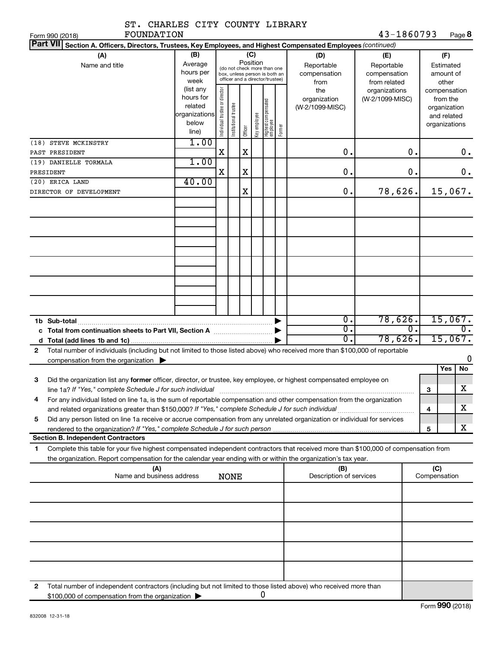| ST. CHARLES CITY COUNTY LIBRARY                                                                                                                                                                                                                             |                                                         |                                |                       |                 |              |                                                                                                 |        |                                           |                                                   |    |                                                                          |                          |
|-------------------------------------------------------------------------------------------------------------------------------------------------------------------------------------------------------------------------------------------------------------|---------------------------------------------------------|--------------------------------|-----------------------|-----------------|--------------|-------------------------------------------------------------------------------------------------|--------|-------------------------------------------|---------------------------------------------------|----|--------------------------------------------------------------------------|--------------------------|
| FOUNDATION<br>Form 990 (2018)                                                                                                                                                                                                                               |                                                         |                                |                       |                 |              |                                                                                                 |        |                                           | 43-1860793                                        |    |                                                                          | Page 8                   |
| Part VII Section A. Officers, Directors, Trustees, Key Employees, and Highest Compensated Employees (continued)                                                                                                                                             |                                                         |                                |                       |                 |              |                                                                                                 |        |                                           |                                                   |    |                                                                          |                          |
| (A)<br>Name and title                                                                                                                                                                                                                                       | (B)<br>Average<br>hours per<br>week<br>(list any        |                                |                       | (C)<br>Position |              | (do not check more than one<br>box, unless person is both an<br>officer and a director/trustee) |        | (D)<br>Reportable<br>compensation<br>from | (E)<br>Reportable<br>compensation<br>from related |    | (F)<br>Estimated<br>other                                                | amount of                |
|                                                                                                                                                                                                                                                             | hours for<br>related<br>organizations<br>below<br>line) | Individual trustee or director | Institutional trustee | Officer         | Key employee | Highest compensated<br>employee                                                                 | Former | the<br>organization<br>(W-2/1099-MISC)    | organizations<br>(W-2/1099-MISC)                  |    | compensation<br>from the<br>organization<br>and related<br>organizations |                          |
| (18) STEVE MCKINSTRY                                                                                                                                                                                                                                        | 1.00                                                    | X                              |                       |                 |              |                                                                                                 |        | 0.                                        |                                                   | 0. |                                                                          |                          |
| PAST PRESIDENT<br>(19) DANIELLE TORMALA                                                                                                                                                                                                                     | 1.00                                                    |                                |                       | X               |              |                                                                                                 |        |                                           |                                                   |    |                                                                          | 0.                       |
| PRESIDENT                                                                                                                                                                                                                                                   |                                                         | X                              |                       | X               |              |                                                                                                 |        | 0.                                        |                                                   | 0. |                                                                          | 0.                       |
| (20) ERICA LAND                                                                                                                                                                                                                                             | 40.00                                                   |                                |                       |                 |              |                                                                                                 |        |                                           |                                                   |    |                                                                          |                          |
| DIRECTOR OF DEVELOPMENT                                                                                                                                                                                                                                     |                                                         |                                |                       | X               |              |                                                                                                 |        | 0.                                        | 78,626.                                           |    |                                                                          | 15,067.                  |
|                                                                                                                                                                                                                                                             |                                                         |                                |                       |                 |              |                                                                                                 |        |                                           |                                                   |    |                                                                          |                          |
|                                                                                                                                                                                                                                                             |                                                         |                                |                       |                 |              |                                                                                                 |        |                                           |                                                   |    |                                                                          |                          |
|                                                                                                                                                                                                                                                             |                                                         |                                |                       |                 |              |                                                                                                 |        |                                           |                                                   |    |                                                                          |                          |
|                                                                                                                                                                                                                                                             |                                                         |                                |                       |                 |              |                                                                                                 |        |                                           |                                                   |    |                                                                          |                          |
| 1b Sub-total                                                                                                                                                                                                                                                |                                                         |                                |                       |                 |              |                                                                                                 |        | $\overline{0}$ .<br>σ.                    | 78,626.                                           | 0. |                                                                          | 15,067.<br>$\mathbf 0$ . |
|                                                                                                                                                                                                                                                             |                                                         |                                |                       |                 |              |                                                                                                 |        | σ.                                        | 78,626.                                           |    |                                                                          | 15,067.                  |
| Total number of individuals (including but not limited to those listed above) who received more than \$100,000 of reportable<br>$\mathbf{2}$<br>compensation from the organization $\blacktriangleright$                                                    |                                                         |                                |                       |                 |              |                                                                                                 |        |                                           |                                                   |    |                                                                          | 0                        |
|                                                                                                                                                                                                                                                             |                                                         |                                |                       |                 |              |                                                                                                 |        |                                           |                                                   |    | Yes                                                                      | No                       |
| З<br>Did the organization list any <b>former</b> officer, director, or trustee, key employee, or highest compensated employee on                                                                                                                            |                                                         |                                |                       |                 |              |                                                                                                 |        |                                           |                                                   |    |                                                                          | $\mathbf X$              |
| line 1a? If "Yes," complete Schedule J for such individual<br>For any individual listed on line 1a, is the sum of reportable compensation and other compensation from the organization                                                                      |                                                         |                                |                       |                 |              |                                                                                                 |        |                                           |                                                   |    | З                                                                        |                          |
| 4                                                                                                                                                                                                                                                           |                                                         |                                |                       |                 |              |                                                                                                 |        |                                           |                                                   |    | 4                                                                        | x                        |
| Did any person listed on line 1a receive or accrue compensation from any unrelated organization or individual for services<br>5                                                                                                                             |                                                         |                                |                       |                 |              |                                                                                                 |        |                                           |                                                   |    | 5                                                                        | x                        |
| <b>Section B. Independent Contractors</b>                                                                                                                                                                                                                   |                                                         |                                |                       |                 |              |                                                                                                 |        |                                           |                                                   |    |                                                                          |                          |
| Complete this table for your five highest compensated independent contractors that received more than \$100,000 of compensation from<br>1<br>the organization. Report compensation for the calendar year ending with or within the organization's tax year. |                                                         |                                |                       |                 |              |                                                                                                 |        |                                           |                                                   |    |                                                                          |                          |
| (A)<br>Name and business address                                                                                                                                                                                                                            |                                                         |                                | <b>NONE</b>           |                 |              |                                                                                                 |        | (B)<br>Description of services            |                                                   |    | (C)<br>Compensation                                                      |                          |
|                                                                                                                                                                                                                                                             |                                                         |                                |                       |                 |              |                                                                                                 |        |                                           |                                                   |    |                                                                          |                          |
|                                                                                                                                                                                                                                                             |                                                         |                                |                       |                 |              |                                                                                                 |        |                                           |                                                   |    |                                                                          |                          |
|                                                                                                                                                                                                                                                             |                                                         |                                |                       |                 |              |                                                                                                 |        |                                           |                                                   |    |                                                                          |                          |
|                                                                                                                                                                                                                                                             |                                                         |                                |                       |                 |              |                                                                                                 |        |                                           |                                                   |    |                                                                          |                          |
| Total number of independent contractors (including but not limited to those listed above) who received more than<br>2<br>\$100,000 of compensation from the organization                                                                                    |                                                         |                                |                       |                 |              | 0                                                                                               |        |                                           |                                                   |    |                                                                          |                          |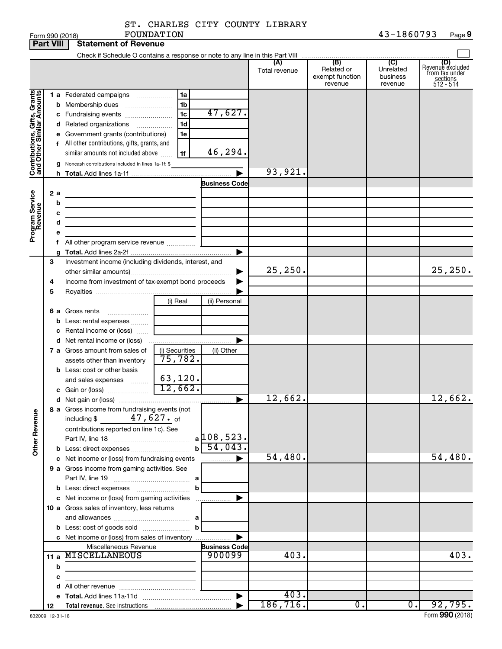| ST. CHARLES CITY COUNTY LIBRARY |  |            |
|---------------------------------|--|------------|
| FOUNDATION                      |  | 43-1860793 |

|                                                            | <b>Part VIII</b>        |                                                                                                                                          | <b>Statement of Revenue</b>                                                                                                                                                                                                                                                                                                                                                                                                                                                                                                                                                                      |                                                          |                                                 |                      |                                                 |                                         |                                                                    |
|------------------------------------------------------------|-------------------------|------------------------------------------------------------------------------------------------------------------------------------------|--------------------------------------------------------------------------------------------------------------------------------------------------------------------------------------------------------------------------------------------------------------------------------------------------------------------------------------------------------------------------------------------------------------------------------------------------------------------------------------------------------------------------------------------------------------------------------------------------|----------------------------------------------------------|-------------------------------------------------|----------------------|-------------------------------------------------|-----------------------------------------|--------------------------------------------------------------------|
|                                                            |                         |                                                                                                                                          |                                                                                                                                                                                                                                                                                                                                                                                                                                                                                                                                                                                                  |                                                          |                                                 |                      |                                                 |                                         |                                                                    |
|                                                            |                         |                                                                                                                                          |                                                                                                                                                                                                                                                                                                                                                                                                                                                                                                                                                                                                  |                                                          |                                                 | (A)<br>Total revenue | (B)<br>Related or<br>exempt function<br>revenue | (C)<br>Unrelated<br>business<br>revenue | (D)<br>Revenue excluded<br>from tax under<br>sections<br>512 - 514 |
| Contributions, Gifts, Grants<br>Program Service<br>Revenue | b<br>2 a<br>b<br>с<br>d |                                                                                                                                          | 1 a Federated campaigns<br>Membership dues<br>c Fundraising events<br>d Related organizations<br>e Government grants (contributions)<br>f All other contributions, gifts, grants, and<br>similar amounts not included above<br>g Noncash contributions included in lines 1a-1f: \$<br>the control of the control of the control of the control of the control of<br><u> 1989 - Johann Stein, marwolaethau a bhann an t-Albann an t-Albann an t-Albann an t-Albann an t-Albann an t-Alb</u><br>the control of the control of the control of the control of<br>f All other program service revenue | 1a<br>1 <sub>b</sub><br>1c<br>1 <sub>d</sub><br>1e<br>1f | 47,627.<br>46,294.<br><b>Business Code</b><br>▶ | 93,921.              |                                                 |                                         |                                                                    |
|                                                            | З<br>4<br>5             | Investment income (including dividends, interest, and<br>Income from investment of tax-exempt bond proceeds<br>(i) Real<br>(ii) Personal |                                                                                                                                                                                                                                                                                                                                                                                                                                                                                                                                                                                                  |                                                          |                                                 | 25, 250.             |                                                 |                                         | 25, 250.                                                           |
|                                                            | b                       |                                                                                                                                          | 6 a Gross rents<br>Less: rental expenses<br>c Rental income or (loss)                                                                                                                                                                                                                                                                                                                                                                                                                                                                                                                            |                                                          |                                                 |                      |                                                 |                                         |                                                                    |
|                                                            |                         |                                                                                                                                          | 7 a Gross amount from sales of<br>assets other than inventory                                                                                                                                                                                                                                                                                                                                                                                                                                                                                                                                    | (i) Securities<br>75,782.                                | (ii) Other                                      |                      |                                                 |                                         |                                                                    |
|                                                            |                         |                                                                                                                                          | <b>b</b> Less: cost or other basis<br>and sales expenses<br>c Gain or (loss)                                                                                                                                                                                                                                                                                                                                                                                                                                                                                                                     | 63,120.<br>12,662.                                       | ▶                                               | 12,662.              |                                                 |                                         | 12,662.                                                            |
| <b>Other Revenue</b>                                       |                         |                                                                                                                                          | 8 a Gross income from fundraising events (not<br>$47,627.$ of<br>including \$<br>contributions reported on line 1c). See                                                                                                                                                                                                                                                                                                                                                                                                                                                                         | $\mathbf{b}$                                             | $a$ 108, 523.<br>54,043.                        |                      |                                                 |                                         |                                                                    |
|                                                            |                         |                                                                                                                                          | c Net income or (loss) from fundraising events<br>9 a Gross income from gaming activities. See                                                                                                                                                                                                                                                                                                                                                                                                                                                                                                   |                                                          | $\frac{1}{2}$                                   | 54,480.              |                                                 |                                         | 54,480.                                                            |
|                                                            |                         |                                                                                                                                          | c Net income or (loss) from gaming activities<br>10 a Gross sales of inventory, less returns                                                                                                                                                                                                                                                                                                                                                                                                                                                                                                     | b                                                        |                                                 |                      |                                                 |                                         |                                                                    |
|                                                            |                         |                                                                                                                                          |                                                                                                                                                                                                                                                                                                                                                                                                                                                                                                                                                                                                  | $\mathbf{b}$                                             |                                                 |                      |                                                 |                                         |                                                                    |
|                                                            |                         |                                                                                                                                          | c Net income or (loss) from sales of inventory                                                                                                                                                                                                                                                                                                                                                                                                                                                                                                                                                   |                                                          |                                                 |                      |                                                 |                                         |                                                                    |
|                                                            |                         |                                                                                                                                          | Miscellaneous Revenue                                                                                                                                                                                                                                                                                                                                                                                                                                                                                                                                                                            |                                                          | <b>Business Code</b>                            |                      |                                                 |                                         |                                                                    |
|                                                            |                         |                                                                                                                                          | 11 a MISCELLANEOUS                                                                                                                                                                                                                                                                                                                                                                                                                                                                                                                                                                               |                                                          | 900099                                          | 403.                 |                                                 |                                         | 403.                                                               |
|                                                            | b                       |                                                                                                                                          | the control of the control of the control of the control of the control of                                                                                                                                                                                                                                                                                                                                                                                                                                                                                                                       |                                                          |                                                 |                      |                                                 |                                         |                                                                    |
|                                                            | с                       |                                                                                                                                          |                                                                                                                                                                                                                                                                                                                                                                                                                                                                                                                                                                                                  | <u> 1989 - Johann Barbara, martin a</u>                  |                                                 |                      |                                                 |                                         |                                                                    |
|                                                            |                         |                                                                                                                                          |                                                                                                                                                                                                                                                                                                                                                                                                                                                                                                                                                                                                  |                                                          |                                                 | 403.                 |                                                 |                                         |                                                                    |
|                                                            |                         |                                                                                                                                          |                                                                                                                                                                                                                                                                                                                                                                                                                                                                                                                                                                                                  |                                                          |                                                 | 186, 716.            |                                                 |                                         |                                                                    |
|                                                            | 12                      |                                                                                                                                          | Total revenue. See instructions [1001] [1001] Total revenue. See instructions                                                                                                                                                                                                                                                                                                                                                                                                                                                                                                                    |                                                          |                                                 |                      | 0.                                              | 0.1                                     | 92,795.                                                            |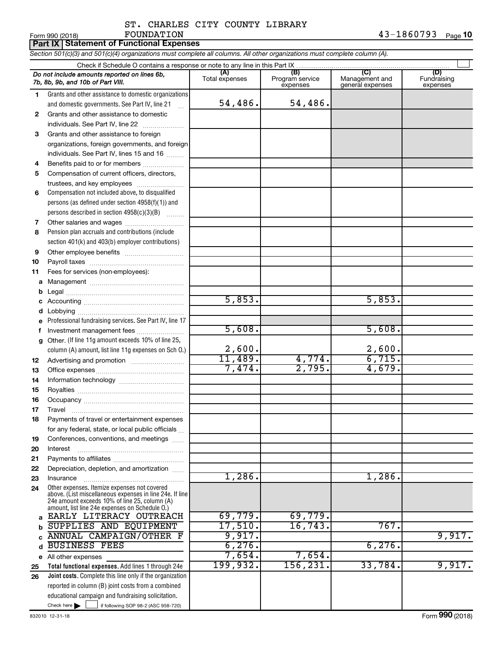#### ST. CHARLES CITY COUNTY LIBRARY FOUNDATION 43-1860793

| <b>Part IX Statement of Functional Expenses</b>                                                                            |
|----------------------------------------------------------------------------------------------------------------------------|
| Section 501(c)(3) and 501(c)(4) organizations must complete all columns. All other organizations must complete column (A). |

|              | Do not include amounts reported on lines 6b,<br>7b, 8b, 9b, and 10b of Part VIII.                        | (A)<br>Total expenses | (B)<br>Program service<br>expenses | (C)<br>Management and<br>general expenses | (D)<br>Fundraising<br>expenses |  |  |  |  |
|--------------|----------------------------------------------------------------------------------------------------------|-----------------------|------------------------------------|-------------------------------------------|--------------------------------|--|--|--|--|
| 1            | Grants and other assistance to domestic organizations                                                    |                       |                                    |                                           |                                |  |  |  |  |
|              | and domestic governments. See Part IV, line 21                                                           | 54,486.               | 54,486.                            |                                           |                                |  |  |  |  |
| $\mathbf{2}$ | Grants and other assistance to domestic                                                                  |                       |                                    |                                           |                                |  |  |  |  |
|              | individuals. See Part IV, line 22                                                                        |                       |                                    |                                           |                                |  |  |  |  |
| 3            | Grants and other assistance to foreign                                                                   |                       |                                    |                                           |                                |  |  |  |  |
|              | organizations, foreign governments, and foreign                                                          |                       |                                    |                                           |                                |  |  |  |  |
|              | individuals. See Part IV, lines 15 and 16                                                                |                       |                                    |                                           |                                |  |  |  |  |
| 4            | Benefits paid to or for members                                                                          |                       |                                    |                                           |                                |  |  |  |  |
| 5            | Compensation of current officers, directors,                                                             |                       |                                    |                                           |                                |  |  |  |  |
|              | trustees, and key employees                                                                              |                       |                                    |                                           |                                |  |  |  |  |
| 6            | Compensation not included above, to disqualified                                                         |                       |                                    |                                           |                                |  |  |  |  |
|              | persons (as defined under section 4958(f)(1)) and                                                        |                       |                                    |                                           |                                |  |  |  |  |
|              | persons described in section 4958(c)(3)(B)                                                               |                       |                                    |                                           |                                |  |  |  |  |
| 7            |                                                                                                          |                       |                                    |                                           |                                |  |  |  |  |
| 8            | Pension plan accruals and contributions (include                                                         |                       |                                    |                                           |                                |  |  |  |  |
|              | section 401(k) and 403(b) employer contributions)                                                        |                       |                                    |                                           |                                |  |  |  |  |
| 9            |                                                                                                          |                       |                                    |                                           |                                |  |  |  |  |
| 10           |                                                                                                          |                       |                                    |                                           |                                |  |  |  |  |
| 11           | Fees for services (non-employees):                                                                       |                       |                                    |                                           |                                |  |  |  |  |
| а            |                                                                                                          |                       |                                    |                                           |                                |  |  |  |  |
|              |                                                                                                          |                       |                                    |                                           |                                |  |  |  |  |
| с            |                                                                                                          | 5,853.                |                                    | 5,853.                                    |                                |  |  |  |  |
|              |                                                                                                          |                       |                                    |                                           |                                |  |  |  |  |
| е            | Professional fundraising services. See Part IV, line 17                                                  |                       |                                    |                                           |                                |  |  |  |  |
| f            | Investment management fees                                                                               | 5,608.                |                                    | 5,608.                                    |                                |  |  |  |  |
| g            | Other. (If line 11g amount exceeds 10% of line 25,                                                       |                       |                                    |                                           |                                |  |  |  |  |
|              | column (A) amount, list line 11g expenses on Sch O.)                                                     | 2,600.                |                                    | $\frac{2,600}{6,715}$                     |                                |  |  |  |  |
| 12           |                                                                                                          | 11,489.               | 4,774.                             |                                           |                                |  |  |  |  |
| 13           |                                                                                                          | 7,474.                | 2,795.                             | 4,679.                                    |                                |  |  |  |  |
| 14           |                                                                                                          |                       |                                    |                                           |                                |  |  |  |  |
| 15           |                                                                                                          |                       |                                    |                                           |                                |  |  |  |  |
| 16           |                                                                                                          |                       |                                    |                                           |                                |  |  |  |  |
| 17           | Travel                                                                                                   |                       |                                    |                                           |                                |  |  |  |  |
| 18           | Payments of travel or entertainment expenses                                                             |                       |                                    |                                           |                                |  |  |  |  |
|              | for any federal, state, or local public officials                                                        |                       |                                    |                                           |                                |  |  |  |  |
| 19           | Conferences, conventions, and meetings                                                                   |                       |                                    |                                           |                                |  |  |  |  |
| 20           | Interest                                                                                                 |                       |                                    |                                           |                                |  |  |  |  |
| 21           |                                                                                                          |                       |                                    |                                           |                                |  |  |  |  |
| 22           | Depreciation, depletion, and amortization                                                                |                       |                                    |                                           |                                |  |  |  |  |
| 23           | Insurance                                                                                                | 1,286.                |                                    | $1,286$ .                                 |                                |  |  |  |  |
| 24           | Other expenses. Itemize expenses not covered<br>above. (List miscellaneous expenses in line 24e. If line |                       |                                    |                                           |                                |  |  |  |  |
|              | 24e amount exceeds 10% of line 25, column (A)                                                            |                       |                                    |                                           |                                |  |  |  |  |
|              | amount, list line 24e expenses on Schedule O.)                                                           |                       |                                    |                                           |                                |  |  |  |  |
| a            | EARLY LITERACY OUTREACH                                                                                  | 69,779.               | 69,779.                            |                                           |                                |  |  |  |  |
|              | SUPPLIES AND EQUIPMENT                                                                                   | 17,510.               | 16,743.                            | 767.                                      |                                |  |  |  |  |
|              | ANNUAL CAMPAIGN/OTHER F                                                                                  | 9,917.                |                                    |                                           | 9,917.                         |  |  |  |  |
| d            | <b>BUSINESS FEES</b>                                                                                     | 6, 276.               |                                    | 6,276.                                    |                                |  |  |  |  |
|              | e All other expenses                                                                                     | 7,654.                | 7,654.                             |                                           |                                |  |  |  |  |
| 25           | Total functional expenses. Add lines 1 through 24e                                                       | 199,932.              | 156,231.                           | 33,784.                                   | 9,917.                         |  |  |  |  |
| 26           | Joint costs. Complete this line only if the organization                                                 |                       |                                    |                                           |                                |  |  |  |  |
|              | reported in column (B) joint costs from a combined                                                       |                       |                                    |                                           |                                |  |  |  |  |
|              | educational campaign and fundraising solicitation.                                                       |                       |                                    |                                           |                                |  |  |  |  |
|              | Check here $\blacktriangleright$<br>if following SOP 98-2 (ASC 958-720)                                  |                       |                                    |                                           |                                |  |  |  |  |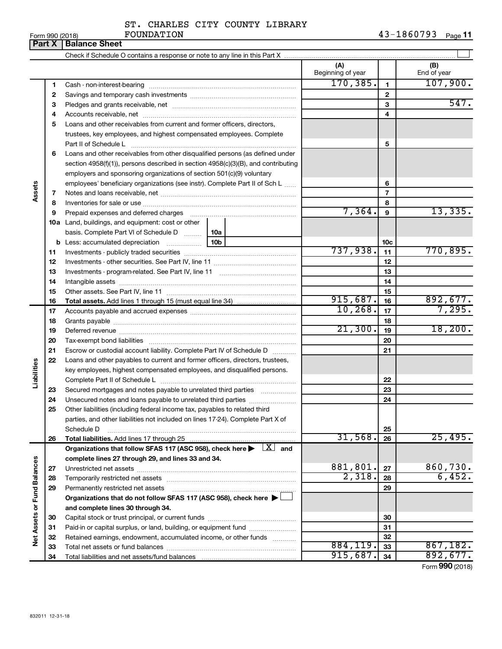| ST. CHARLES CITY COUNTY LIBRARY |  |  |
|---------------------------------|--|--|
|                                 |  |  |

**11** FOUNDATION **12** 

|                             | Part X | <b>Balance Sheet</b>                                                                                                    |                          |                 |                             |
|-----------------------------|--------|-------------------------------------------------------------------------------------------------------------------------|--------------------------|-----------------|-----------------------------|
|                             |        |                                                                                                                         |                          |                 |                             |
|                             |        |                                                                                                                         | (A)<br>Beginning of year |                 | (B)<br>End of year          |
|                             | 1      |                                                                                                                         | 170, 385.                | $\mathbf{1}$    | 107,900.                    |
|                             | 2      |                                                                                                                         |                          | $\mathbf{2}$    |                             |
|                             | З      |                                                                                                                         |                          | 3               | 547.                        |
|                             | 4      |                                                                                                                         |                          | 4               |                             |
|                             | 5      | Loans and other receivables from current and former officers, directors,                                                |                          |                 |                             |
|                             |        | trustees, key employees, and highest compensated employees. Complete                                                    |                          |                 |                             |
|                             |        | Part II of Schedule Latin and Communication of Schedule Latin and Communication of Schedule Latin and Schedule          |                          | 5               |                             |
|                             | 6      | Loans and other receivables from other disqualified persons (as defined under                                           |                          |                 |                             |
|                             |        | section 4958(f)(1)), persons described in section 4958(c)(3)(B), and contributing                                       |                          |                 |                             |
|                             |        | employers and sponsoring organizations of section 501(c)(9) voluntary                                                   |                          |                 |                             |
|                             |        | employees' beneficiary organizations (see instr). Complete Part II of Sch L                                             |                          | 6               |                             |
| Assets                      | 7      |                                                                                                                         |                          | $\overline{7}$  |                             |
|                             | 8      |                                                                                                                         |                          | 8               |                             |
|                             | 9      | Prepaid expenses and deferred charges                                                                                   | 7,364.                   | 9               | 13,335.                     |
|                             |        | <b>10a</b> Land, buildings, and equipment: cost or other                                                                |                          |                 |                             |
|                             |        | basis. Complete Part VI of Schedule D    10a                                                                            |                          |                 |                             |
|                             |        | 10b<br><b>b</b> Less: accumulated depreciation                                                                          |                          | 10 <sub>c</sub> |                             |
|                             | 11     |                                                                                                                         | 737,938.                 | 11              | 770,895.                    |
|                             | 12     |                                                                                                                         |                          | 12              |                             |
|                             | 13     |                                                                                                                         |                          | 13              |                             |
|                             | 14     |                                                                                                                         |                          | 14              |                             |
|                             | 15     |                                                                                                                         |                          | 15              |                             |
|                             | 16     |                                                                                                                         | 915,687.                 | 16              | 892,677.                    |
|                             | 17     |                                                                                                                         | 10, 268.                 | 17              | 7,295.                      |
|                             | 18     |                                                                                                                         |                          | 18              |                             |
|                             | 19     |                                                                                                                         | 21,300.                  | 19              | 18,200.                     |
|                             | 20     |                                                                                                                         |                          | 20              |                             |
|                             | 21     | Escrow or custodial account liability. Complete Part IV of Schedule D                                                   |                          | 21              |                             |
|                             | 22     | Loans and other payables to current and former officers, directors, trustees,                                           |                          |                 |                             |
|                             |        | key employees, highest compensated employees, and disqualified persons.                                                 |                          |                 |                             |
| Liabilities                 |        |                                                                                                                         |                          | 22              |                             |
|                             | 23     | Secured mortgages and notes payable to unrelated third parties                                                          |                          | 23              |                             |
|                             | 24     |                                                                                                                         |                          | 24              |                             |
|                             | 25     | Other liabilities (including federal income tax, payables to related third                                              |                          |                 |                             |
|                             |        | parties, and other liabilities not included on lines 17-24). Complete Part X of                                         |                          |                 |                             |
|                             |        | Schedule D                                                                                                              | 31,568.                  | 25              |                             |
|                             | 26     | Total liabilities. Add lines 17 through 25                                                                              |                          | 26              | 25,495.                     |
|                             |        | Organizations that follow SFAS 117 (ASC 958), check here $\blacktriangleright \begin{array}{c} \perp X \end{array}$ and |                          |                 |                             |
|                             |        | complete lines 27 through 29, and lines 33 and 34.                                                                      | 881,801.                 |                 | 860,730.                    |
|                             | 27     |                                                                                                                         | 2,318.                   | 27              | 6,452.                      |
|                             | 28     |                                                                                                                         |                          | 28              |                             |
|                             | 29     | Permanently restricted net assets                                                                                       |                          | 29              |                             |
| Net Assets or Fund Balances |        | Organizations that do not follow SFAS 117 (ASC 958), check here ▶ □                                                     |                          |                 |                             |
|                             |        | and complete lines 30 through 34.                                                                                       |                          |                 |                             |
|                             | 30     |                                                                                                                         |                          | 30              |                             |
|                             | 31     | Paid-in or capital surplus, or land, building, or equipment fund                                                        |                          | 31              |                             |
|                             | 32     | Retained earnings, endowment, accumulated income, or other funds                                                        | 884,119.                 | 32              | 867,182.                    |
|                             | 33     |                                                                                                                         | 915,687.                 | 33<br>34        | 892, 677.                   |
|                             | 34     |                                                                                                                         |                          |                 | $T_{\text{max}}$ 000 (0010) |

Form (2018) **990**

# $\frac{1}{2}$ Form 990 (2018) Page Product of Product Product Product Product Product Product Product Product Product Product Product Product Product Product Product Product Product Product Product Product Product Product Prod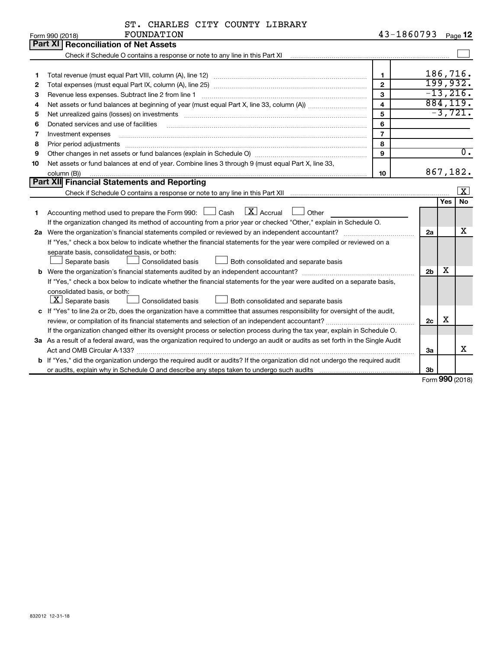| ST. CHARLES CITY COUNTY LIBRARY |  |  |  |  |  |
|---------------------------------|--|--|--|--|--|
|---------------------------------|--|--|--|--|--|

|    | FOUNDATION<br>Form 990 (2018)                                                                                                                                                                                                                                                                                                                                                                                                                                                | 43-1860793              |                |            | Page 12                 |  |  |  |
|----|------------------------------------------------------------------------------------------------------------------------------------------------------------------------------------------------------------------------------------------------------------------------------------------------------------------------------------------------------------------------------------------------------------------------------------------------------------------------------|-------------------------|----------------|------------|-------------------------|--|--|--|
|    | Part XII<br><b>Reconciliation of Net Assets</b>                                                                                                                                                                                                                                                                                                                                                                                                                              |                         |                |            |                         |  |  |  |
|    |                                                                                                                                                                                                                                                                                                                                                                                                                                                                              |                         |                |            |                         |  |  |  |
|    |                                                                                                                                                                                                                                                                                                                                                                                                                                                                              |                         |                |            |                         |  |  |  |
| 1  |                                                                                                                                                                                                                                                                                                                                                                                                                                                                              | $\mathbf 1$             |                |            | 186,716.                |  |  |  |
| 2  |                                                                                                                                                                                                                                                                                                                                                                                                                                                                              | $\overline{2}$          |                |            | 199,932.                |  |  |  |
| 3  |                                                                                                                                                                                                                                                                                                                                                                                                                                                                              | 3                       |                |            | $-13,216.$              |  |  |  |
| 4  |                                                                                                                                                                                                                                                                                                                                                                                                                                                                              | $\overline{\mathbf{4}}$ |                |            | 884, 119.               |  |  |  |
| 5  | Net unrealized gains (losses) on investments [11] matter contracts and the state of the state of the state of the state of the state of the state of the state of the state of the state of the state of the state of the stat                                                                                                                                                                                                                                               | 5                       |                |            | $-3,721.$               |  |  |  |
| 6  | Donated services and use of facilities                                                                                                                                                                                                                                                                                                                                                                                                                                       | 6                       |                |            |                         |  |  |  |
| 7  | Investment expenses                                                                                                                                                                                                                                                                                                                                                                                                                                                          | $\overline{7}$          |                |            |                         |  |  |  |
| 8  | Prior period adjustments<br>$\begin{minipage}{0.5\textwidth} \begin{tabular}{ l l l } \hline \multicolumn{1}{ l l l } \hline \multicolumn{1}{ l l } \hline \multicolumn{1}{ l } \multicolumn{1}{ l } \hline \multicolumn{1}{ l } \multicolumn{1}{ l } \multicolumn{1}{ l } \hline \multicolumn{1}{ l } \multicolumn{1}{ l } \multicolumn{1}{ l } \hline \multicolumn{1}{ l } \multicolumn{1}{ l } \hline \multicolumn{1}{ l } \multicolumn{1}{ l } \hline \multicolumn{1}{ $ | 8                       |                |            |                         |  |  |  |
| 9  |                                                                                                                                                                                                                                                                                                                                                                                                                                                                              | 9                       |                |            | $\overline{0}$ .        |  |  |  |
| 10 | Net assets or fund balances at end of year. Combine lines 3 through 9 (must equal Part X, line 33,                                                                                                                                                                                                                                                                                                                                                                           |                         |                |            |                         |  |  |  |
|    | column (B))                                                                                                                                                                                                                                                                                                                                                                                                                                                                  | 10                      |                |            | 867,182.                |  |  |  |
|    | <b>Part XII Financial Statements and Reporting</b>                                                                                                                                                                                                                                                                                                                                                                                                                           |                         |                |            | $\overline{\mathbf{x}}$ |  |  |  |
|    |                                                                                                                                                                                                                                                                                                                                                                                                                                                                              |                         |                |            |                         |  |  |  |
|    |                                                                                                                                                                                                                                                                                                                                                                                                                                                                              |                         |                | <b>Yes</b> | <b>No</b>               |  |  |  |
| 1  | Accounting method used to prepare the Form 990: $\Box$ Cash $\Box$ Accrual<br>$\Box$ Other                                                                                                                                                                                                                                                                                                                                                                                   |                         |                |            |                         |  |  |  |
|    | If the organization changed its method of accounting from a prior year or checked "Other," explain in Schedule O.                                                                                                                                                                                                                                                                                                                                                            |                         |                |            |                         |  |  |  |
|    |                                                                                                                                                                                                                                                                                                                                                                                                                                                                              |                         | 2a             |            | x                       |  |  |  |
|    | If "Yes," check a box below to indicate whether the financial statements for the year were compiled or reviewed on a                                                                                                                                                                                                                                                                                                                                                         |                         |                |            |                         |  |  |  |
|    | separate basis, consolidated basis, or both:                                                                                                                                                                                                                                                                                                                                                                                                                                 |                         |                |            |                         |  |  |  |
|    | Both consolidated and separate basis<br>Separate basis<br><b>Consolidated basis</b>                                                                                                                                                                                                                                                                                                                                                                                          |                         |                |            |                         |  |  |  |
|    |                                                                                                                                                                                                                                                                                                                                                                                                                                                                              |                         | 2 <sub>b</sub> | х          |                         |  |  |  |
|    | If "Yes," check a box below to indicate whether the financial statements for the year were audited on a separate basis,                                                                                                                                                                                                                                                                                                                                                      |                         |                |            |                         |  |  |  |
|    | consolidated basis, or both:                                                                                                                                                                                                                                                                                                                                                                                                                                                 |                         |                |            |                         |  |  |  |
|    | $ \mathbf{X} $ Separate basis<br><b>Consolidated basis</b><br>Both consolidated and separate basis                                                                                                                                                                                                                                                                                                                                                                           |                         |                |            |                         |  |  |  |
|    | c If "Yes" to line 2a or 2b, does the organization have a committee that assumes responsibility for oversight of the audit,                                                                                                                                                                                                                                                                                                                                                  |                         |                |            |                         |  |  |  |
|    |                                                                                                                                                                                                                                                                                                                                                                                                                                                                              |                         | 2 <sub>c</sub> | х          |                         |  |  |  |
|    | If the organization changed either its oversight process or selection process during the tax year, explain in Schedule O.                                                                                                                                                                                                                                                                                                                                                    |                         |                |            |                         |  |  |  |
|    | 3a As a result of a federal award, was the organization required to undergo an audit or audits as set forth in the Single Audit                                                                                                                                                                                                                                                                                                                                              |                         |                |            |                         |  |  |  |
|    |                                                                                                                                                                                                                                                                                                                                                                                                                                                                              |                         | За             |            | x                       |  |  |  |
|    | b If "Yes," did the organization undergo the required audit or audits? If the organization did not undergo the required audit                                                                                                                                                                                                                                                                                                                                                |                         |                |            |                         |  |  |  |
|    |                                                                                                                                                                                                                                                                                                                                                                                                                                                                              |                         | 3b             |            |                         |  |  |  |

Form (2018) **990**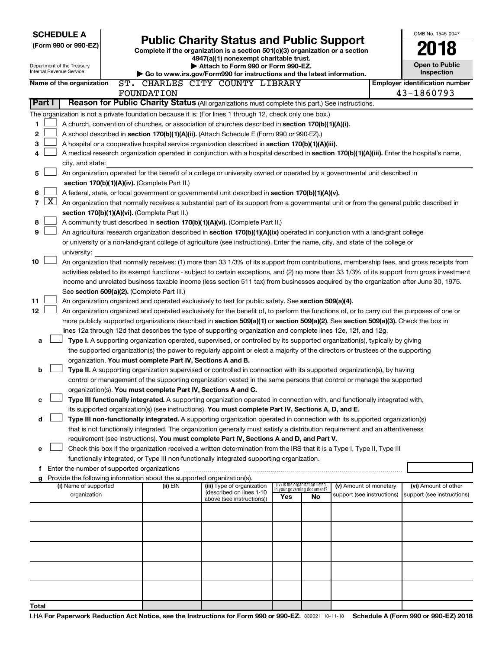| <b>SCHEDULE A</b>                                                                                         |                                                                                                                                                                                                                                                                                            |                                                                                                                                                                                                                          |                                                                |    |                            |  | OMB No. 1545-0047                     |  |  |
|-----------------------------------------------------------------------------------------------------------|--------------------------------------------------------------------------------------------------------------------------------------------------------------------------------------------------------------------------------------------------------------------------------------------|--------------------------------------------------------------------------------------------------------------------------------------------------------------------------------------------------------------------------|----------------------------------------------------------------|----|----------------------------|--|---------------------------------------|--|--|
| (Form 990 or 990-EZ)                                                                                      |                                                                                                                                                                                                                                                                                            | <b>Public Charity Status and Public Support</b>                                                                                                                                                                          |                                                                |    |                            |  |                                       |  |  |
|                                                                                                           |                                                                                                                                                                                                                                                                                            | Complete if the organization is a section 501(c)(3) organization or a section<br>4947(a)(1) nonexempt charitable trust.                                                                                                  |                                                                |    |                            |  |                                       |  |  |
| Department of the Treasury                                                                                |                                                                                                                                                                                                                                                                                            | Attach to Form 990 or Form 990-EZ.                                                                                                                                                                                       |                                                                |    |                            |  | <b>Open to Public</b>                 |  |  |
| Internal Revenue Service                                                                                  |                                                                                                                                                                                                                                                                                            | Go to www.irs.gov/Form990 for instructions and the latest information.                                                                                                                                                   |                                                                |    |                            |  | <b>Inspection</b>                     |  |  |
| Name of the organization                                                                                  |                                                                                                                                                                                                                                                                                            | ST. CHARLES CITY COUNTY LIBRARY                                                                                                                                                                                          |                                                                |    |                            |  | <b>Employer identification number</b> |  |  |
|                                                                                                           | FOUNDATION                                                                                                                                                                                                                                                                                 |                                                                                                                                                                                                                          |                                                                |    |                            |  | 43-1860793                            |  |  |
| Part I                                                                                                    |                                                                                                                                                                                                                                                                                            | Reason for Public Charity Status (All organizations must complete this part.) See instructions.                                                                                                                          |                                                                |    |                            |  |                                       |  |  |
| The organization is not a private foundation because it is: (For lines 1 through 12, check only one box.) |                                                                                                                                                                                                                                                                                            |                                                                                                                                                                                                                          |                                                                |    |                            |  |                                       |  |  |
| 1                                                                                                         |                                                                                                                                                                                                                                                                                            | A church, convention of churches, or association of churches described in section 170(b)(1)(A)(i).                                                                                                                       |                                                                |    |                            |  |                                       |  |  |
| 2                                                                                                         |                                                                                                                                                                                                                                                                                            | A school described in section 170(b)(1)(A)(ii). (Attach Schedule E (Form 990 or 990-EZ).)                                                                                                                                |                                                                |    |                            |  |                                       |  |  |
| 3                                                                                                         |                                                                                                                                                                                                                                                                                            | A hospital or a cooperative hospital service organization described in section 170(b)(1)(A)(iii).                                                                                                                        |                                                                |    |                            |  |                                       |  |  |
| 4                                                                                                         |                                                                                                                                                                                                                                                                                            | A medical research organization operated in conjunction with a hospital described in section 170(b)(1)(A)(iii). Enter the hospital's name,                                                                               |                                                                |    |                            |  |                                       |  |  |
| city, and state:                                                                                          |                                                                                                                                                                                                                                                                                            |                                                                                                                                                                                                                          |                                                                |    |                            |  |                                       |  |  |
| 5                                                                                                         | An organization operated for the benefit of a college or university owned or operated by a governmental unit described in                                                                                                                                                                  |                                                                                                                                                                                                                          |                                                                |    |                            |  |                                       |  |  |
| section 170(b)(1)(A)(iv). (Complete Part II.)                                                             |                                                                                                                                                                                                                                                                                            |                                                                                                                                                                                                                          |                                                                |    |                            |  |                                       |  |  |
| 6                                                                                                         |                                                                                                                                                                                                                                                                                            | A federal, state, or local government or governmental unit described in section 170(b)(1)(A)(v).                                                                                                                         |                                                                |    |                            |  |                                       |  |  |
| $\mathbf{X}$<br>7                                                                                         |                                                                                                                                                                                                                                                                                            | An organization that normally receives a substantial part of its support from a governmental unit or from the general public described in                                                                                |                                                                |    |                            |  |                                       |  |  |
| section 170(b)(1)(A)(vi). (Complete Part II.)                                                             |                                                                                                                                                                                                                                                                                            |                                                                                                                                                                                                                          |                                                                |    |                            |  |                                       |  |  |
| 8                                                                                                         |                                                                                                                                                                                                                                                                                            | A community trust described in section 170(b)(1)(A)(vi). (Complete Part II.)                                                                                                                                             |                                                                |    |                            |  |                                       |  |  |
| 9                                                                                                         |                                                                                                                                                                                                                                                                                            | An agricultural research organization described in section 170(b)(1)(A)(ix) operated in conjunction with a land-grant college                                                                                            |                                                                |    |                            |  |                                       |  |  |
| university:                                                                                               |                                                                                                                                                                                                                                                                                            | or university or a non-land-grant college of agriculture (see instructions). Enter the name, city, and state of the college or                                                                                           |                                                                |    |                            |  |                                       |  |  |
| 10                                                                                                        |                                                                                                                                                                                                                                                                                            |                                                                                                                                                                                                                          |                                                                |    |                            |  |                                       |  |  |
|                                                                                                           | An organization that normally receives: (1) more than 33 1/3% of its support from contributions, membership fees, and gross receipts from<br>activities related to its exempt functions - subject to certain exceptions, and (2) no more than 33 1/3% of its support from gross investment |                                                                                                                                                                                                                          |                                                                |    |                            |  |                                       |  |  |
|                                                                                                           | income and unrelated business taxable income (less section 511 tax) from businesses acquired by the organization after June 30, 1975.                                                                                                                                                      |                                                                                                                                                                                                                          |                                                                |    |                            |  |                                       |  |  |
| See section 509(a)(2). (Complete Part III.)                                                               |                                                                                                                                                                                                                                                                                            |                                                                                                                                                                                                                          |                                                                |    |                            |  |                                       |  |  |
| 11                                                                                                        |                                                                                                                                                                                                                                                                                            | An organization organized and operated exclusively to test for public safety. See section 509(a)(4).                                                                                                                     |                                                                |    |                            |  |                                       |  |  |
| 12                                                                                                        |                                                                                                                                                                                                                                                                                            | An organization organized and operated exclusively for the benefit of, to perform the functions of, or to carry out the purposes of one or                                                                               |                                                                |    |                            |  |                                       |  |  |
|                                                                                                           |                                                                                                                                                                                                                                                                                            | more publicly supported organizations described in section 509(a)(1) or section 509(a)(2). See section 509(a)(3). Check the box in                                                                                       |                                                                |    |                            |  |                                       |  |  |
|                                                                                                           |                                                                                                                                                                                                                                                                                            | lines 12a through 12d that describes the type of supporting organization and complete lines 12e, 12f, and 12g.                                                                                                           |                                                                |    |                            |  |                                       |  |  |
| a                                                                                                         |                                                                                                                                                                                                                                                                                            | Type I. A supporting organization operated, supervised, or controlled by its supported organization(s), typically by giving                                                                                              |                                                                |    |                            |  |                                       |  |  |
|                                                                                                           |                                                                                                                                                                                                                                                                                            | the supported organization(s) the power to regularly appoint or elect a majority of the directors or trustees of the supporting                                                                                          |                                                                |    |                            |  |                                       |  |  |
|                                                                                                           | organization. You must complete Part IV, Sections A and B.                                                                                                                                                                                                                                 |                                                                                                                                                                                                                          |                                                                |    |                            |  |                                       |  |  |
| b                                                                                                         |                                                                                                                                                                                                                                                                                            | Type II. A supporting organization supervised or controlled in connection with its supported organization(s), by having                                                                                                  |                                                                |    |                            |  |                                       |  |  |
|                                                                                                           |                                                                                                                                                                                                                                                                                            | control or management of the supporting organization vested in the same persons that control or manage the supported                                                                                                     |                                                                |    |                            |  |                                       |  |  |
|                                                                                                           | organization(s). You must complete Part IV, Sections A and C.                                                                                                                                                                                                                              |                                                                                                                                                                                                                          |                                                                |    |                            |  |                                       |  |  |
| с                                                                                                         |                                                                                                                                                                                                                                                                                            | Type III functionally integrated. A supporting organization operated in connection with, and functionally integrated with,                                                                                               |                                                                |    |                            |  |                                       |  |  |
|                                                                                                           |                                                                                                                                                                                                                                                                                            | its supported organization(s) (see instructions). You must complete Part IV, Sections A, D, and E.                                                                                                                       |                                                                |    |                            |  |                                       |  |  |
| d                                                                                                         |                                                                                                                                                                                                                                                                                            | Type III non-functionally integrated. A supporting organization operated in connection with its supported organization(s)                                                                                                |                                                                |    |                            |  |                                       |  |  |
|                                                                                                           |                                                                                                                                                                                                                                                                                            | that is not functionally integrated. The organization generally must satisfy a distribution requirement and an attentiveness<br>requirement (see instructions). You must complete Part IV, Sections A and D, and Part V. |                                                                |    |                            |  |                                       |  |  |
| e                                                                                                         |                                                                                                                                                                                                                                                                                            | Check this box if the organization received a written determination from the IRS that it is a Type I, Type II, Type III                                                                                                  |                                                                |    |                            |  |                                       |  |  |
|                                                                                                           |                                                                                                                                                                                                                                                                                            | functionally integrated, or Type III non-functionally integrated supporting organization.                                                                                                                                |                                                                |    |                            |  |                                       |  |  |
| f Enter the number of supported organizations                                                             |                                                                                                                                                                                                                                                                                            |                                                                                                                                                                                                                          |                                                                |    |                            |  |                                       |  |  |
| g Provide the following information about the supported organization(s).                                  |                                                                                                                                                                                                                                                                                            |                                                                                                                                                                                                                          |                                                                |    |                            |  |                                       |  |  |
| (i) Name of supported                                                                                     | (ii) EIN                                                                                                                                                                                                                                                                                   | (iii) Type of organization                                                                                                                                                                                               | (iv) Is the organization listed<br>in your governing document? |    | (v) Amount of monetary     |  | (vi) Amount of other                  |  |  |
| organization                                                                                              |                                                                                                                                                                                                                                                                                            | (described on lines 1-10<br>above (see instructions))                                                                                                                                                                    | Yes                                                            | No | support (see instructions) |  | support (see instructions)            |  |  |
|                                                                                                           |                                                                                                                                                                                                                                                                                            |                                                                                                                                                                                                                          |                                                                |    |                            |  |                                       |  |  |
|                                                                                                           |                                                                                                                                                                                                                                                                                            |                                                                                                                                                                                                                          |                                                                |    |                            |  |                                       |  |  |
|                                                                                                           |                                                                                                                                                                                                                                                                                            |                                                                                                                                                                                                                          |                                                                |    |                            |  |                                       |  |  |
|                                                                                                           |                                                                                                                                                                                                                                                                                            |                                                                                                                                                                                                                          |                                                                |    |                            |  |                                       |  |  |
|                                                                                                           |                                                                                                                                                                                                                                                                                            |                                                                                                                                                                                                                          |                                                                |    |                            |  |                                       |  |  |
|                                                                                                           |                                                                                                                                                                                                                                                                                            |                                                                                                                                                                                                                          |                                                                |    |                            |  |                                       |  |  |
|                                                                                                           |                                                                                                                                                                                                                                                                                            |                                                                                                                                                                                                                          |                                                                |    |                            |  |                                       |  |  |
|                                                                                                           |                                                                                                                                                                                                                                                                                            |                                                                                                                                                                                                                          |                                                                |    |                            |  |                                       |  |  |
|                                                                                                           |                                                                                                                                                                                                                                                                                            |                                                                                                                                                                                                                          |                                                                |    |                            |  |                                       |  |  |
| Total                                                                                                     |                                                                                                                                                                                                                                                                                            |                                                                                                                                                                                                                          |                                                                |    |                            |  |                                       |  |  |
|                                                                                                           |                                                                                                                                                                                                                                                                                            |                                                                                                                                                                                                                          |                                                                |    |                            |  |                                       |  |  |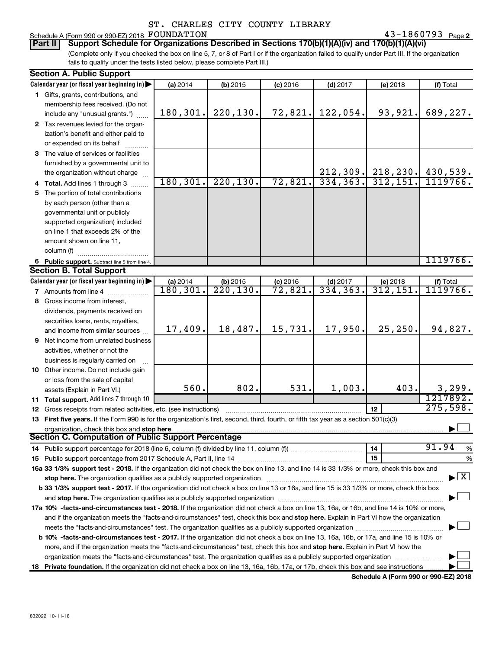#### Schedule A (Form 990 or 990-EZ) 2018 Page FOUNDATION 43-1860793

43-1860793 Page 2

(Complete only if you checked the box on line 5, 7, or 8 of Part I or if the organization failed to qualify under Part III. If the organization fails to qualify under the tests listed below, please complete Part III.) **Part II Support Schedule for Organizations Described in Sections 170(b)(1)(A)(iv) and 170(b)(1)(A)(vi)**

| <b>Section A. Public Support</b>                                                                                                               |           |                            |            |            |                         |                                    |  |  |  |
|------------------------------------------------------------------------------------------------------------------------------------------------|-----------|----------------------------|------------|------------|-------------------------|------------------------------------|--|--|--|
| Calendar year (or fiscal year beginning in)                                                                                                    | (a) 2014  | $(b)$ 2015                 | $(c)$ 2016 | $(d)$ 2017 | (e) 2018                | (f) Total                          |  |  |  |
| 1 Gifts, grants, contributions, and                                                                                                            |           |                            |            |            |                         |                                    |  |  |  |
| membership fees received. (Do not                                                                                                              |           |                            |            |            |                         |                                    |  |  |  |
| include any "unusual grants.")                                                                                                                 | 180,301.  | 220, 130.                  | 72,821.    | 122,054.   | 93,921.                 | 689,227.                           |  |  |  |
| 2 Tax revenues levied for the organ-                                                                                                           |           |                            |            |            |                         |                                    |  |  |  |
| ization's benefit and either paid to                                                                                                           |           |                            |            |            |                         |                                    |  |  |  |
| or expended on its behalf                                                                                                                      |           |                            |            |            |                         |                                    |  |  |  |
| 3 The value of services or facilities                                                                                                          |           |                            |            |            |                         |                                    |  |  |  |
| furnished by a governmental unit to                                                                                                            |           |                            |            |            |                         |                                    |  |  |  |
| the organization without charge                                                                                                                |           |                            |            | 212, 309.  |                         | $218, 230.$ 430, 539.              |  |  |  |
| 4 Total. Add lines 1 through 3                                                                                                                 | 180, 301. | 220, 130.                  | 72,821.    | 334, 363.  | 312, 151.               | 1119766.                           |  |  |  |
| 5 The portion of total contributions                                                                                                           |           |                            |            |            |                         |                                    |  |  |  |
| by each person (other than a                                                                                                                   |           |                            |            |            |                         |                                    |  |  |  |
| governmental unit or publicly                                                                                                                  |           |                            |            |            |                         |                                    |  |  |  |
| supported organization) included                                                                                                               |           |                            |            |            |                         |                                    |  |  |  |
| on line 1 that exceeds 2% of the                                                                                                               |           |                            |            |            |                         |                                    |  |  |  |
| amount shown on line 11,                                                                                                                       |           |                            |            |            |                         |                                    |  |  |  |
| column (f)                                                                                                                                     |           |                            |            |            |                         |                                    |  |  |  |
| 6 Public support. Subtract line 5 from line 4.                                                                                                 |           |                            |            |            |                         | 1119766.                           |  |  |  |
| <b>Section B. Total Support</b>                                                                                                                |           |                            |            |            |                         |                                    |  |  |  |
| Calendar year (or fiscal year beginning in)                                                                                                    | (a) 2014  |                            | $(c)$ 2016 | $(d)$ 2017 | (e) 2018                | (f) Total                          |  |  |  |
| 7 Amounts from line 4                                                                                                                          | 180, 301. | (b) $2015$<br>$220, 130$ . | 72,821.    | 334, 363.  | $\overline{312}$ , 151. | 1119766 <b>.</b>                   |  |  |  |
| 8 Gross income from interest,                                                                                                                  |           |                            |            |            |                         |                                    |  |  |  |
| dividends, payments received on                                                                                                                |           |                            |            |            |                         |                                    |  |  |  |
|                                                                                                                                                |           |                            |            |            |                         |                                    |  |  |  |
| securities loans, rents, royalties,                                                                                                            | 17,409.   | 18,487.                    | 15,731.    | 17,950.    | 25, 250.                | 94,827.                            |  |  |  |
| and income from similar sources                                                                                                                |           |                            |            |            |                         |                                    |  |  |  |
| <b>9</b> Net income from unrelated business                                                                                                    |           |                            |            |            |                         |                                    |  |  |  |
| activities, whether or not the                                                                                                                 |           |                            |            |            |                         |                                    |  |  |  |
| business is regularly carried on                                                                                                               |           |                            |            |            |                         |                                    |  |  |  |
| 10 Other income. Do not include gain                                                                                                           |           |                            |            |            |                         |                                    |  |  |  |
| or loss from the sale of capital                                                                                                               | 560.      | 802.                       | 531.       | 1,003.     | 403.                    | 3,299.                             |  |  |  |
| assets (Explain in Part VI.)                                                                                                                   |           |                            |            |            |                         | 1217892.                           |  |  |  |
| 11 Total support. Add lines 7 through 10                                                                                                       |           |                            |            |            |                         | 275,598.                           |  |  |  |
| <b>12</b> Gross receipts from related activities, etc. (see instructions)                                                                      |           |                            |            |            | 12                      |                                    |  |  |  |
| 13 First five years. If the Form 990 is for the organization's first, second, third, fourth, or fifth tax year as a section 501(c)(3)          |           |                            |            |            |                         |                                    |  |  |  |
| organization, check this box and stop here<br><b>Section C. Computation of Public Support Percentage</b>                                       |           |                            |            |            |                         |                                    |  |  |  |
|                                                                                                                                                |           |                            |            |            |                         | 91.94                              |  |  |  |
|                                                                                                                                                |           |                            |            |            | 14                      | %                                  |  |  |  |
|                                                                                                                                                |           |                            |            |            | 15                      | %                                  |  |  |  |
| 16a 33 1/3% support test - 2018. If the organization did not check the box on line 13, and line 14 is 33 1/3% or more, check this box and      |           |                            |            |            |                         | $\blacktriangleright$ $\mathbf{X}$ |  |  |  |
| stop here. The organization qualifies as a publicly supported organization manufaction manufacture or the organization                         |           |                            |            |            |                         |                                    |  |  |  |
| b 33 1/3% support test - 2017. If the organization did not check a box on line 13 or 16a, and line 15 is 33 1/3% or more, check this box       |           |                            |            |            |                         |                                    |  |  |  |
|                                                                                                                                                |           |                            |            |            |                         |                                    |  |  |  |
| 17a 10% -facts-and-circumstances test - 2018. If the organization did not check a box on line 13, 16a, or 16b, and line 14 is 10% or more,     |           |                            |            |            |                         |                                    |  |  |  |
| and if the organization meets the "facts-and-circumstances" test, check this box and stop here. Explain in Part VI how the organization        |           |                            |            |            |                         |                                    |  |  |  |
|                                                                                                                                                |           |                            |            |            |                         |                                    |  |  |  |
| <b>b 10%</b> -facts-and-circumstances test - 2017. If the organization did not check a box on line 13, 16a, 16b, or 17a, and line 15 is 10% or |           |                            |            |            |                         |                                    |  |  |  |
| more, and if the organization meets the "facts-and-circumstances" test, check this box and stop here. Explain in Part VI how the               |           |                            |            |            |                         |                                    |  |  |  |
| organization meets the "facts-and-circumstances" test. The organization qualifies as a publicly supported organization                         |           |                            |            |            |                         |                                    |  |  |  |
| 18 Private foundation. If the organization did not check a box on line 13, 16a, 16b, 17a, or 17b, check this box and see instructions          |           |                            |            |            |                         |                                    |  |  |  |

**Schedule A (Form 990 or 990-EZ) 2018**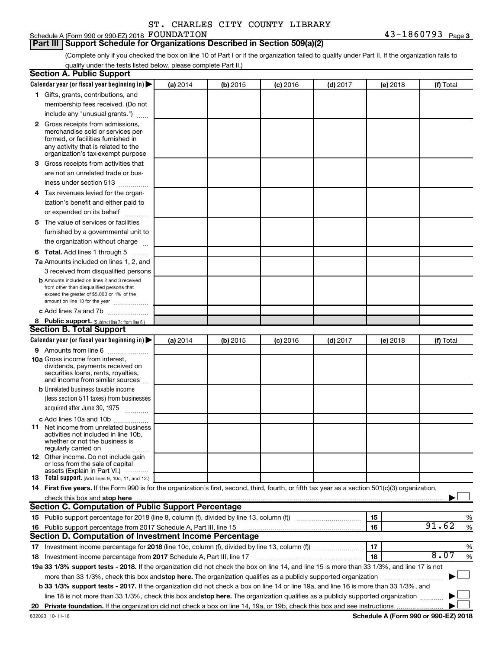## Schedule A (Form 990 or 990-EZ) 2018 FOUNDATION

#### **Part III Support Schedule for Organizations Described in Section 509(a)(2)**

(Complete only if you checked the box on line 10 of Part I or if the organization failed to qualify under Part II. If the organization fails to qualify under the tests listed below, please complete Part II.)

| <b>Section A. Public Support</b>                                                                                                                    |          |          |            |            |          |            |
|-----------------------------------------------------------------------------------------------------------------------------------------------------|----------|----------|------------|------------|----------|------------|
| Calendar year (or fiscal year beginning in)                                                                                                         | (a) 2014 | (b) 2015 | $(c)$ 2016 | $(d)$ 2017 | (e) 2018 | (f) Total  |
| 1 Gifts, grants, contributions, and                                                                                                                 |          |          |            |            |          |            |
| membership fees received. (Do not                                                                                                                   |          |          |            |            |          |            |
| include any "unusual grants.")                                                                                                                      |          |          |            |            |          |            |
| 2 Gross receipts from admissions,                                                                                                                   |          |          |            |            |          |            |
| merchandise sold or services per-                                                                                                                   |          |          |            |            |          |            |
| formed, or facilities furnished in                                                                                                                  |          |          |            |            |          |            |
| any activity that is related to the<br>organization's tax-exempt purpose                                                                            |          |          |            |            |          |            |
| 3 Gross receipts from activities that                                                                                                               |          |          |            |            |          |            |
| are not an unrelated trade or bus-                                                                                                                  |          |          |            |            |          |            |
| iness under section 513                                                                                                                             |          |          |            |            |          |            |
| 4 Tax revenues levied for the organ-                                                                                                                |          |          |            |            |          |            |
| ization's benefit and either paid to                                                                                                                |          |          |            |            |          |            |
| or expended on its behalf                                                                                                                           |          |          |            |            |          |            |
| 5 The value of services or facilities                                                                                                               |          |          |            |            |          |            |
| furnished by a governmental unit to                                                                                                                 |          |          |            |            |          |            |
| the organization without charge                                                                                                                     |          |          |            |            |          |            |
| <b>6 Total.</b> Add lines 1 through 5                                                                                                               |          |          |            |            |          |            |
| 7a Amounts included on lines 1, 2, and                                                                                                              |          |          |            |            |          |            |
| 3 received from disqualified persons                                                                                                                |          |          |            |            |          |            |
| <b>b</b> Amounts included on lines 2 and 3 received                                                                                                 |          |          |            |            |          |            |
| from other than disqualified persons that                                                                                                           |          |          |            |            |          |            |
| exceed the greater of \$5,000 or 1% of the                                                                                                          |          |          |            |            |          |            |
| amount on line 13 for the year                                                                                                                      |          |          |            |            |          |            |
| c Add lines 7a and 7b                                                                                                                               |          |          |            |            |          |            |
| 8 Public support. (Subtract line 7c from line 6.)                                                                                                   |          |          |            |            |          |            |
| <b>Section B. Total Support</b>                                                                                                                     |          |          |            |            |          |            |
| Calendar year (or fiscal year beginning in)                                                                                                         | (a) 2014 | (b) 2015 | (c) 2016   | $(d)$ 2017 | (e) 2018 | (f) Total  |
| <b>9</b> Amounts from line 6                                                                                                                        |          |          |            |            |          |            |
| <b>10a</b> Gross income from interest,<br>dividends, payments received on                                                                           |          |          |            |            |          |            |
| securities loans, rents, royalties,                                                                                                                 |          |          |            |            |          |            |
| and income from similar sources                                                                                                                     |          |          |            |            |          |            |
| <b>b</b> Unrelated business taxable income                                                                                                          |          |          |            |            |          |            |
| (less section 511 taxes) from businesses                                                                                                            |          |          |            |            |          |            |
| acquired after June 30, 1975<br>$\frac{1}{2}$                                                                                                       |          |          |            |            |          |            |
| c Add lines 10a and 10b                                                                                                                             |          |          |            |            |          |            |
| 11 Net income from unrelated business                                                                                                               |          |          |            |            |          |            |
| activities not included in line 10b.<br>whether or not the business is                                                                              |          |          |            |            |          |            |
| regularly carried on                                                                                                                                |          |          |            |            |          |            |
| <b>12</b> Other income. Do not include gain                                                                                                         |          |          |            |            |          |            |
| or loss from the sale of capital<br>assets (Explain in Part VI.)                                                                                    |          |          |            |            |          |            |
| <b>13</b> Total support. (Add lines 9, 10c, 11, and 12.)                                                                                            |          |          |            |            |          |            |
| 14 First five years. If the Form 990 is for the organization's first, second, third, fourth, or fifth tax year as a section 501(c)(3) organization, |          |          |            |            |          |            |
|                                                                                                                                                     |          |          |            |            |          |            |
| Section C. Computation of Public Support Percentage                                                                                                 |          |          |            |            |          |            |
|                                                                                                                                                     |          |          |            |            | 15       | %          |
| 16 Public support percentage from 2017 Schedule A, Part III, line 15                                                                                |          |          |            |            | 16       | 91.62<br>% |
| Section D. Computation of Investment Income Percentage                                                                                              |          |          |            |            |          |            |
|                                                                                                                                                     |          |          |            |            | 17       | %          |
| 18 Investment income percentage from 2017 Schedule A, Part III, line 17                                                                             |          |          |            |            | 18       | 8.07<br>%  |
| 19a 33 1/3% support tests - 2018. If the organization did not check the box on line 14, and line 15 is more than 33 1/3%, and line 17 is not        |          |          |            |            |          |            |
| more than 33 1/3%, check this box and stop here. The organization qualifies as a publicly supported organization                                    |          |          |            |            |          |            |
| b 33 1/3% support tests - 2017. If the organization did not check a box on line 14 or line 19a, and line 16 is more than 33 1/3%, and               |          |          |            |            |          |            |
| line 18 is not more than 33 1/3%, check this box and stop here. The organization qualifies as a publicly supported organization                     |          |          |            |            |          |            |
|                                                                                                                                                     |          |          |            |            |          |            |
|                                                                                                                                                     |          |          |            |            |          |            |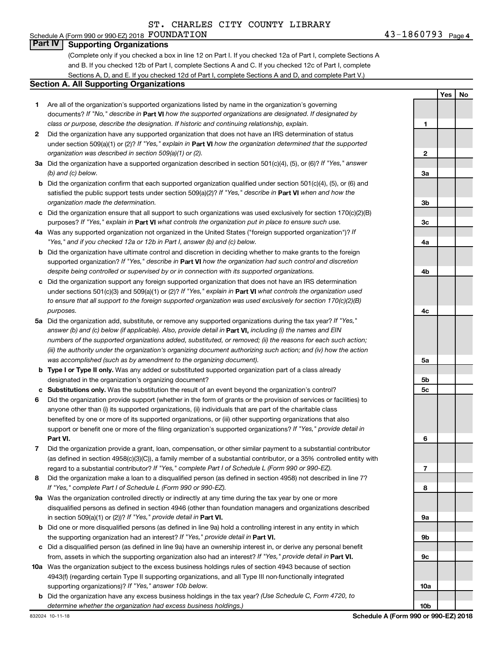#### Schedule A (Form 990 or 990-EZ) 2018 Page FOUNDATION 43-1860793**Part IV Supporting Organizations**

(Complete only if you checked a box in line 12 on Part I. If you checked 12a of Part I, complete Sections A and B. If you checked 12b of Part I, complete Sections A and C. If you checked 12c of Part I, complete Sections A, D, and E. If you checked 12d of Part I, complete Sections A and D, and complete Part V.)

#### **Section A. All Supporting Organizations**

- **1** Are all of the organization's supported organizations listed by name in the organization's governing documents? If "No," describe in Part VI how the supported organizations are designated. If designated by *class or purpose, describe the designation. If historic and continuing relationship, explain.*
- **2** Did the organization have any supported organization that does not have an IRS determination of status under section 509(a)(1) or (2)? If "Yes," explain in Part **VI** how the organization determined that the supported *organization was described in section 509(a)(1) or (2).*
- **3a** Did the organization have a supported organization described in section 501(c)(4), (5), or (6)? If "Yes," answer *(b) and (c) below.*
- **b** Did the organization confirm that each supported organization qualified under section 501(c)(4), (5), or (6) and satisfied the public support tests under section 509(a)(2)? If "Yes," describe in Part VI when and how the *organization made the determination.*
- **c** Did the organization ensure that all support to such organizations was used exclusively for section 170(c)(2)(B) purposes? If "Yes," explain in Part VI what controls the organization put in place to ensure such use.
- **4 a** *If* Was any supported organization not organized in the United States ("foreign supported organization")? *"Yes," and if you checked 12a or 12b in Part I, answer (b) and (c) below.*
- **b** Did the organization have ultimate control and discretion in deciding whether to make grants to the foreign supported organization? If "Yes," describe in Part VI how the organization had such control and discretion *despite being controlled or supervised by or in connection with its supported organizations.*
- **c** Did the organization support any foreign supported organization that does not have an IRS determination under sections 501(c)(3) and 509(a)(1) or (2)? If "Yes," explain in Part VI what controls the organization used *to ensure that all support to the foreign supported organization was used exclusively for section 170(c)(2)(B) purposes.*
- **5a** Did the organization add, substitute, or remove any supported organizations during the tax year? If "Yes," answer (b) and (c) below (if applicable). Also, provide detail in **Part VI,** including (i) the names and EIN *numbers of the supported organizations added, substituted, or removed; (ii) the reasons for each such action; (iii) the authority under the organization's organizing document authorizing such action; and (iv) how the action was accomplished (such as by amendment to the organizing document).*
- **b** Type I or Type II only. Was any added or substituted supported organization part of a class already designated in the organization's organizing document?
- **c Substitutions only.**  Was the substitution the result of an event beyond the organization's control?
- **6** Did the organization provide support (whether in the form of grants or the provision of services or facilities) to **Part VI.** support or benefit one or more of the filing organization's supported organizations? If "Yes," provide detail in anyone other than (i) its supported organizations, (ii) individuals that are part of the charitable class benefited by one or more of its supported organizations, or (iii) other supporting organizations that also
- **7** Did the organization provide a grant, loan, compensation, or other similar payment to a substantial contributor regard to a substantial contributor? If "Yes," complete Part I of Schedule L (Form 990 or 990-EZ). (as defined in section 4958(c)(3)(C)), a family member of a substantial contributor, or a 35% controlled entity with
- **8** Did the organization make a loan to a disqualified person (as defined in section 4958) not described in line 7? *If "Yes," complete Part I of Schedule L (Form 990 or 990-EZ).*
- **9 a** Was the organization controlled directly or indirectly at any time during the tax year by one or more in section 509(a)(1) or (2))? If "Yes," provide detail in **Part VI.** disqualified persons as defined in section 4946 (other than foundation managers and organizations described
- **b** Did one or more disqualified persons (as defined in line 9a) hold a controlling interest in any entity in which the supporting organization had an interest? If "Yes," provide detail in Part VI.
- **c** Did a disqualified person (as defined in line 9a) have an ownership interest in, or derive any personal benefit from, assets in which the supporting organization also had an interest? If "Yes," provide detail in Part VI.
- **10 a** Was the organization subject to the excess business holdings rules of section 4943 because of section supporting organizations)? If "Yes," answer 10b below. 4943(f) (regarding certain Type II supporting organizations, and all Type III non-functionally integrated
	- **b** Did the organization have any excess business holdings in the tax year? (Use Schedule C, Form 4720, to *determine whether the organization had excess business holdings.)*

**1 2 3a 3b 3c 4a 4b 4c 5a 5b 5c 6 7 8 9a 9b 9c 10a**

**10b**

**Yes No**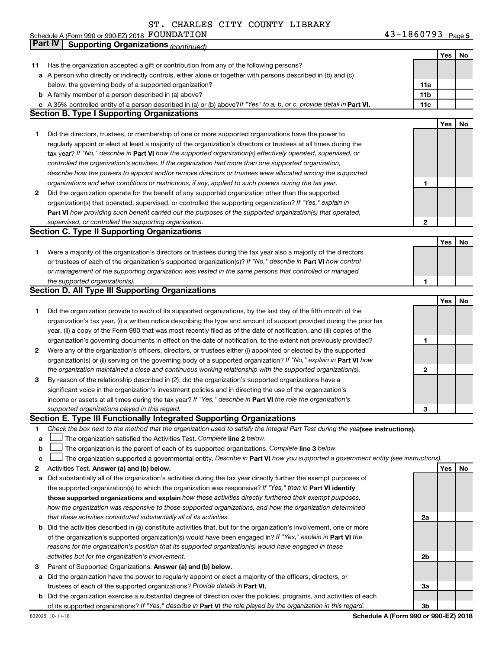Schedule A (Form 990 or 990-EZ) 2018 PUUNDATION Noted that the state of the state of the state of the state of the state of the state of the state of the state of the state of the state of the state of the state of the sta FOUNDATION 43-1860793

43-1860793 Page 5

|    | Part IV<br><b>Supporting Organizations (continued)</b>                                                                                                                                                                            |                 |            |    |
|----|-----------------------------------------------------------------------------------------------------------------------------------------------------------------------------------------------------------------------------------|-----------------|------------|----|
|    |                                                                                                                                                                                                                                   |                 | Yes        | No |
| 11 | Has the organization accepted a gift or contribution from any of the following persons?                                                                                                                                           |                 |            |    |
|    | a A person who directly or indirectly controls, either alone or together with persons described in (b) and (c)                                                                                                                    |                 |            |    |
|    | below, the governing body of a supported organization?                                                                                                                                                                            | 11a             |            |    |
|    | <b>b</b> A family member of a person described in (a) above?                                                                                                                                                                      | 11 <sub>b</sub> |            |    |
|    | c A 35% controlled entity of a person described in (a) or (b) above? If "Yes" to a, b, or c, provide detail in Part VI.                                                                                                           | 11c             |            |    |
|    | <b>Section B. Type I Supporting Organizations</b>                                                                                                                                                                                 |                 |            |    |
|    |                                                                                                                                                                                                                                   |                 | Yes        | No |
| 1  | Did the directors, trustees, or membership of one or more supported organizations have the power to                                                                                                                               |                 |            |    |
|    | regularly appoint or elect at least a majority of the organization's directors or trustees at all times during the                                                                                                                |                 |            |    |
|    | tax year? If "No," describe in Part VI how the supported organization(s) effectively operated, supervised, or                                                                                                                     |                 |            |    |
|    | controlled the organization's activities. If the organization had more than one supported organization,                                                                                                                           |                 |            |    |
|    | describe how the powers to appoint and/or remove directors or trustees were allocated among the supported                                                                                                                         |                 |            |    |
|    | organizations and what conditions or restrictions, if any, applied to such powers during the tax year.                                                                                                                            | 1               |            |    |
| 2  | Did the organization operate for the benefit of any supported organization other than the supported                                                                                                                               |                 |            |    |
|    | organization(s) that operated, supervised, or controlled the supporting organization? If "Yes," explain in                                                                                                                        |                 |            |    |
|    | Part VI how providing such benefit carried out the purposes of the supported organization(s) that operated,                                                                                                                       |                 |            |    |
|    | supervised, or controlled the supporting organization.                                                                                                                                                                            | 2               |            |    |
|    | <b>Section C. Type II Supporting Organizations</b>                                                                                                                                                                                |                 |            |    |
|    |                                                                                                                                                                                                                                   |                 | Yes        | No |
|    |                                                                                                                                                                                                                                   |                 |            |    |
| 1. | Were a majority of the organization's directors or trustees during the tax year also a majority of the directors<br>or trustees of each of the organization's supported organization(s)? If "No," describe in Part VI how control |                 |            |    |
|    |                                                                                                                                                                                                                                   |                 |            |    |
|    | or management of the supporting organization was vested in the same persons that controlled or managed                                                                                                                            |                 |            |    |
|    | the supported organization(s).<br><b>Section D. All Type III Supporting Organizations</b>                                                                                                                                         | 1               |            |    |
|    |                                                                                                                                                                                                                                   |                 | Yes        |    |
|    |                                                                                                                                                                                                                                   |                 |            | No |
| 1  | Did the organization provide to each of its supported organizations, by the last day of the fifth month of the                                                                                                                    |                 |            |    |
|    | organization's tax year, (i) a written notice describing the type and amount of support provided during the prior tax                                                                                                             |                 |            |    |
|    | year, (ii) a copy of the Form 990 that was most recently filed as of the date of notification, and (iii) copies of the                                                                                                            |                 |            |    |
|    | organization's governing documents in effect on the date of notification, to the extent not previously provided?                                                                                                                  | 1               |            |    |
| 2  | Were any of the organization's officers, directors, or trustees either (i) appointed or elected by the supported                                                                                                                  |                 |            |    |
|    | organization(s) or (ii) serving on the governing body of a supported organization? If "No," explain in Part VI how                                                                                                                |                 |            |    |
|    | the organization maintained a close and continuous working relationship with the supported organization(s).                                                                                                                       | 2               |            |    |
| 3  | By reason of the relationship described in (2), did the organization's supported organizations have a                                                                                                                             |                 |            |    |
|    | significant voice in the organization's investment policies and in directing the use of the organization's                                                                                                                        |                 |            |    |
|    | income or assets at all times during the tax year? If "Yes," describe in Part VI the role the organization's                                                                                                                      |                 |            |    |
|    | supported organizations played in this regard.                                                                                                                                                                                    | з               |            |    |
|    | Section E. Type III Functionally Integrated Supporting Organizations                                                                                                                                                              |                 |            |    |
| 1  | Check the box next to the method that the organization used to satisfy the Integral Part Test during the yealsee instructions).                                                                                                   |                 |            |    |
| a  | The organization satisfied the Activities Test. Complete line 2 below.                                                                                                                                                            |                 |            |    |
| b  | The organization is the parent of each of its supported organizations. Complete line 3 below.                                                                                                                                     |                 |            |    |
| с  | The organization supported a governmental entity. Describe in Part VI how you supported a government entity (see instructions).                                                                                                   |                 |            |    |
| 2  | Activities Test. Answer (a) and (b) below.                                                                                                                                                                                        |                 | <b>Yes</b> | No |
| а  | Did substantially all of the organization's activities during the tax year directly further the exempt purposes of                                                                                                                |                 |            |    |
|    | the supported organization(s) to which the organization was responsive? If "Yes," then in Part VI identify                                                                                                                        |                 |            |    |
|    | those supported organizations and explain how these activities directly furthered their exempt purposes,                                                                                                                          |                 |            |    |
|    | how the organization was responsive to those supported organizations, and how the organization determined                                                                                                                         |                 |            |    |
|    | that these activities constituted substantially all of its activities.                                                                                                                                                            | 2a              |            |    |
|    | b Did the activities described in (a) constitute activities that, but for the organization's involvement, one or more                                                                                                             |                 |            |    |
|    | of the organization's supported organization(s) would have been engaged in? If "Yes," explain in Part VI the                                                                                                                      |                 |            |    |
|    | reasons for the organization's position that its supported organization(s) would have engaged in these                                                                                                                            |                 |            |    |
|    | activities but for the organization's involvement.                                                                                                                                                                                | 2b              |            |    |
| З  | Parent of Supported Organizations. Answer (a) and (b) below.                                                                                                                                                                      |                 |            |    |
| а  | Did the organization have the power to regularly appoint or elect a majority of the officers, directors, or                                                                                                                       |                 |            |    |
|    | trustees of each of the supported organizations? Provide details in Part VI.                                                                                                                                                      | За              |            |    |
|    | <b>b</b> Did the organization exercise a substantial degree of direction over the policies, programs, and activities of each                                                                                                      |                 |            |    |
|    | of its supported organizations? If "Yes," describe in Part VI the role played by the organization in this regard.                                                                                                                 | 3b              |            |    |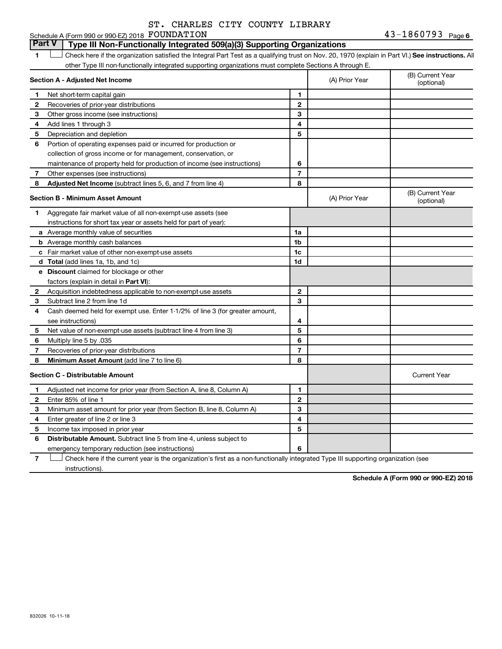#### **1 Letter or if the organization satisfied the Integral Part Test as a qualifying trust on Nov. 20, 1970 (explain in Part VI.) See instructions. All Section A - Adjusted Net Income 1 2 3 4 5 6 7 1 2 3 4 5 6 7** Schedule A (Form 990 or 990-EZ) 2018 Page FOUNDATION 43-1860793other Type III non-functionally integrated supporting organizations must complete Sections A through E. (B) Current Year (A) Prior Year Net short-term capital gain Recoveries of prior-year distributions Other gross income (see instructions) Add lines 1 through 3 Depreciation and depletion Portion of operating expenses paid or incurred for production or collection of gross income or for management, conservation, or maintenance of property held for production of income (see instructions) Other expenses (see instructions) **Part V Type III Non-Functionally Integrated 509(a)(3) Supporting Organizations**   $\Box$

| 8            | Adjusted Net Income (subtract lines 5, 6, and 7 from line 4)                 | 8              |                |                                |
|--------------|------------------------------------------------------------------------------|----------------|----------------|--------------------------------|
|              | <b>Section B - Minimum Asset Amount</b>                                      |                | (A) Prior Year | (B) Current Year<br>(optional) |
| 1            | Aggregate fair market value of all non-exempt-use assets (see                |                |                |                                |
|              | instructions for short tax year or assets held for part of year):            |                |                |                                |
|              | a Average monthly value of securities                                        | 1a             |                |                                |
|              | <b>b</b> Average monthly cash balances                                       | 1 <sub>b</sub> |                |                                |
|              | c Fair market value of other non-exempt-use assets                           | 1 <sub>c</sub> |                |                                |
|              | d Total (add lines 1a, 1b, and 1c)                                           | 1d             |                |                                |
|              | e Discount claimed for blockage or other                                     |                |                |                                |
|              | factors (explain in detail in Part VI):                                      |                |                |                                |
| 2            | Acquisition indebtedness applicable to non-exempt-use assets                 | 2              |                |                                |
| З            | Subtract line 2 from line 1d                                                 | 3              |                |                                |
| 4            | Cash deemed held for exempt use. Enter 1-1/2% of line 3 (for greater amount, |                |                |                                |
|              | see instructions)                                                            | 4              |                |                                |
| 5            | Net value of non-exempt-use assets (subtract line 4 from line 3)             | 5              |                |                                |
| 6            | Multiply line 5 by .035                                                      | 6              |                |                                |
| 7            | Recoveries of prior-year distributions                                       | 7              |                |                                |
| -8           | Minimum Asset Amount (add line 7 to line 6)                                  | 8              |                |                                |
|              | <b>Section C - Distributable Amount</b>                                      |                |                | <b>Current Year</b>            |
| 1            | Adjusted net income for prior year (from Section A, line 8, Column A)        | 1              |                |                                |
| $\mathbf{2}$ | Enter 85% of line 1                                                          | $\overline{2}$ |                |                                |
| 3            | Minimum asset amount for prior year (from Section B, line 8, Column A)       | 3              |                |                                |
| 4            | Enter greater of line 2 or line 3                                            | 4              |                |                                |
| 5            | Income tax imposed in prior year                                             | 5              |                |                                |
| 6            | <b>Distributable Amount.</b> Subtract line 5 from line 4, unless subject to  |                |                |                                |
|              | emergency temporary reduction (see instructions)                             | 6              |                |                                |

**7** Let Check here if the current year is the organization's first as a non-functionally integrated Type III supporting organization (see instructions).

**Schedule A (Form 990 or 990-EZ) 2018**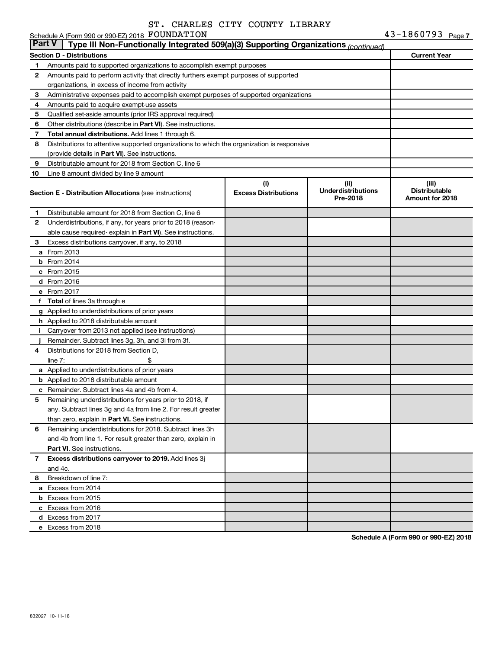Schedule A (Form 990 or 990-EZ) 2018 FOUNDATION

| <b>Part V</b><br>Type III Non-Functionally Integrated 509(a)(3) Supporting Organizations (continued) |                                                                                            |                             |                                       |                                                |  |
|------------------------------------------------------------------------------------------------------|--------------------------------------------------------------------------------------------|-----------------------------|---------------------------------------|------------------------------------------------|--|
|                                                                                                      | <b>Section D - Distributions</b>                                                           |                             |                                       | <b>Current Year</b>                            |  |
| 1                                                                                                    | Amounts paid to supported organizations to accomplish exempt purposes                      |                             |                                       |                                                |  |
| $\mathbf{2}$                                                                                         | Amounts paid to perform activity that directly furthers exempt purposes of supported       |                             |                                       |                                                |  |
|                                                                                                      | organizations, in excess of income from activity                                           |                             |                                       |                                                |  |
| 3                                                                                                    | Administrative expenses paid to accomplish exempt purposes of supported organizations      |                             |                                       |                                                |  |
| 4                                                                                                    | Amounts paid to acquire exempt-use assets                                                  |                             |                                       |                                                |  |
| 5                                                                                                    | Qualified set-aside amounts (prior IRS approval required)                                  |                             |                                       |                                                |  |
| 6                                                                                                    | Other distributions (describe in Part VI). See instructions.                               |                             |                                       |                                                |  |
| 7                                                                                                    | Total annual distributions. Add lines 1 through 6.                                         |                             |                                       |                                                |  |
| 8                                                                                                    | Distributions to attentive supported organizations to which the organization is responsive |                             |                                       |                                                |  |
|                                                                                                      | (provide details in Part VI). See instructions.                                            |                             |                                       |                                                |  |
| 9                                                                                                    | Distributable amount for 2018 from Section C, line 6                                       |                             |                                       |                                                |  |
| 10                                                                                                   | Line 8 amount divided by line 9 amount                                                     |                             |                                       |                                                |  |
|                                                                                                      |                                                                                            | (i)                         | (ii)                                  | (iii)                                          |  |
|                                                                                                      | <b>Section E - Distribution Allocations (see instructions)</b>                             | <b>Excess Distributions</b> | <b>Underdistributions</b><br>Pre-2018 | <b>Distributable</b><br><b>Amount for 2018</b> |  |
| 1                                                                                                    | Distributable amount for 2018 from Section C, line 6                                       |                             |                                       |                                                |  |
| $\mathbf{2}$                                                                                         | Underdistributions, if any, for years prior to 2018 (reason-                               |                             |                                       |                                                |  |
|                                                                                                      | able cause required- explain in Part VI). See instructions.                                |                             |                                       |                                                |  |
| 3                                                                                                    | Excess distributions carryover, if any, to 2018                                            |                             |                                       |                                                |  |
|                                                                                                      | a From 2013                                                                                |                             |                                       |                                                |  |
|                                                                                                      | <b>b</b> From 2014                                                                         |                             |                                       |                                                |  |
|                                                                                                      | c From 2015                                                                                |                             |                                       |                                                |  |
|                                                                                                      | d From 2016                                                                                |                             |                                       |                                                |  |
|                                                                                                      | e From 2017                                                                                |                             |                                       |                                                |  |
|                                                                                                      | f Total of lines 3a through e                                                              |                             |                                       |                                                |  |
|                                                                                                      | <b>g</b> Applied to underdistributions of prior years                                      |                             |                                       |                                                |  |
|                                                                                                      | h Applied to 2018 distributable amount                                                     |                             |                                       |                                                |  |
| Ť.                                                                                                   | Carryover from 2013 not applied (see instructions)                                         |                             |                                       |                                                |  |
|                                                                                                      | Remainder. Subtract lines 3g, 3h, and 3i from 3f.                                          |                             |                                       |                                                |  |
| 4                                                                                                    | Distributions for 2018 from Section D,                                                     |                             |                                       |                                                |  |
|                                                                                                      | line $7:$                                                                                  |                             |                                       |                                                |  |
|                                                                                                      | a Applied to underdistributions of prior years                                             |                             |                                       |                                                |  |
|                                                                                                      | <b>b</b> Applied to 2018 distributable amount                                              |                             |                                       |                                                |  |
| с                                                                                                    | Remainder. Subtract lines 4a and 4b from 4.                                                |                             |                                       |                                                |  |
| 5                                                                                                    | Remaining underdistributions for years prior to 2018, if                                   |                             |                                       |                                                |  |
|                                                                                                      | any. Subtract lines 3g and 4a from line 2. For result greater                              |                             |                                       |                                                |  |
|                                                                                                      | than zero, explain in Part VI. See instructions.                                           |                             |                                       |                                                |  |
| 6                                                                                                    | Remaining underdistributions for 2018. Subtract lines 3h                                   |                             |                                       |                                                |  |
|                                                                                                      | and 4b from line 1. For result greater than zero, explain in                               |                             |                                       |                                                |  |
|                                                                                                      | <b>Part VI.</b> See instructions.                                                          |                             |                                       |                                                |  |
| $\overline{7}$                                                                                       | Excess distributions carryover to 2019. Add lines 3j                                       |                             |                                       |                                                |  |
|                                                                                                      | and 4c.                                                                                    |                             |                                       |                                                |  |
| 8                                                                                                    | Breakdown of line 7:                                                                       |                             |                                       |                                                |  |
|                                                                                                      | a Excess from 2014                                                                         |                             |                                       |                                                |  |
|                                                                                                      | <b>b</b> Excess from 2015                                                                  |                             |                                       |                                                |  |
|                                                                                                      | c Excess from 2016                                                                         |                             |                                       |                                                |  |
|                                                                                                      | d Excess from 2017                                                                         |                             |                                       |                                                |  |
|                                                                                                      | e Excess from 2018                                                                         |                             |                                       |                                                |  |

**Schedule A (Form 990 or 990-EZ) 2018**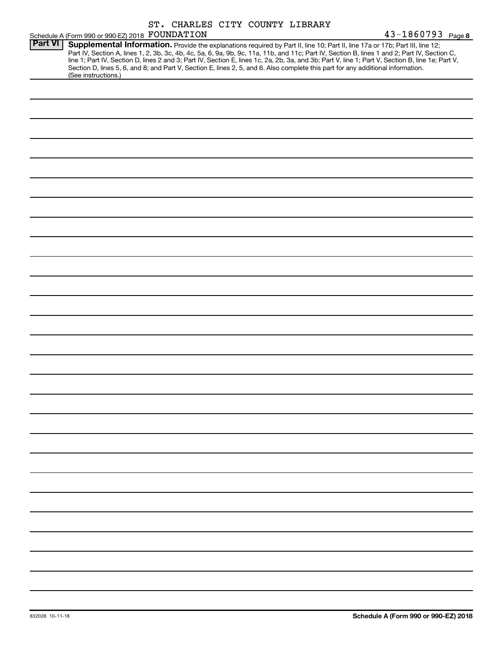|                |                                                 | ST. CHARLES CITY COUNTY LIBRARY |                                                                                                                                                                                                                                                                                                                                                                                                                                                                                                                                                                      |                   |
|----------------|-------------------------------------------------|---------------------------------|----------------------------------------------------------------------------------------------------------------------------------------------------------------------------------------------------------------------------------------------------------------------------------------------------------------------------------------------------------------------------------------------------------------------------------------------------------------------------------------------------------------------------------------------------------------------|-------------------|
|                | Schedule A (Form 990 or 990-EZ) 2018 FOUNDATION |                                 |                                                                                                                                                                                                                                                                                                                                                                                                                                                                                                                                                                      | 43-1860793 Page 8 |
| <b>Part VI</b> | (See instructions.)                             |                                 | Supplemental Information. Provide the explanations required by Part II, line 10; Part II, line 17a or 17b; Part III, line 12;<br>Part IV, Section A, lines 1, 2, 3b, 3c, 4b, 4c, 5a, 6, 9a, 9b, 9c, 11a, 11b, and 11c; Part IV, Section B, lines 1 and 2; Part IV, Section C,<br>line 1; Part IV, Section D, lines 2 and 3; Part IV, Section E, lines 1c, 2a, 2b, 3a, and 3b; Part V, line 1; Part V, Section B, line 1e; Part V,<br>Section D, lines 5, 6, and 8; and Part V, Section E, lines 2, 5, and 6. Also complete this part for any additional information. |                   |
|                |                                                 |                                 |                                                                                                                                                                                                                                                                                                                                                                                                                                                                                                                                                                      |                   |
|                |                                                 |                                 |                                                                                                                                                                                                                                                                                                                                                                                                                                                                                                                                                                      |                   |
|                |                                                 |                                 |                                                                                                                                                                                                                                                                                                                                                                                                                                                                                                                                                                      |                   |
|                |                                                 |                                 |                                                                                                                                                                                                                                                                                                                                                                                                                                                                                                                                                                      |                   |
|                |                                                 |                                 |                                                                                                                                                                                                                                                                                                                                                                                                                                                                                                                                                                      |                   |
|                |                                                 |                                 |                                                                                                                                                                                                                                                                                                                                                                                                                                                                                                                                                                      |                   |
|                |                                                 |                                 |                                                                                                                                                                                                                                                                                                                                                                                                                                                                                                                                                                      |                   |
|                |                                                 |                                 |                                                                                                                                                                                                                                                                                                                                                                                                                                                                                                                                                                      |                   |
|                |                                                 |                                 |                                                                                                                                                                                                                                                                                                                                                                                                                                                                                                                                                                      |                   |
|                |                                                 |                                 |                                                                                                                                                                                                                                                                                                                                                                                                                                                                                                                                                                      |                   |
|                |                                                 |                                 |                                                                                                                                                                                                                                                                                                                                                                                                                                                                                                                                                                      |                   |
|                |                                                 |                                 |                                                                                                                                                                                                                                                                                                                                                                                                                                                                                                                                                                      |                   |
|                |                                                 |                                 |                                                                                                                                                                                                                                                                                                                                                                                                                                                                                                                                                                      |                   |
|                |                                                 |                                 |                                                                                                                                                                                                                                                                                                                                                                                                                                                                                                                                                                      |                   |
|                |                                                 |                                 |                                                                                                                                                                                                                                                                                                                                                                                                                                                                                                                                                                      |                   |
|                |                                                 |                                 |                                                                                                                                                                                                                                                                                                                                                                                                                                                                                                                                                                      |                   |
|                |                                                 |                                 |                                                                                                                                                                                                                                                                                                                                                                                                                                                                                                                                                                      |                   |
|                |                                                 |                                 |                                                                                                                                                                                                                                                                                                                                                                                                                                                                                                                                                                      |                   |
|                |                                                 |                                 |                                                                                                                                                                                                                                                                                                                                                                                                                                                                                                                                                                      |                   |
|                |                                                 |                                 |                                                                                                                                                                                                                                                                                                                                                                                                                                                                                                                                                                      |                   |
|                |                                                 |                                 |                                                                                                                                                                                                                                                                                                                                                                                                                                                                                                                                                                      |                   |
|                |                                                 |                                 |                                                                                                                                                                                                                                                                                                                                                                                                                                                                                                                                                                      |                   |
|                |                                                 |                                 |                                                                                                                                                                                                                                                                                                                                                                                                                                                                                                                                                                      |                   |
|                |                                                 |                                 |                                                                                                                                                                                                                                                                                                                                                                                                                                                                                                                                                                      |                   |
|                |                                                 |                                 |                                                                                                                                                                                                                                                                                                                                                                                                                                                                                                                                                                      |                   |
|                |                                                 |                                 |                                                                                                                                                                                                                                                                                                                                                                                                                                                                                                                                                                      |                   |
|                |                                                 |                                 |                                                                                                                                                                                                                                                                                                                                                                                                                                                                                                                                                                      |                   |
|                |                                                 |                                 |                                                                                                                                                                                                                                                                                                                                                                                                                                                                                                                                                                      |                   |
|                |                                                 |                                 |                                                                                                                                                                                                                                                                                                                                                                                                                                                                                                                                                                      |                   |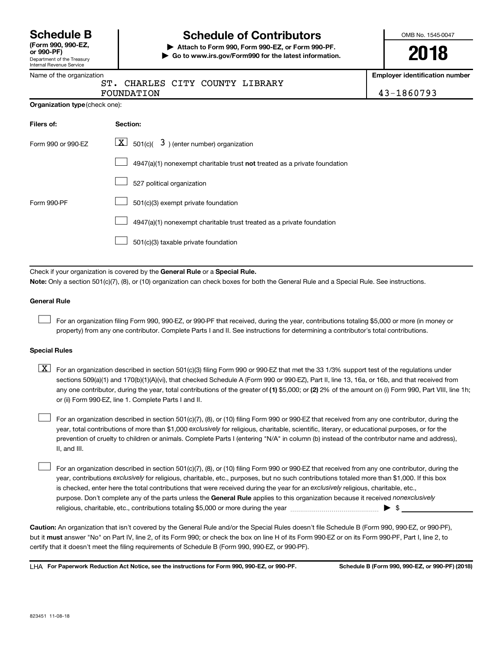Department of the Treasury Internal Revenue Service **(Form 990, 990-EZ,**

## **Schedule B Schedule of Contributors**

**or 990-PF) | Attach to Form 990, Form 990-EZ, or Form 990-PF. | Go to www.irs.gov/Form990 for the latest information.** OMB No. 1545-0047

**2018**

**Employer identification number**

|  | Name of the organization |
|--|--------------------------|
|--|--------------------------|

# ST. CHARLES CITY COUNTY LIBRARY

| <b>FOUNDATION</b> |  |                                        | 1860793 |
|-------------------|--|----------------------------------------|---------|
|                   |  | <u>UIT CHANNUM CIII COONII MIDIMAT</u> |         |

| <b>Organization type (check one):</b> |                                                                           |  |  |  |  |
|---------------------------------------|---------------------------------------------------------------------------|--|--|--|--|
| Filers of:                            | <b>Section:</b>                                                           |  |  |  |  |
| Form 990 or 990-EZ                    | $\underline{X}$ 501(c)( 3) (enter number) organization                    |  |  |  |  |
|                                       | 4947(a)(1) nonexempt charitable trust not treated as a private foundation |  |  |  |  |
|                                       | 527 political organization                                                |  |  |  |  |
| Form 990-PF                           | 501(c)(3) exempt private foundation                                       |  |  |  |  |
|                                       | 4947(a)(1) nonexempt charitable trust treated as a private foundation     |  |  |  |  |
|                                       | 501(c)(3) taxable private foundation                                      |  |  |  |  |

Check if your organization is covered by the General Rule or a Special Rule.

**Note:**  Only a section 501(c)(7), (8), or (10) organization can check boxes for both the General Rule and a Special Rule. See instructions.

#### **General Rule**

 $\Box$ 

For an organization filing Form 990, 990-EZ, or 990-PF that received, during the year, contributions totaling \$5,000 or more (in money or property) from any one contributor. Complete Parts I and II. See instructions for determining a contributor's total contributions.

#### **Special Rules**

any one contributor, during the year, total contributions of the greater of (1) \$5,000; or (2) 2% of the amount on (i) Form 990, Part VIII, line 1h;  $\boxed{\text{X}}$  For an organization described in section 501(c)(3) filing Form 990 or 990-EZ that met the 33 1/3% support test of the regulations under sections 509(a)(1) and 170(b)(1)(A)(vi), that checked Schedule A (Form 990 or 990-EZ), Part II, line 13, 16a, or 16b, and that received from or (ii) Form 990-EZ, line 1. Complete Parts I and II.

year, total contributions of more than \$1,000 *exclusively* for religious, charitable, scientific, literary, or educational purposes, or for the For an organization described in section 501(c)(7), (8), or (10) filing Form 990 or 990-EZ that received from any one contributor, during the prevention of cruelty to children or animals. Complete Parts I (entering "N/A" in column (b) instead of the contributor name and address), II, and III.  $\Box$ 

purpose. Don't complete any of the parts unless the General Rule applies to this organization because it received nonexclusively year, contributions exclusively for religious, charitable, etc., purposes, but no such contributions totaled more than \$1,000. If this box is checked, enter here the total contributions that were received during the year for an exclusively religious, charitable, etc., For an organization described in section 501(c)(7), (8), or (10) filing Form 990 or 990-EZ that received from any one contributor, during the religious, charitable, etc., contributions totaling \$5,000 or more during the year  $~\ldots\ldots\ldots\ldots\ldots\ldots\ldots\ldots\ldots\blacktriangleright~$ \$  $\Box$ 

**Caution:**  An organization that isn't covered by the General Rule and/or the Special Rules doesn't file Schedule B (Form 990, 990-EZ, or 990-PF),  **must** but it answer "No" on Part IV, line 2, of its Form 990; or check the box on line H of its Form 990-EZ or on its Form 990-PF, Part I, line 2, to certify that it doesn't meet the filing requirements of Schedule B (Form 990, 990-EZ, or 990-PF).

**For Paperwork Reduction Act Notice, see the instructions for Form 990, 990-EZ, or 990-PF. Schedule B (Form 990, 990-EZ, or 990-PF) (2018)** LHA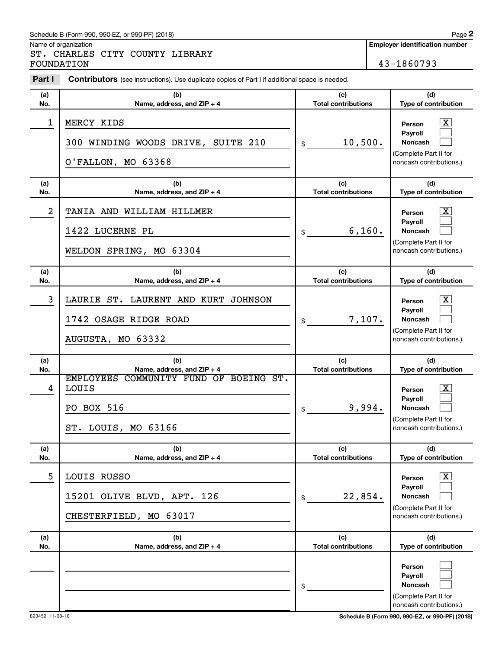#### Schedule B (Form 990, 990-EZ, or 990-PF) (2018)

Name of organization

ST. CHARLES CITY COUNTY LIBRARY FOUNDATION 43-1860793

| Part I     | <b>Contributors</b> (see instructions). Use duplicate copies of Part I if additional space is needed.              |                                            |                                                                                                                                         |
|------------|--------------------------------------------------------------------------------------------------------------------|--------------------------------------------|-----------------------------------------------------------------------------------------------------------------------------------------|
| (a)        | (b)                                                                                                                | (c)                                        | (d)                                                                                                                                     |
| No.        | Name, address, and ZIP + 4                                                                                         | <b>Total contributions</b>                 | Type of contribution                                                                                                                    |
| 1          | MERCY KIDS<br>300 WINDING WOODS DRIVE, SUITE 210<br>O'FALLON, MO 63368                                             | 10,500.<br>\$                              | $\lfloor x \rfloor$<br>Person<br>Payroll<br>Noncash<br>(Complete Part II for<br>noncash contributions.)                                 |
| (a)<br>No. | (b)<br>Name, address, and ZIP + 4                                                                                  | (c)<br><b>Total contributions</b>          | (d)<br>Type of contribution                                                                                                             |
| 2          | TANIA AND WILLIAM HILLMER<br>1422 LUCERNE PL<br>WELDON SPRING, MO 63304                                            | 6,160.<br>\$                               | $\lfloor x \rfloor$<br>Person<br>Payroll<br>Noncash<br>(Complete Part II for<br>noncash contributions.)                                 |
| (a)        | (b)                                                                                                                | (c)                                        | (d)                                                                                                                                     |
| No.        | Name, address, and ZIP + 4                                                                                         | <b>Total contributions</b>                 | Type of contribution                                                                                                                    |
| 3          | LAURIE ST. LAURENT AND KURT JOHNSON<br>1742 OSAGE RIDGE ROAD<br>AUGUSTA, MO 63332                                  | 7,107.<br>\$                               | $\boxed{\textbf{X}}$<br>Person<br>Payroll<br>Noncash<br>(Complete Part II for<br>noncash contributions.)                                |
| (a)        | (b)                                                                                                                | (c)                                        | (d)                                                                                                                                     |
| No.<br>4   | Name, address, and ZIP + 4<br>EMPLOYEES COMMUNITY FUND OF BOEING ST.<br>LOUIS<br>PO BOX 516<br>ST. LOUIS, MO 63166 | <b>Total contributions</b><br>9,994.<br>\$ | Type of contribution<br>$\lfloor x \rfloor$<br>Person<br>Payroll<br>Noncash<br>(Complete Part II for<br>noncash contributions.)         |
| (a)        | (b)                                                                                                                | (c)<br><b>Total contributions</b>          | (d)                                                                                                                                     |
| No.<br>5   | Name, address, and ZIP + 4<br>LOUIS RUSSO<br>15201 OLIVE BLVD, APT. 126<br>CHESTERFIELD, MO 63017                  | 22,854.<br>\$                              | Type of contribution<br>$\boxed{\textbf{X}}$<br>Person<br>Payroll<br><b>Noncash</b><br>(Complete Part II for<br>noncash contributions.) |
| (a)<br>No. | (b)<br>Name, address, and ZIP + 4                                                                                  | (c)<br><b>Total contributions</b>          | (d)<br>Type of contribution                                                                                                             |
|            |                                                                                                                    | \$                                         | Person<br>Payroll<br>Noncash<br>(Complete Part II for<br>noncash contributions.)                                                        |

823452 11-08-18 **Schedule B (Form 990, 990-EZ, or 990-PF) (2018)**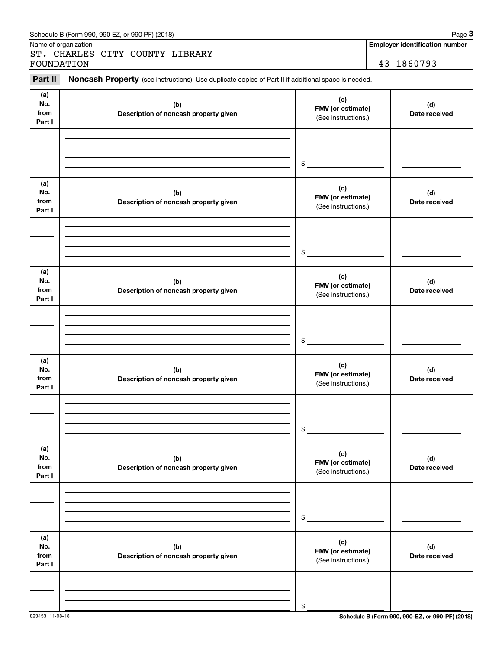|                              |                                              | Noncash Property (see instructions). Use duplicate copies of Part II if additional space is needed. |                      |
|------------------------------|----------------------------------------------|-----------------------------------------------------------------------------------------------------|----------------------|
| (a)<br>No.<br>from<br>Part I | (b)<br>Description of noncash property given | (c)<br>FMV (or estimate)<br>(See instructions.)                                                     | (d)<br>Date received |
|                              |                                              | \$                                                                                                  |                      |
| (a)<br>No.<br>from<br>Part I | (b)<br>Description of noncash property given | (c)<br>FMV (or estimate)<br>(See instructions.)                                                     | (d)<br>Date received |
|                              |                                              | \$                                                                                                  |                      |
| (a)<br>No.<br>from<br>Part I | (b)<br>Description of noncash property given | (c)<br>FMV (or estimate)<br>(See instructions.)                                                     | (d)<br>Date received |
|                              |                                              | \$                                                                                                  |                      |
| (a)<br>No.<br>from<br>Part I | (b)<br>Description of noncash property given | (c)<br>FMV (or estimate)<br>(See instructions.)                                                     | (d)<br>Date received |
|                              |                                              | \$                                                                                                  |                      |
| (a)<br>No.<br>from<br>Part I | (b)<br>Description of noncash property given | (c)<br>FMV (or estimate)<br>(See instructions.)                                                     | (d)<br>Date received |
|                              |                                              | \$                                                                                                  |                      |
| (a)<br>No.<br>from<br>Part I | (b)<br>Description of noncash property given | (c)<br>FMV (or estimate)<br>(See instructions.)                                                     | (d)<br>Date received |
|                              |                                              |                                                                                                     |                      |

#### Schedule B (Form 990, 990-EZ, or 990-PF) (2018)

Name of organization

ST. CHARLES CITY COUNTY LIBRARY FOUNDATION 43-1860793

**Employer identification number**

**3**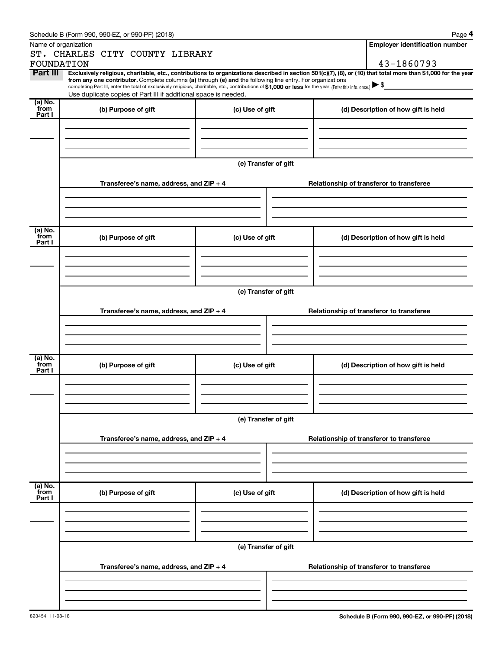|                 | Schedule B (Form 990, 990-EZ, or 990-PF) (2018)                                                                                                                                                                                                                              |                      |  |  | Page 4                                   |  |  |
|-----------------|------------------------------------------------------------------------------------------------------------------------------------------------------------------------------------------------------------------------------------------------------------------------------|----------------------|--|--|------------------------------------------|--|--|
|                 | Name of organization                                                                                                                                                                                                                                                         |                      |  |  | <b>Employer identification number</b>    |  |  |
|                 | ST. CHARLES CITY COUNTY LIBRARY                                                                                                                                                                                                                                              |                      |  |  |                                          |  |  |
| FOUNDATION      |                                                                                                                                                                                                                                                                              |                      |  |  | 43-1860793                               |  |  |
| Part III        | Exclusively religious, charitable, etc., contributions to organizations described in section 501(c)(7), (8), or (10) that total more than \$1,000 for the year<br>from any one contributor. Complete columns (a) through (e) and the following line entry. For organizations |                      |  |  |                                          |  |  |
|                 | completing Part III, enter the total of exclusively religious, charitable, etc., contributions of \$1,000 or less for the year. (Enter this info. once.) $\blacktriangleright$ \$                                                                                            |                      |  |  |                                          |  |  |
| $(a)$ No.       | Use duplicate copies of Part III if additional space is needed.                                                                                                                                                                                                              |                      |  |  |                                          |  |  |
| from            | (b) Purpose of gift                                                                                                                                                                                                                                                          | (c) Use of gift      |  |  | (d) Description of how gift is held      |  |  |
| Part I          |                                                                                                                                                                                                                                                                              |                      |  |  |                                          |  |  |
|                 |                                                                                                                                                                                                                                                                              |                      |  |  |                                          |  |  |
|                 |                                                                                                                                                                                                                                                                              |                      |  |  |                                          |  |  |
|                 |                                                                                                                                                                                                                                                                              |                      |  |  |                                          |  |  |
|                 |                                                                                                                                                                                                                                                                              | (e) Transfer of gift |  |  |                                          |  |  |
|                 |                                                                                                                                                                                                                                                                              |                      |  |  |                                          |  |  |
|                 | Transferee's name, address, and ZIP + 4                                                                                                                                                                                                                                      |                      |  |  | Relationship of transferor to transferee |  |  |
|                 |                                                                                                                                                                                                                                                                              |                      |  |  |                                          |  |  |
|                 |                                                                                                                                                                                                                                                                              |                      |  |  |                                          |  |  |
|                 |                                                                                                                                                                                                                                                                              |                      |  |  |                                          |  |  |
| (a) No.         |                                                                                                                                                                                                                                                                              |                      |  |  |                                          |  |  |
| from<br>Part I  | (b) Purpose of gift                                                                                                                                                                                                                                                          | (c) Use of gift      |  |  | (d) Description of how gift is held      |  |  |
|                 |                                                                                                                                                                                                                                                                              |                      |  |  |                                          |  |  |
|                 |                                                                                                                                                                                                                                                                              |                      |  |  |                                          |  |  |
|                 |                                                                                                                                                                                                                                                                              |                      |  |  |                                          |  |  |
|                 | (e) Transfer of gift                                                                                                                                                                                                                                                         |                      |  |  |                                          |  |  |
|                 |                                                                                                                                                                                                                                                                              |                      |  |  |                                          |  |  |
|                 | Transferee's name, address, and ZIP + 4                                                                                                                                                                                                                                      |                      |  |  | Relationship of transferor to transferee |  |  |
|                 |                                                                                                                                                                                                                                                                              |                      |  |  |                                          |  |  |
|                 |                                                                                                                                                                                                                                                                              |                      |  |  |                                          |  |  |
|                 |                                                                                                                                                                                                                                                                              |                      |  |  |                                          |  |  |
| $(a)$ No.       |                                                                                                                                                                                                                                                                              |                      |  |  |                                          |  |  |
| from<br>Part I  | (b) Purpose of gift                                                                                                                                                                                                                                                          | (c) Use of gift      |  |  | (d) Description of how gift is held      |  |  |
|                 |                                                                                                                                                                                                                                                                              |                      |  |  |                                          |  |  |
|                 |                                                                                                                                                                                                                                                                              |                      |  |  |                                          |  |  |
|                 |                                                                                                                                                                                                                                                                              |                      |  |  |                                          |  |  |
|                 |                                                                                                                                                                                                                                                                              |                      |  |  |                                          |  |  |
|                 | (e) Transfer of gift                                                                                                                                                                                                                                                         |                      |  |  |                                          |  |  |
|                 |                                                                                                                                                                                                                                                                              |                      |  |  |                                          |  |  |
|                 | Transferee's name, address, and ZIP + 4                                                                                                                                                                                                                                      |                      |  |  | Relationship of transferor to transferee |  |  |
|                 |                                                                                                                                                                                                                                                                              |                      |  |  |                                          |  |  |
|                 |                                                                                                                                                                                                                                                                              |                      |  |  |                                          |  |  |
|                 |                                                                                                                                                                                                                                                                              |                      |  |  |                                          |  |  |
| (a) No.<br>from | (b) Purpose of gift                                                                                                                                                                                                                                                          | (c) Use of gift      |  |  | (d) Description of how gift is held      |  |  |
| Part I          |                                                                                                                                                                                                                                                                              |                      |  |  |                                          |  |  |
|                 |                                                                                                                                                                                                                                                                              |                      |  |  |                                          |  |  |
|                 |                                                                                                                                                                                                                                                                              |                      |  |  |                                          |  |  |
|                 |                                                                                                                                                                                                                                                                              |                      |  |  |                                          |  |  |
|                 |                                                                                                                                                                                                                                                                              | (e) Transfer of gift |  |  |                                          |  |  |
|                 |                                                                                                                                                                                                                                                                              |                      |  |  |                                          |  |  |
|                 | Transferee's name, address, and ZIP + 4                                                                                                                                                                                                                                      |                      |  |  | Relationship of transferor to transferee |  |  |
|                 |                                                                                                                                                                                                                                                                              |                      |  |  |                                          |  |  |
|                 |                                                                                                                                                                                                                                                                              |                      |  |  |                                          |  |  |
|                 |                                                                                                                                                                                                                                                                              |                      |  |  |                                          |  |  |
|                 |                                                                                                                                                                                                                                                                              |                      |  |  |                                          |  |  |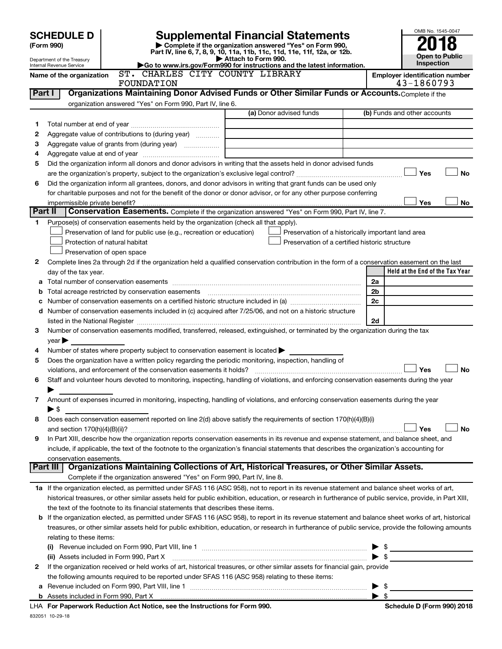|         |                                                        |                                                                                                                                                                               |                     |                                                                                                                                      |                | OMB No. 1545-0047                     |
|---------|--------------------------------------------------------|-------------------------------------------------------------------------------------------------------------------------------------------------------------------------------|---------------------|--------------------------------------------------------------------------------------------------------------------------------------|----------------|---------------------------------------|
|         | <b>SCHEDULE D</b>                                      |                                                                                                                                                                               |                     | <b>Supplemental Financial Statements</b>                                                                                             |                |                                       |
|         | (Form 990)                                             |                                                                                                                                                                               |                     | Complete if the organization answered "Yes" on Form 990,<br>Part IV, line 6, 7, 8, 9, 10, 11a, 11b, 11c, 11d, 11e, 11f, 12a, or 12b. |                |                                       |
|         | Department of the Treasury<br>Internal Revenue Service | Go to www.irs.gov/Form990 for instructions and the latest information.                                                                                                        | Attach to Form 990. |                                                                                                                                      |                | <b>Open to Public</b><br>Inspection   |
|         | Name of the organization                               | ST. CHARLES CITY COUNTY LIBRARY                                                                                                                                               |                     |                                                                                                                                      |                | <b>Employer identification number</b> |
|         |                                                        | FOUNDATION                                                                                                                                                                    |                     |                                                                                                                                      |                | 43-1860793                            |
| Part I  |                                                        | Organizations Maintaining Donor Advised Funds or Other Similar Funds or Accounts. Complete if the                                                                             |                     |                                                                                                                                      |                |                                       |
|         |                                                        | organization answered "Yes" on Form 990, Part IV, line 6.                                                                                                                     |                     | (a) Donor advised funds                                                                                                              |                | (b) Funds and other accounts          |
|         |                                                        |                                                                                                                                                                               |                     |                                                                                                                                      |                |                                       |
| 1<br>2  |                                                        | Aggregate value of contributions to (during year)                                                                                                                             |                     |                                                                                                                                      |                |                                       |
| з       |                                                        |                                                                                                                                                                               |                     |                                                                                                                                      |                |                                       |
| 4       |                                                        |                                                                                                                                                                               |                     | the control of the control of the control of the control of                                                                          |                |                                       |
| 5       |                                                        | Did the organization inform all donors and donor advisors in writing that the assets held in donor advised funds                                                              |                     |                                                                                                                                      |                |                                       |
|         |                                                        |                                                                                                                                                                               |                     |                                                                                                                                      |                | Yes<br><b>No</b>                      |
| 6       |                                                        | Did the organization inform all grantees, donors, and donor advisors in writing that grant funds can be used only                                                             |                     |                                                                                                                                      |                |                                       |
|         |                                                        | for charitable purposes and not for the benefit of the donor or donor advisor, or for any other purpose conferring                                                            |                     |                                                                                                                                      |                |                                       |
|         | impermissible private benefit?                         |                                                                                                                                                                               |                     |                                                                                                                                      |                | Yes<br>No                             |
| Part II |                                                        | Conservation Easements. Complete if the organization answered "Yes" on Form 990, Part IV, line 7.                                                                             |                     |                                                                                                                                      |                |                                       |
| 1       |                                                        | Purpose(s) of conservation easements held by the organization (check all that apply).                                                                                         |                     |                                                                                                                                      |                |                                       |
|         |                                                        | Preservation of land for public use (e.g., recreation or education)                                                                                                           |                     | Preservation of a historically important land area                                                                                   |                |                                       |
|         |                                                        | Protection of natural habitat                                                                                                                                                 |                     | Preservation of a certified historic structure                                                                                       |                |                                       |
| 2       |                                                        | Preservation of open space<br>Complete lines 2a through 2d if the organization held a qualified conservation contribution in the form of a conservation easement on the last  |                     |                                                                                                                                      |                |                                       |
|         | day of the tax year.                                   |                                                                                                                                                                               |                     |                                                                                                                                      |                | Held at the End of the Tax Year       |
|         |                                                        |                                                                                                                                                                               |                     |                                                                                                                                      | 2a             |                                       |
| b       |                                                        | Total acreage restricted by conservation easements                                                                                                                            |                     |                                                                                                                                      | 2 <sub>b</sub> |                                       |
|         |                                                        |                                                                                                                                                                               |                     |                                                                                                                                      | 2c             |                                       |
|         |                                                        | d Number of conservation easements included in (c) acquired after 7/25/06, and not on a historic structure                                                                    |                     |                                                                                                                                      |                |                                       |
|         |                                                        |                                                                                                                                                                               |                     |                                                                                                                                      | 2d             |                                       |
| 3       |                                                        | Number of conservation easements modified, transferred, released, extinguished, or terminated by the organization during the tax                                              |                     |                                                                                                                                      |                |                                       |
|         | $year \blacktriangleright$                             |                                                                                                                                                                               |                     |                                                                                                                                      |                |                                       |
| 4       |                                                        | Number of states where property subject to conservation easement is located $\blacktriangleright$                                                                             |                     |                                                                                                                                      |                |                                       |
| 5       |                                                        | Does the organization have a written policy regarding the periodic monitoring, inspection, handling of<br>violations, and enforcement of the conservation easements it holds? |                     |                                                                                                                                      |                | Yes<br>No                             |
| 6       |                                                        | Staff and volunteer hours devoted to monitoring, inspecting, handling of violations, and enforcing conservation easements during the year                                     |                     |                                                                                                                                      |                |                                       |
|         |                                                        |                                                                                                                                                                               |                     |                                                                                                                                      |                |                                       |
| 7       |                                                        | Amount of expenses incurred in monitoring, inspecting, handling of violations, and enforcing conservation easements during the year                                           |                     |                                                                                                                                      |                |                                       |
|         | $\blacktriangleright$ \$                               |                                                                                                                                                                               |                     |                                                                                                                                      |                |                                       |
| 8       |                                                        | Does each conservation easement reported on line 2(d) above satisfy the requirements of section 170(h)(4)(B)(i)                                                               |                     |                                                                                                                                      |                |                                       |
|         |                                                        |                                                                                                                                                                               |                     |                                                                                                                                      |                | Yes<br>No                             |
| 9       |                                                        | In Part XIII, describe how the organization reports conservation easements in its revenue and expense statement, and balance sheet, and                                       |                     |                                                                                                                                      |                |                                       |
|         |                                                        | include, if applicable, the text of the footnote to the organization's financial statements that describes the organization's accounting for                                  |                     |                                                                                                                                      |                |                                       |
|         | conservation easements.                                |                                                                                                                                                                               |                     |                                                                                                                                      |                |                                       |
|         | Part III                                               | Organizations Maintaining Collections of Art, Historical Treasures, or Other Similar Assets.<br>Complete if the organization answered "Yes" on Form 990, Part IV, line 8.     |                     |                                                                                                                                      |                |                                       |
|         |                                                        | 1a If the organization elected, as permitted under SFAS 116 (ASC 958), not to report in its revenue statement and balance sheet works of art,                                 |                     |                                                                                                                                      |                |                                       |
|         |                                                        | historical treasures, or other similar assets held for public exhibition, education, or research in furtherance of public service, provide, in Part XIII,                     |                     |                                                                                                                                      |                |                                       |
|         |                                                        | the text of the footnote to its financial statements that describes these items.                                                                                              |                     |                                                                                                                                      |                |                                       |
|         |                                                        | <b>b</b> If the organization elected, as permitted under SFAS 116 (ASC 958), to report in its revenue statement and balance sheet works of art, historical                    |                     |                                                                                                                                      |                |                                       |
|         |                                                        | treasures, or other similar assets held for public exhibition, education, or research in furtherance of public service, provide the following amounts                         |                     |                                                                                                                                      |                |                                       |
|         | relating to these items:                               |                                                                                                                                                                               |                     |                                                                                                                                      |                |                                       |
|         |                                                        |                                                                                                                                                                               |                     |                                                                                                                                      |                |                                       |
|         |                                                        | (ii) Assets included in Form 990, Part X                                                                                                                                      |                     |                                                                                                                                      |                |                                       |
| 2       |                                                        | If the organization received or held works of art, historical treasures, or other similar assets for financial gain, provide                                                  |                     |                                                                                                                                      |                |                                       |
|         |                                                        | the following amounts required to be reported under SFAS 116 (ASC 958) relating to these items:                                                                               |                     |                                                                                                                                      |                |                                       |

| <b>b</b> Assets included in Form 990. Part X                               | æ |
|----------------------------------------------------------------------------|---|
| LHA For Paperwork Reduction Act Notice, see the Instructions for Form 990. |   |
| 832051 10-29-18                                                            |   |

**a** Revenue included on Form 990, Part VIII, line 1 ~~~~~~~~~~~~~~~~~~~~~~~~~~~~~~ | \$

**Schedule D (Form 990) 2018**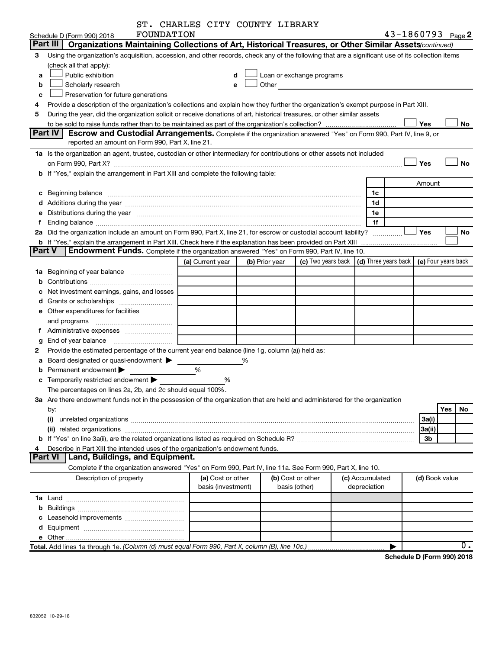|        | FOUNDATION<br>Schedule D (Form 990) 2018                                                                                                                                                                                      | ST. CHARLES CITY COUNTY LIBRARY |                |                           |                 |              |                | 43-1860793 Page 2                            |
|--------|-------------------------------------------------------------------------------------------------------------------------------------------------------------------------------------------------------------------------------|---------------------------------|----------------|---------------------------|-----------------|--------------|----------------|----------------------------------------------|
|        | Part III<br>Organizations Maintaining Collections of Art, Historical Treasures, or Other Similar Assets (continued)                                                                                                           |                                 |                |                           |                 |              |                |                                              |
| 3      | Using the organization's acquisition, accession, and other records, check any of the following that are a significant use of its collection items                                                                             |                                 |                |                           |                 |              |                |                                              |
|        | (check all that apply):                                                                                                                                                                                                       |                                 |                |                           |                 |              |                |                                              |
| a      | Public exhibition                                                                                                                                                                                                             |                                 |                | Loan or exchange programs |                 |              |                |                                              |
| b      | Scholarly research                                                                                                                                                                                                            |                                 | Other<br>e     |                           |                 |              |                |                                              |
| C      | Preservation for future generations                                                                                                                                                                                           |                                 |                |                           |                 |              |                |                                              |
| 4      | Provide a description of the organization's collections and explain how they further the organization's exempt purpose in Part XIII.                                                                                          |                                 |                |                           |                 |              |                |                                              |
| 5      | During the year, did the organization solicit or receive donations of art, historical treasures, or other similar assets                                                                                                      |                                 |                |                           |                 |              |                |                                              |
|        |                                                                                                                                                                                                                               |                                 |                |                           |                 |              | Yes            | No                                           |
|        | Part IV<br>Escrow and Custodial Arrangements. Complete if the organization answered "Yes" on Form 990, Part IV, line 9, or                                                                                                    |                                 |                |                           |                 |              |                |                                              |
|        | reported an amount on Form 990, Part X, line 21.                                                                                                                                                                              |                                 |                |                           |                 |              |                |                                              |
|        |                                                                                                                                                                                                                               |                                 |                |                           |                 |              |                |                                              |
|        | 1a Is the organization an agent, trustee, custodian or other intermediary for contributions or other assets not included                                                                                                      |                                 |                |                           |                 |              | Yes            | No                                           |
|        | b If "Yes," explain the arrangement in Part XIII and complete the following table:                                                                                                                                            |                                 |                |                           |                 |              |                |                                              |
|        |                                                                                                                                                                                                                               |                                 |                |                           |                 |              |                |                                              |
|        |                                                                                                                                                                                                                               |                                 |                |                           |                 |              | Amount         |                                              |
|        |                                                                                                                                                                                                                               |                                 |                |                           |                 | 1c           |                |                                              |
|        |                                                                                                                                                                                                                               |                                 |                |                           |                 | 1d           |                |                                              |
|        | e Distributions during the year manufactured and an account of the year manufactured and account of the year manufactured and account of the USA of the USA of the USA of the USA of the USA of the USA of the USA of the USA |                                 |                |                           |                 | 1e           |                |                                              |
| f      |                                                                                                                                                                                                                               |                                 |                |                           |                 | 1f           |                |                                              |
|        | 2a Did the organization include an amount on Form 990, Part X, line 21, for escrow or custodial account liability?                                                                                                            |                                 |                |                           |                 |              | Yes            | No                                           |
|        | <b>b</b> If "Yes," explain the arrangement in Part XIII. Check here if the explanation has been provided on Part XIII                                                                                                         |                                 |                |                           |                 |              |                |                                              |
| Part V | Endowment Funds. Complete if the organization answered "Yes" on Form 990, Part IV, line 10.                                                                                                                                   |                                 |                |                           |                 |              |                |                                              |
|        |                                                                                                                                                                                                                               | (a) Current year                | (b) Prior year | (c) Two years back        |                 |              |                | (d) Three years back $ $ (e) Four years back |
|        | 1a Beginning of year balance                                                                                                                                                                                                  |                                 |                |                           |                 |              |                |                                              |
| b      |                                                                                                                                                                                                                               |                                 |                |                           |                 |              |                |                                              |
| с      | Net investment earnings, gains, and losses                                                                                                                                                                                    |                                 |                |                           |                 |              |                |                                              |
|        | d Grants or scholarships                                                                                                                                                                                                      |                                 |                |                           |                 |              |                |                                              |
|        | <b>e</b> Other expenditures for facilities                                                                                                                                                                                    |                                 |                |                           |                 |              |                |                                              |
|        | and programs                                                                                                                                                                                                                  |                                 |                |                           |                 |              |                |                                              |
|        |                                                                                                                                                                                                                               |                                 |                |                           |                 |              |                |                                              |
| g      |                                                                                                                                                                                                                               |                                 |                |                           |                 |              |                |                                              |
| 2      | Provide the estimated percentage of the current year end balance (line 1g, column (a)) held as:                                                                                                                               |                                 |                |                           |                 |              |                |                                              |
| a      | Board designated or quasi-endowment                                                                                                                                                                                           |                                 | %              |                           |                 |              |                |                                              |
| b      | Permanent endowment                                                                                                                                                                                                           | %                               |                |                           |                 |              |                |                                              |
|        | <b>c</b> Temporarily restricted endowment $\blacktriangleright$                                                                                                                                                               | %                               |                |                           |                 |              |                |                                              |
|        | The percentages on lines 2a, 2b, and 2c should equal 100%.                                                                                                                                                                    |                                 |                |                           |                 |              |                |                                              |
|        | 3a Are there endowment funds not in the possession of the organization that are held and administered for the organization                                                                                                    |                                 |                |                           |                 |              |                |                                              |
|        | by:                                                                                                                                                                                                                           |                                 |                |                           |                 |              |                | Yes<br>No.                                   |
|        | (i)                                                                                                                                                                                                                           |                                 |                |                           |                 |              | 3a(i)          |                                              |
|        |                                                                                                                                                                                                                               |                                 |                |                           |                 |              | 3a(ii)         |                                              |
| b      |                                                                                                                                                                                                                               |                                 |                |                           |                 |              | 3b             |                                              |
| 4      | Describe in Part XIII the intended uses of the organization's endowment funds.                                                                                                                                                |                                 |                |                           |                 |              |                |                                              |
|        | <b>Part VI</b><br>Land, Buildings, and Equipment.                                                                                                                                                                             |                                 |                |                           |                 |              |                |                                              |
|        | Complete if the organization answered "Yes" on Form 990, Part IV, line 11a. See Form 990, Part X, line 10.                                                                                                                    |                                 |                |                           |                 |              |                |                                              |
|        | Description of property                                                                                                                                                                                                       | (a) Cost or other               |                | (b) Cost or other         | (c) Accumulated |              | (d) Book value |                                              |
|        |                                                                                                                                                                                                                               | basis (investment)              |                | basis (other)             |                 | depreciation |                |                                              |
|        |                                                                                                                                                                                                                               |                                 |                |                           |                 |              |                |                                              |
| b      |                                                                                                                                                                                                                               |                                 |                |                           |                 |              |                |                                              |
|        | Leasehold improvements                                                                                                                                                                                                        |                                 |                |                           |                 |              |                |                                              |
|        |                                                                                                                                                                                                                               |                                 |                |                           |                 |              |                |                                              |
|        |                                                                                                                                                                                                                               |                                 |                |                           |                 |              |                |                                              |
|        | Total. Add lines 1a through 1e. (Column (d) must equal Form 990, Part X, column (B), line 10c.)                                                                                                                               |                                 |                |                           |                 |              |                | 0.                                           |
|        |                                                                                                                                                                                                                               |                                 |                |                           |                 |              |                | $div16$ D (Ferma 000) 0040                   |

**Schedule D (Form 990) 2018**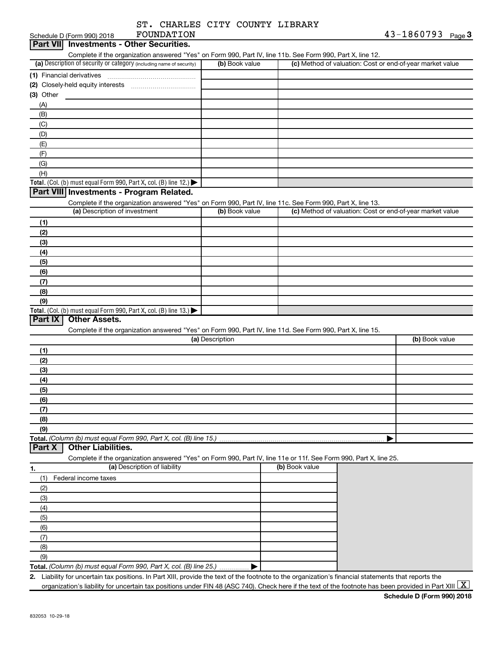| ST. CHARLES CITY COUNTY LIBRARY |  |  |
|---------------------------------|--|--|
|                                 |  |  |

|             | Schedule D (Form 990) 2018               | FOUNDATION                                                                                                                                           |                 |                | $43 - 1860793$ Page 3                                     |
|-------------|------------------------------------------|------------------------------------------------------------------------------------------------------------------------------------------------------|-----------------|----------------|-----------------------------------------------------------|
|             | Part VII Investments - Other Securities. |                                                                                                                                                      |                 |                |                                                           |
|             |                                          | Complete if the organization answered "Yes" on Form 990, Part IV, line 11b. See Form 990, Part X, line 12.                                           |                 |                |                                                           |
|             |                                          | (a) Description of security or category (including name of security)                                                                                 | (b) Book value  |                | (c) Method of valuation: Cost or end-of-year market value |
|             |                                          |                                                                                                                                                      |                 |                |                                                           |
|             |                                          |                                                                                                                                                      |                 |                |                                                           |
| $(3)$ Other |                                          |                                                                                                                                                      |                 |                |                                                           |
| (A)         |                                          |                                                                                                                                                      |                 |                |                                                           |
| (B)         |                                          |                                                                                                                                                      |                 |                |                                                           |
| (C)         |                                          |                                                                                                                                                      |                 |                |                                                           |
| (D)         |                                          |                                                                                                                                                      |                 |                |                                                           |
|             |                                          |                                                                                                                                                      |                 |                |                                                           |
| (E)         |                                          |                                                                                                                                                      |                 |                |                                                           |
| (F)         |                                          |                                                                                                                                                      |                 |                |                                                           |
| (G)         |                                          |                                                                                                                                                      |                 |                |                                                           |
| (H)         |                                          |                                                                                                                                                      |                 |                |                                                           |
|             |                                          | Total. (Col. (b) must equal Form 990, Part X, col. (B) line 12.)                                                                                     |                 |                |                                                           |
|             |                                          | Part VIII Investments - Program Related.                                                                                                             |                 |                |                                                           |
|             |                                          | Complete if the organization answered "Yes" on Form 990, Part IV, line 11c. See Form 990, Part X, line 13.                                           |                 |                |                                                           |
|             | (a) Description of investment            |                                                                                                                                                      | (b) Book value  |                | (c) Method of valuation: Cost or end-of-year market value |
| (1)         |                                          |                                                                                                                                                      |                 |                |                                                           |
| (2)         |                                          |                                                                                                                                                      |                 |                |                                                           |
| (3)         |                                          |                                                                                                                                                      |                 |                |                                                           |
| (4)         |                                          |                                                                                                                                                      |                 |                |                                                           |
| (5)         |                                          |                                                                                                                                                      |                 |                |                                                           |
| (6)         |                                          |                                                                                                                                                      |                 |                |                                                           |
| (7)         |                                          |                                                                                                                                                      |                 |                |                                                           |
| (8)         |                                          |                                                                                                                                                      |                 |                |                                                           |
| (9)         |                                          |                                                                                                                                                      |                 |                |                                                           |
|             |                                          | Total. (Col. (b) must equal Form 990, Part X, col. (B) line 13.) $\blacktriangleright$                                                               |                 |                |                                                           |
| Part IX     | <b>Other Assets.</b>                     |                                                                                                                                                      |                 |                |                                                           |
|             |                                          | Complete if the organization answered "Yes" on Form 990, Part IV, line 11d. See Form 990, Part X, line 15.                                           |                 |                |                                                           |
|             |                                          |                                                                                                                                                      | (a) Description |                | (b) Book value                                            |
| (1)         |                                          |                                                                                                                                                      |                 |                |                                                           |
| (2)         |                                          |                                                                                                                                                      |                 |                |                                                           |
|             |                                          |                                                                                                                                                      |                 |                |                                                           |
| (3)         |                                          |                                                                                                                                                      |                 |                |                                                           |
| (4)         |                                          |                                                                                                                                                      |                 |                |                                                           |
| (5)         |                                          |                                                                                                                                                      |                 |                |                                                           |
| (6)         |                                          |                                                                                                                                                      |                 |                |                                                           |
| (7)         |                                          |                                                                                                                                                      |                 |                |                                                           |
| (8)         |                                          |                                                                                                                                                      |                 |                |                                                           |
| (9)         |                                          |                                                                                                                                                      |                 |                |                                                           |
|             |                                          | Total. (Column (b) must equal Form 990, Part X, col. (B) line 15.)                                                                                   |                 |                |                                                           |
| Part X      | <b>Other Liabilities.</b>                |                                                                                                                                                      |                 |                |                                                           |
|             |                                          | Complete if the organization answered "Yes" on Form 990, Part IV, line 11e or 11f. See Form 990, Part X, line 25.                                    |                 |                |                                                           |
| 1.          |                                          | (a) Description of liability                                                                                                                         |                 | (b) Book value |                                                           |
| (1)         | Federal income taxes                     |                                                                                                                                                      |                 |                |                                                           |
| (2)         |                                          |                                                                                                                                                      |                 |                |                                                           |
| (3)         |                                          |                                                                                                                                                      |                 |                |                                                           |
| (4)         |                                          |                                                                                                                                                      |                 |                |                                                           |
| (5)         |                                          |                                                                                                                                                      |                 |                |                                                           |
| (6)         |                                          |                                                                                                                                                      |                 |                |                                                           |
|             |                                          |                                                                                                                                                      |                 |                |                                                           |
| (7)         |                                          |                                                                                                                                                      |                 |                |                                                           |
| (8)         |                                          |                                                                                                                                                      |                 |                |                                                           |
| (9)         |                                          |                                                                                                                                                      |                 |                |                                                           |
|             |                                          | Total. (Column (b) must equal Form 990, Part X, col. (B) line 25.)                                                                                   |                 |                |                                                           |
|             |                                          | 2. Liability for uncertain tax positions. In Part XIII, provide the text of the footnote to the organization's financial statements that reports the |                 |                |                                                           |

organization's liability for uncertain tax positions under FIN 48 (ASC 740). Check here if the text of the footnote has been provided in Part XIII  $\boxed{\text{X}}$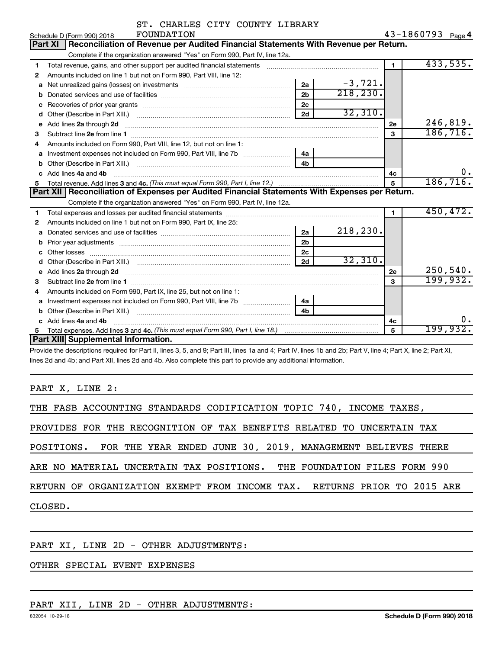|   | ST. CHARLES CITY COUNTY LIBRARY                                                                                                                                                                                                      |                |           |                |                   |
|---|--------------------------------------------------------------------------------------------------------------------------------------------------------------------------------------------------------------------------------------|----------------|-----------|----------------|-------------------|
|   | FOUNDATION<br>Schedule D (Form 990) 2018                                                                                                                                                                                             |                |           |                | 43-1860793 Page 4 |
|   | Reconciliation of Revenue per Audited Financial Statements With Revenue per Return.<br><b>Part XI</b>                                                                                                                                |                |           |                |                   |
|   | Complete if the organization answered "Yes" on Form 990, Part IV, line 12a.                                                                                                                                                          |                |           |                |                   |
| 1 | Total revenue, gains, and other support per audited financial statements                                                                                                                                                             |                |           | $\blacksquare$ | 433,535.          |
| 2 | Amounts included on line 1 but not on Form 990, Part VIII, line 12:                                                                                                                                                                  |                |           |                |                   |
| a |                                                                                                                                                                                                                                      | 2a             | $-3,721.$ |                |                   |
| b |                                                                                                                                                                                                                                      | 2 <sub>b</sub> | 218,230.  |                |                   |
|   |                                                                                                                                                                                                                                      | 2c             |           |                |                   |
| d |                                                                                                                                                                                                                                      | 2d             | 32,310.   |                |                   |
| е | Add lines 2a through 2d                                                                                                                                                                                                              |                |           | 2e             | 246,819.          |
| 3 |                                                                                                                                                                                                                                      |                |           | 3              | 186, 716.         |
| 4 | Amounts included on Form 990, Part VIII, line 12, but not on line 1:                                                                                                                                                                 |                |           |                |                   |
| a |                                                                                                                                                                                                                                      | 4a             |           |                |                   |
| b | Other (Describe in Part XIII.) <b>2000</b> 2000 2010 2010 2010 2010 2011 2012 2013 2014 2015 2016 2017 2018 2019 2016 2016 2017 2018 2019 2016 2017 2018 2019 2016 2017 2018 2019 2018 2019 2019 2016 2017 2018 2019 2019 2018 2019  | 4b             |           |                |                   |
| c | Add lines 4a and 4b                                                                                                                                                                                                                  |                |           | 4c             | 0.                |
|   |                                                                                                                                                                                                                                      | 5              | 186, 716. |                |                   |
|   | Part XII   Reconciliation of Expenses per Audited Financial Statements With Expenses per Return.                                                                                                                                     |                |           |                |                   |
|   | Complete if the organization answered "Yes" on Form 990, Part IV, line 12a.                                                                                                                                                          |                |           |                |                   |
| 1 |                                                                                                                                                                                                                                      |                |           | 1              | 450, 472.         |
| 2 | Amounts included on line 1 but not on Form 990, Part IX, line 25:                                                                                                                                                                    |                |           |                |                   |
| а |                                                                                                                                                                                                                                      | 2a             | 218, 230. |                |                   |
| b |                                                                                                                                                                                                                                      | 2 <sub>b</sub> |           |                |                   |
| c |                                                                                                                                                                                                                                      | 2c             |           |                |                   |
|   |                                                                                                                                                                                                                                      | 2d             | 32,310.   |                |                   |
| е | Add lines 2a through 2d <b>contract and the contract of the contract of the contract of the contract of the contract of the contract of the contract of the contract of the contract of the contract of the contract of the cont</b> |                |           | 2е             | 250,540.          |
| 3 |                                                                                                                                                                                                                                      |                |           | 3              | 199,932.          |
| 4 | Amounts included on Form 990, Part IX, line 25, but not on line 1:                                                                                                                                                                   |                |           |                |                   |
| a |                                                                                                                                                                                                                                      | 4a             |           |                |                   |
| b |                                                                                                                                                                                                                                      | 4b             |           |                |                   |
| c | Add lines 4a and 4b                                                                                                                                                                                                                  |                |           | 4с             | ο.                |
| 5 |                                                                                                                                                                                                                                      |                |           | 5              | <u>199,932.</u>   |
|   | Part XIII Supplemental Information.                                                                                                                                                                                                  |                |           |                |                   |

Provide the descriptions required for Part II, lines 3, 5, and 9; Part III, lines 1a and 4; Part IV, lines 1b and 2b; Part V, line 4; Part X, line 2; Part XI, lines 2d and 4b; and Part XII, lines 2d and 4b. Also complete this part to provide any additional information.

PART X, LINE 2:

| THE FASB ACCOUNTING STANDARDS CODIFICATION TOPIC 740, INCOME TAXES,       |
|---------------------------------------------------------------------------|
| PROVIDES FOR THE RECOGNITION OF TAX BENEFITS RELATED TO UNCERTAIN TAX     |
| POSITIONS. FOR THE YEAR ENDED JUNE 30, 2019, MANAGEMENT BELIEVES THERE    |
| ARE NO MATERIAL UNCERTAIN TAX POSITIONS. THE FOUNDATION FILES FORM 990    |
| RETURN OF ORGANIZATION EXEMPT FROM INCOME TAX.  RETURNS PRIOR TO 2015 ARE |
| CLOSED.                                                                   |
|                                                                           |

#### PART XI, LINE 2D - OTHER ADJUSTMENTS:

#### OTHER SPECIAL EVENT EXPENSES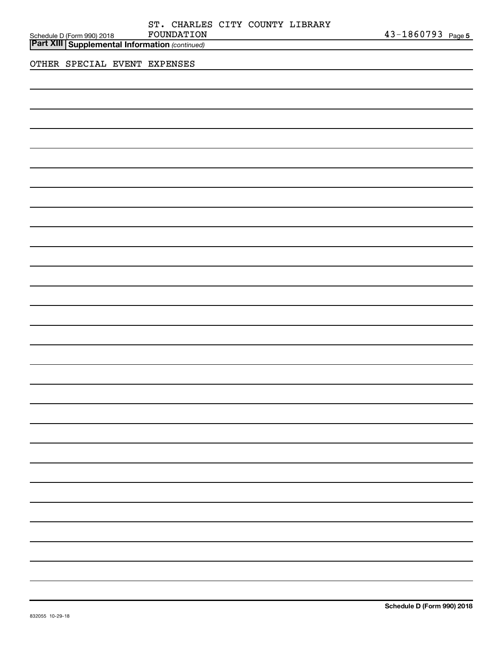| Schedule D (Form 990) 2018 FOUNDATION<br>  <b>Part XIII   Supplemental Information</b> (continued) |                              |  | ST. CHARLES CITY COUNTY LIBRARY<br>FOUNDATION |  |  | 43-1860793 Page 5 |  |
|----------------------------------------------------------------------------------------------------|------------------------------|--|-----------------------------------------------|--|--|-------------------|--|
|                                                                                                    | OTHER SPECIAL EVENT EXPENSES |  |                                               |  |  |                   |  |
|                                                                                                    |                              |  |                                               |  |  |                   |  |
|                                                                                                    |                              |  |                                               |  |  |                   |  |
|                                                                                                    |                              |  |                                               |  |  |                   |  |
|                                                                                                    |                              |  |                                               |  |  |                   |  |
|                                                                                                    |                              |  |                                               |  |  |                   |  |
|                                                                                                    |                              |  |                                               |  |  |                   |  |
|                                                                                                    |                              |  |                                               |  |  |                   |  |
|                                                                                                    |                              |  |                                               |  |  |                   |  |
|                                                                                                    |                              |  |                                               |  |  |                   |  |
|                                                                                                    |                              |  |                                               |  |  |                   |  |
|                                                                                                    |                              |  |                                               |  |  |                   |  |
|                                                                                                    |                              |  |                                               |  |  |                   |  |
|                                                                                                    |                              |  |                                               |  |  |                   |  |
|                                                                                                    |                              |  |                                               |  |  |                   |  |
|                                                                                                    |                              |  |                                               |  |  |                   |  |

 $\overline{\phantom{0}}$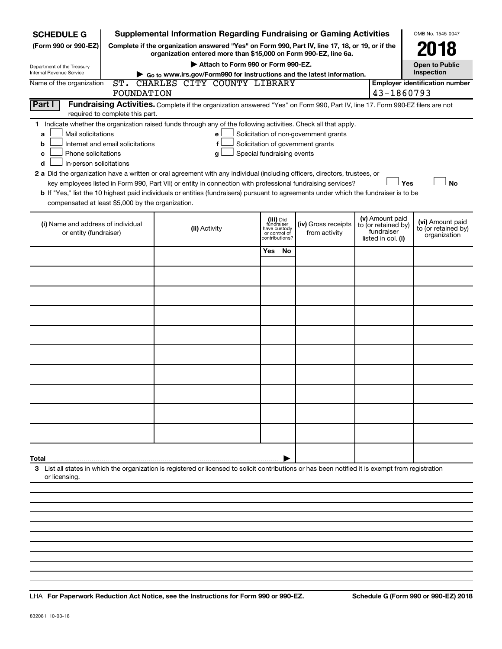| <b>SCHEDULE G</b>                                                                                                                             |                                  | <b>Supplemental Information Regarding Fundraising or Gaming Activities</b>                                                                                                                                                                                                                                                                                                                                                                                                                                                                         |                                                                            |     |                                                                            |                                                                            | OMB No. 1545-0047                                       |
|-----------------------------------------------------------------------------------------------------------------------------------------------|----------------------------------|----------------------------------------------------------------------------------------------------------------------------------------------------------------------------------------------------------------------------------------------------------------------------------------------------------------------------------------------------------------------------------------------------------------------------------------------------------------------------------------------------------------------------------------------------|----------------------------------------------------------------------------|-----|----------------------------------------------------------------------------|----------------------------------------------------------------------------|---------------------------------------------------------|
| (Form 990 or 990-EZ)                                                                                                                          |                                  | Complete if the organization answered "Yes" on Form 990, Part IV, line 17, 18, or 19, or if the<br>organization entered more than \$15,000 on Form 990-EZ, line 6a.                                                                                                                                                                                                                                                                                                                                                                                |                                                                            |     |                                                                            |                                                                            |                                                         |
| Department of the Treasury                                                                                                                    |                                  | Attach to Form 990 or Form 990-EZ.                                                                                                                                                                                                                                                                                                                                                                                                                                                                                                                 |                                                                            |     |                                                                            |                                                                            | <b>Open to Public</b>                                   |
| <b>Internal Revenue Service</b>                                                                                                               |                                  | Go to www.irs.gov/Form990 for instructions and the latest information.                                                                                                                                                                                                                                                                                                                                                                                                                                                                             |                                                                            |     |                                                                            |                                                                            | Inspection                                              |
| Name of the organization                                                                                                                      |                                  | ST. CHARLES CITY COUNTY LIBRARY                                                                                                                                                                                                                                                                                                                                                                                                                                                                                                                    |                                                                            |     |                                                                            |                                                                            | <b>Employer identification number</b>                   |
|                                                                                                                                               | FOUNDATION                       |                                                                                                                                                                                                                                                                                                                                                                                                                                                                                                                                                    |                                                                            |     |                                                                            | 43-1860793                                                                 |                                                         |
| Part I                                                                                                                                        | required to complete this part.  | Fundraising Activities. Complete if the organization answered "Yes" on Form 990, Part IV, line 17. Form 990-EZ filers are not                                                                                                                                                                                                                                                                                                                                                                                                                      |                                                                            |     |                                                                            |                                                                            |                                                         |
| Mail solicitations<br>a<br>b<br>Phone solicitations<br>с<br>In-person solicitations<br>d<br>compensated at least \$5,000 by the organization. | Internet and email solicitations | 1 Indicate whether the organization raised funds through any of the following activities. Check all that apply.<br>e<br>f<br>Special fundraising events<br>g<br>2 a Did the organization have a written or oral agreement with any individual (including officers, directors, trustees, or<br>key employees listed in Form 990, Part VII) or entity in connection with professional fundraising services?<br>b If "Yes," list the 10 highest paid individuals or entities (fundraisers) pursuant to agreements under which the fundraiser is to be |                                                                            |     | Solicitation of non-government grants<br>Solicitation of government grants |                                                                            | Yes<br><b>No</b>                                        |
| (i) Name and address of individual<br>or entity (fundraiser)                                                                                  |                                  | (ii) Activity                                                                                                                                                                                                                                                                                                                                                                                                                                                                                                                                      | (iii) Did<br>fundraiser<br>have custody<br>or control of<br>contributions? |     | (iv) Gross receipts<br>from activity                                       | (v) Amount paid<br>to (or retained by)<br>fundraiser<br>listed in col. (i) | (vi) Amount paid<br>to (or retained by)<br>organization |
|                                                                                                                                               |                                  |                                                                                                                                                                                                                                                                                                                                                                                                                                                                                                                                                    | <b>Yes</b>                                                                 | No. |                                                                            |                                                                            |                                                         |
|                                                                                                                                               |                                  |                                                                                                                                                                                                                                                                                                                                                                                                                                                                                                                                                    |                                                                            |     |                                                                            |                                                                            |                                                         |
|                                                                                                                                               |                                  |                                                                                                                                                                                                                                                                                                                                                                                                                                                                                                                                                    |                                                                            |     |                                                                            |                                                                            |                                                         |
|                                                                                                                                               |                                  |                                                                                                                                                                                                                                                                                                                                                                                                                                                                                                                                                    |                                                                            |     |                                                                            |                                                                            |                                                         |
|                                                                                                                                               |                                  |                                                                                                                                                                                                                                                                                                                                                                                                                                                                                                                                                    |                                                                            |     |                                                                            |                                                                            |                                                         |
|                                                                                                                                               |                                  |                                                                                                                                                                                                                                                                                                                                                                                                                                                                                                                                                    |                                                                            |     |                                                                            |                                                                            |                                                         |
|                                                                                                                                               |                                  |                                                                                                                                                                                                                                                                                                                                                                                                                                                                                                                                                    |                                                                            |     |                                                                            |                                                                            |                                                         |
|                                                                                                                                               |                                  |                                                                                                                                                                                                                                                                                                                                                                                                                                                                                                                                                    |                                                                            |     |                                                                            |                                                                            |                                                         |
|                                                                                                                                               |                                  |                                                                                                                                                                                                                                                                                                                                                                                                                                                                                                                                                    |                                                                            |     |                                                                            |                                                                            |                                                         |
|                                                                                                                                               |                                  |                                                                                                                                                                                                                                                                                                                                                                                                                                                                                                                                                    |                                                                            |     |                                                                            |                                                                            |                                                         |
| Total                                                                                                                                         |                                  |                                                                                                                                                                                                                                                                                                                                                                                                                                                                                                                                                    |                                                                            |     |                                                                            |                                                                            |                                                         |
| or licensing.                                                                                                                                 |                                  | 3 List all states in which the organization is registered or licensed to solicit contributions or has been notified it is exempt from registration                                                                                                                                                                                                                                                                                                                                                                                                 |                                                                            |     |                                                                            |                                                                            |                                                         |
|                                                                                                                                               |                                  |                                                                                                                                                                                                                                                                                                                                                                                                                                                                                                                                                    |                                                                            |     |                                                                            |                                                                            |                                                         |

**For Paperwork Reduction Act Notice, see the Instructions for Form 990 or 990-EZ. Schedule G (Form 990 or 990-EZ) 2018** LHA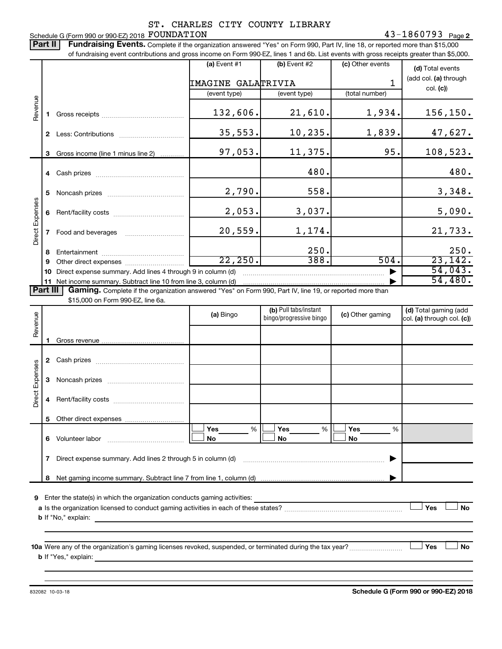#### Schedule G (Form 990 or 990-EZ) 2018  ${\rm \bf FOUNDATION} \hspace{2cm} 43-1860793$  Page ST. CHARLES CITY COUNTY LIBRARY

Part II | Fundraising Events. Complete if the organization answered "Yes" on Form 990, Part IV, line 18, or reported more than \$15,000 of fundraising event contributions and gross income on Form 990-EZ, lines 1 and 6b. List events with gross receipts greater than \$5,000. **(a)** Event  $#1$  **(b)** Event  $#2$ (c) Other events **(d)**  Total events (add col. (a) through IMAGINE GALATRIVIA 1 col. **(c)**) (event type) (event type) (total number) Revenue 132,606. 21,610. 1,934. 156,150. **1** Gross receipts ~~~~~~~~~~~~~~ 35,553. 10,235. 1,839. 47,627. **2** Less: Contributions ~~~~~~~~~~~ 97,053. 11,375. 95. 108,523. **3** Gross income (line 1 minus line 2) . . . . . . . . . . . . 480. 480. **4** Cash prizes ~~~~~~~~~~~~~~~  $2,790.$  558. 3,348. **5** Noncash prizes ~~~~~~~~~~~~~ Direct Expenses Direct Expenses  $2,053.$  3,037. 1 5,090. **6** Rent/facility costs ~~~~~~~~~~~~ 20,559. 1,174. 21,733. **7** Food and beverages **with the Strateger 7** 250. 250. **8** Entertainment ~~~~~~~~~~~~~~  $22,250.$  388. 504. 23,142. **9** Other direct expenses  $\ldots$  **............................** 54,043. **10** Direct expense summary. Add lines 4 through 9 in column (d) ~~~~~~~~~~~~~~~~~~~~~~~~ | 54,480.**11** Net income summary. Subtract line 10 from line 3, column (d) | Part III Gaming. Complete if the organization answered "Yes" on Form 990, Part IV, line 19, or reported more than \$15,000 on Form 990-EZ, line 6a. (b) Pull tabs/instant (d) Total gaming (add **(a)** Bingo hingo/programs/with  $\begin{bmatrix} 0 & 0 \\ 0 & 0 \end{bmatrix}$  **(c)** Other gaming Revenue bingo/progressive bingo col. (a) through col. (c)) **1** Gross revenue .. **2** Cash prizes ~~~~~~~~~~~~~~~ Direct Expenses Direct Expenses **3** Noncash prizes ~~~~~~~~~~~~~ **4** Rent/facility costs ~~~~~~~~~~~~ **5** Other direct expenses  $|\Box$  Yes  $\qquad \%$   $|\Box$  Yes  $\qquad \%$   $|\Box$ **Yes Yes Yes** % % %  $|\Box$  No  $|\Box$  No  $|\Box$ **6** Volunteer labor ~~~~~~~~~~~~~ **No No No 7** Direct expense summary. Add lines 2 through 5 in column (d) ~~~~~~~~~~~~~~~~~~~~~~~~ | **8** Net gaming income summary. Subtract line 7 from line 1, column (d) | **9** Enter the state(s) in which the organization conducts gaming activities:  $|$  Yes **Yes No a** Is the organization licensed to conduct gaming activities in each of these states? ~~~~~~~~~~~~~~~~~~~~ **b** If "No," explain: **10 a** Were any of the organization's gaming licenses revoked, suspended, or terminated during the tax year? ~~~~~~~~~ † † **Yes No b** If "Yes," explain:

**Schedule G (Form 990 or 990-EZ) 2018**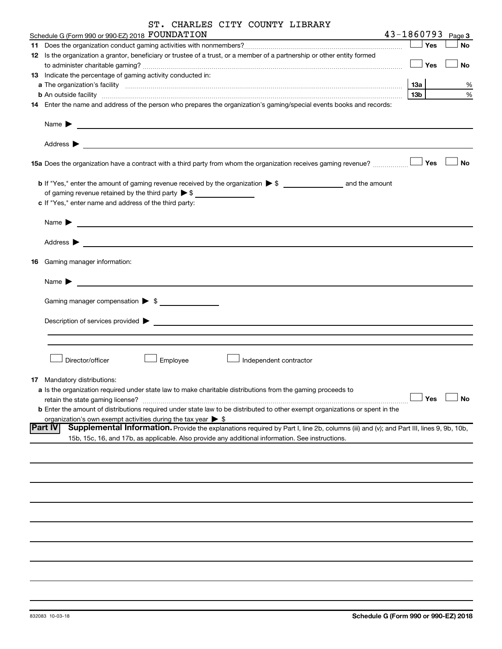| SI. CHARLES CITY COUNTY LIBRARY                                                                                                                                                                                                |                 |     |           |
|--------------------------------------------------------------------------------------------------------------------------------------------------------------------------------------------------------------------------------|-----------------|-----|-----------|
| 43-1860793<br>Schedule G (Form 990 or 990-EZ) 2018 FOUNDATION<br><u> 1980 - Jan Barnett, fransk politik (d. 1980)</u>                                                                                                          |                 |     | Page 3    |
|                                                                                                                                                                                                                                |                 | Yes | No        |
| 12 Is the organization a grantor, beneficiary or trustee of a trust, or a member of a partnership or other entity formed                                                                                                       |                 |     |           |
|                                                                                                                                                                                                                                |                 | Yes | <b>No</b> |
| 13 Indicate the percentage of gaming activity conducted in:                                                                                                                                                                    |                 |     |           |
| a The organization's facility (1,000) contraction and the contract of the contract of the contract of the contract of the contract of the contract of the contract of the contract of the contract of the contract of the cont | 13a             |     | %         |
| <b>b</b> An outside facility <i>www.communicality www.communicality.communicality www.communicality www.communicality.communicality www.communicality.com</i>                                                                  | 13 <sub>b</sub> |     | %         |
| 14 Enter the name and address of the person who prepares the organization's gaming/special events books and records:                                                                                                           |                 |     |           |
|                                                                                                                                                                                                                                |                 |     |           |
| Name $\blacktriangleright$<br><u>and the contract of the contract of the contract of the contract of the contract of the contract of</u>                                                                                       |                 |     |           |
| Address $\blacktriangleright$                                                                                                                                                                                                  |                 |     |           |
| <u> 1980 - Johann Stein, marwolaethau a bhann an t-Amhair ann an t-Amhair an t-Amhair an t-Amhair an t-Amhair an</u>                                                                                                           |                 |     |           |
| 15a Does the organization have a contract with a third party from whom the organization receives gaming revenue?                                                                                                               |                 | Yes | No        |
|                                                                                                                                                                                                                                |                 |     |           |
| of gaming revenue retained by the third party $\triangleright$ \$                                                                                                                                                              |                 |     |           |
| c If "Yes," enter name and address of the third party:                                                                                                                                                                         |                 |     |           |
|                                                                                                                                                                                                                                |                 |     |           |
| Name $\blacktriangleright$                                                                                                                                                                                                     |                 |     |           |
|                                                                                                                                                                                                                                |                 |     |           |
| Address $\blacktriangleright$<br><u> 1980 - Jan James James, margolar fizikar (h. 1980).</u>                                                                                                                                   |                 |     |           |
|                                                                                                                                                                                                                                |                 |     |           |
| <b>16</b> Gaming manager information:                                                                                                                                                                                          |                 |     |           |
|                                                                                                                                                                                                                                |                 |     |           |
| Name $\blacktriangleright$                                                                                                                                                                                                     |                 |     |           |
|                                                                                                                                                                                                                                |                 |     |           |
| Gaming manager compensation > \$                                                                                                                                                                                               |                 |     |           |
|                                                                                                                                                                                                                                |                 |     |           |
| Description of services provided >                                                                                                                                                                                             |                 |     |           |
|                                                                                                                                                                                                                                |                 |     |           |
|                                                                                                                                                                                                                                |                 |     |           |
|                                                                                                                                                                                                                                |                 |     |           |
| Director/officer<br>Employee<br>Independent contractor                                                                                                                                                                         |                 |     |           |
|                                                                                                                                                                                                                                |                 |     |           |
| <b>17</b> Mandatory distributions:                                                                                                                                                                                             |                 |     |           |
| a Is the organization required under state law to make charitable distributions from the gaming proceeds to                                                                                                                    |                 | Yes | No        |
| <b>b</b> Enter the amount of distributions required under state law to be distributed to other exempt organizations or spent in the                                                                                            |                 |     |           |
| organization's own exempt activities during the tax year $\triangleright$ \$                                                                                                                                                   |                 |     |           |
| <b>Part IV</b><br>Supplemental Information. Provide the explanations required by Part I, line 2b, columns (iii) and (v); and Part III, lines 9, 9b, 10b,                                                                       |                 |     |           |
| 15b, 15c, 16, and 17b, as applicable. Also provide any additional information. See instructions.                                                                                                                               |                 |     |           |
|                                                                                                                                                                                                                                |                 |     |           |
|                                                                                                                                                                                                                                |                 |     |           |
|                                                                                                                                                                                                                                |                 |     |           |
|                                                                                                                                                                                                                                |                 |     |           |
|                                                                                                                                                                                                                                |                 |     |           |
|                                                                                                                                                                                                                                |                 |     |           |
|                                                                                                                                                                                                                                |                 |     |           |
|                                                                                                                                                                                                                                |                 |     |           |
|                                                                                                                                                                                                                                |                 |     |           |
|                                                                                                                                                                                                                                |                 |     |           |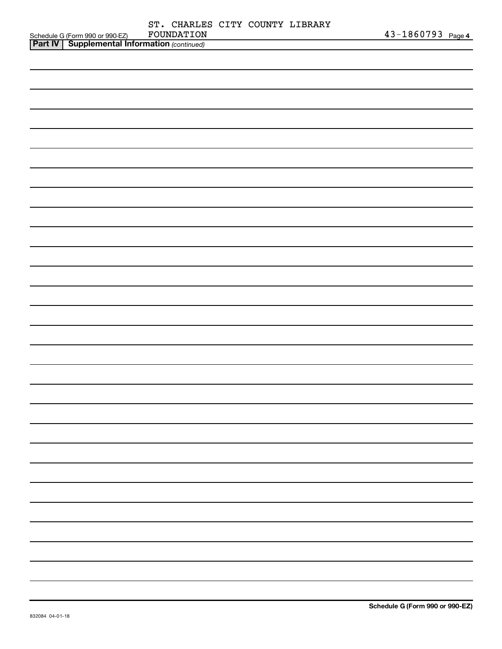|                                                                                                     | ST. CHARLES CITY COUNTY LIBRARY |  |                   |
|-----------------------------------------------------------------------------------------------------|---------------------------------|--|-------------------|
| Schedule G (Form 990 or 990-EZ) FOUNDATION<br><b>Part IV   Supplemental Information</b> (continued) | FOUNDATION                      |  | 43-1860793 Page 4 |
|                                                                                                     |                                 |  |                   |
|                                                                                                     |                                 |  |                   |
|                                                                                                     |                                 |  |                   |
|                                                                                                     |                                 |  |                   |
|                                                                                                     |                                 |  |                   |
|                                                                                                     |                                 |  |                   |
|                                                                                                     |                                 |  |                   |
|                                                                                                     |                                 |  |                   |
|                                                                                                     |                                 |  |                   |
|                                                                                                     |                                 |  |                   |
|                                                                                                     |                                 |  |                   |
|                                                                                                     |                                 |  |                   |
|                                                                                                     |                                 |  |                   |
|                                                                                                     |                                 |  |                   |
|                                                                                                     |                                 |  |                   |
|                                                                                                     |                                 |  |                   |
|                                                                                                     |                                 |  |                   |
|                                                                                                     |                                 |  |                   |
|                                                                                                     |                                 |  |                   |
|                                                                                                     |                                 |  |                   |
|                                                                                                     |                                 |  |                   |
|                                                                                                     |                                 |  |                   |
|                                                                                                     |                                 |  |                   |
|                                                                                                     |                                 |  |                   |
|                                                                                                     |                                 |  |                   |
|                                                                                                     |                                 |  |                   |
|                                                                                                     |                                 |  |                   |
|                                                                                                     |                                 |  |                   |
|                                                                                                     |                                 |  |                   |
|                                                                                                     |                                 |  |                   |
|                                                                                                     |                                 |  |                   |
|                                                                                                     |                                 |  |                   |
|                                                                                                     |                                 |  |                   |
|                                                                                                     |                                 |  |                   |
|                                                                                                     |                                 |  |                   |
|                                                                                                     |                                 |  |                   |
|                                                                                                     |                                 |  |                   |
|                                                                                                     |                                 |  |                   |
|                                                                                                     |                                 |  |                   |
|                                                                                                     |                                 |  |                   |
|                                                                                                     |                                 |  |                   |
|                                                                                                     |                                 |  |                   |
|                                                                                                     |                                 |  |                   |
|                                                                                                     |                                 |  |                   |
|                                                                                                     |                                 |  |                   |
|                                                                                                     |                                 |  |                   |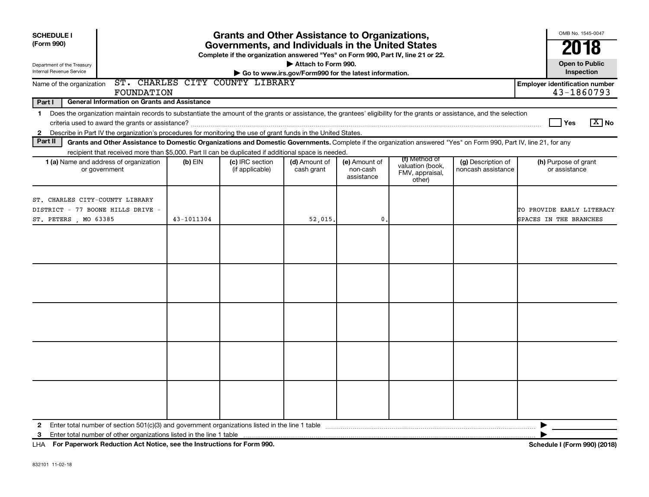| <b>SCHEDULE I</b><br>(Form 990)<br>Department of the Treasury<br>Internal Revenue Service    |                                                                                                                                                                                                                                                                                                                                                    |            | <b>Grants and Other Assistance to Organizations,</b><br>Governments, and Individuals in the United States<br>Complete if the organization answered "Yes" on Form 990, Part IV, line 21 or 22. | Attach to Form 990.<br>Go to www.irs.gov/Form990 for the latest information. |                                         |                                                                |                                          | OMB No. 1545-0047<br>2018<br><b>Open to Public</b><br>Inspection |
|----------------------------------------------------------------------------------------------|----------------------------------------------------------------------------------------------------------------------------------------------------------------------------------------------------------------------------------------------------------------------------------------------------------------------------------------------------|------------|-----------------------------------------------------------------------------------------------------------------------------------------------------------------------------------------------|------------------------------------------------------------------------------|-----------------------------------------|----------------------------------------------------------------|------------------------------------------|------------------------------------------------------------------|
| Name of the organization                                                                     | FOUNDATION                                                                                                                                                                                                                                                                                                                                         |            | ST. CHARLES CITY COUNTY LIBRARY                                                                                                                                                               |                                                                              |                                         |                                                                |                                          | <b>Employer identification number</b><br>43-1860793              |
| Part I<br>$\mathbf{2}$                                                                       | <b>General Information on Grants and Assistance</b><br>1 Does the organization maintain records to substantiate the amount of the grants or assistance, the grantees' eligibility for the grants or assistance, and the selection<br>Describe in Part IV the organization's procedures for monitoring the use of grant funds in the United States. |            |                                                                                                                                                                                               |                                                                              |                                         |                                                                |                                          | $\boxed{\text{X}}$ No<br><b>Yes</b>                              |
| Part II                                                                                      | Grants and Other Assistance to Domestic Organizations and Domestic Governments. Complete if the organization answered "Yes" on Form 990, Part IV, line 21, for any                                                                                                                                                                                 |            |                                                                                                                                                                                               |                                                                              |                                         |                                                                |                                          |                                                                  |
|                                                                                              | recipient that received more than \$5,000. Part II can be duplicated if additional space is needed.<br>1 (a) Name and address of organization<br>or government                                                                                                                                                                                     | $(b)$ EIN  | (c) IRC section<br>(if applicable)                                                                                                                                                            | (d) Amount of<br>cash grant                                                  | (e) Amount of<br>non-cash<br>assistance | (f) Method of<br>valuation (book,<br>FMV, appraisal,<br>other) | (g) Description of<br>noncash assistance | (h) Purpose of grant<br>or assistance                            |
| ST. CHARLES CITY-COUNTY LIBRARY<br>DISTRICT - 77 BOONE HILLS DRIVE -<br>ST. PETERS, MO 63385 |                                                                                                                                                                                                                                                                                                                                                    | 43-1011304 |                                                                                                                                                                                               | 52,015.                                                                      | 0.                                      |                                                                |                                          | TO PROVIDE EARLY LITERACY<br>SPACES IN THE BRANCHES              |
|                                                                                              |                                                                                                                                                                                                                                                                                                                                                    |            |                                                                                                                                                                                               |                                                                              |                                         |                                                                |                                          |                                                                  |
|                                                                                              |                                                                                                                                                                                                                                                                                                                                                    |            |                                                                                                                                                                                               |                                                                              |                                         |                                                                |                                          |                                                                  |
|                                                                                              |                                                                                                                                                                                                                                                                                                                                                    |            |                                                                                                                                                                                               |                                                                              |                                         |                                                                |                                          |                                                                  |
|                                                                                              |                                                                                                                                                                                                                                                                                                                                                    |            |                                                                                                                                                                                               |                                                                              |                                         |                                                                |                                          |                                                                  |
|                                                                                              |                                                                                                                                                                                                                                                                                                                                                    |            |                                                                                                                                                                                               |                                                                              |                                         |                                                                |                                          |                                                                  |
| $\mathbf{2}$<br>3                                                                            |                                                                                                                                                                                                                                                                                                                                                    |            |                                                                                                                                                                                               |                                                                              |                                         |                                                                |                                          | ▶                                                                |

**For Paperwork Reduction Act Notice, see the Instructions for Form 990. Schedule I (Form 990) (2018)** LHA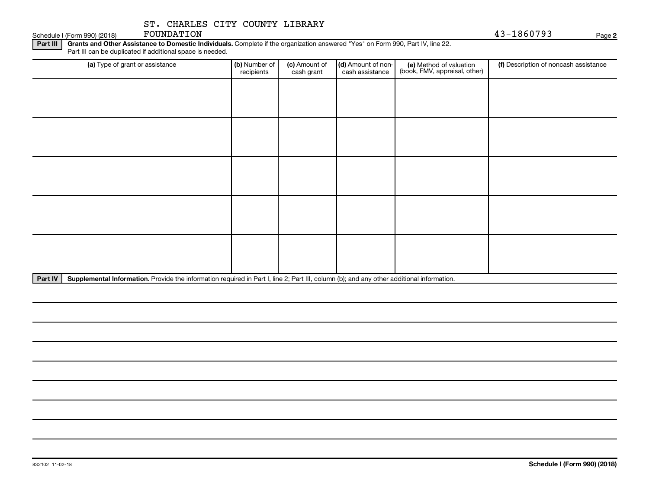Schedule I (Form 990) (2018) FOUNDATION

FOUNDATION 43-1860793

**2**

Part III | Grants and Other Assistance to Domestic Individuals. Complete if the organization answered "Yes" on Form 990, Part IV, line 22. Part III can be duplicated if additional space is needed.

| (a) Type of grant or assistance | (b) Number of<br>recipients | (c) Amount of<br>cash grant | (d) Amount of non-<br>cash assistance | (e) Method of valuation<br>(book, FMV, appraisal, other) | (f) Description of noncash assistance |
|---------------------------------|-----------------------------|-----------------------------|---------------------------------------|----------------------------------------------------------|---------------------------------------|
|                                 |                             |                             |                                       |                                                          |                                       |
|                                 |                             |                             |                                       |                                                          |                                       |
|                                 |                             |                             |                                       |                                                          |                                       |
|                                 |                             |                             |                                       |                                                          |                                       |
|                                 |                             |                             |                                       |                                                          |                                       |
|                                 |                             |                             |                                       |                                                          |                                       |
|                                 |                             |                             |                                       |                                                          |                                       |
|                                 |                             |                             |                                       |                                                          |                                       |
|                                 |                             |                             |                                       |                                                          |                                       |
|                                 |                             |                             |                                       |                                                          |                                       |

Part IV | Supplemental Information. Provide the information required in Part I, line 2; Part III, column (b); and any other additional information.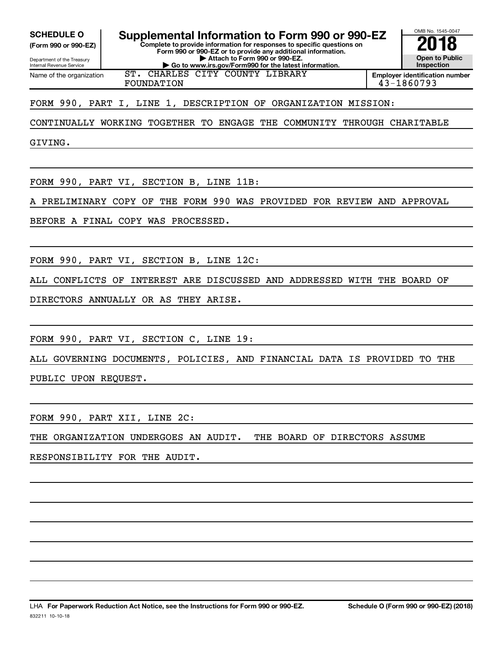**(Form 990 or 990-EZ)**

Department of the Treasury Internal Revenue Service Name of the organization

**Complete to provide information for responses to specific questions on Form 990 or 990-EZ or to provide any additional information.** SCHEDULE O **Supplemental Information to Form 990 or 990-EZ 2018**<br>(Form 990 or 990-EZ) **2018** 

**| Attach to Form 990 or 990-EZ.**

**| Go to www.irs.gov/Form990 for the latest information.** ST. CHARLES CITY COUNTY LIBRARY

FOUNDATION 43-1860793

FORM 990, PART I, LINE 1, DESCRIPTION OF ORGANIZATION MISSION:

CONTINUALLY WORKING TOGETHER TO ENGAGE THE COMMUNITY THROUGH CHARITABLE

GIVING.

FORM 990, PART VI, SECTION B, LINE 11B:

A PRELIMINARY COPY OF THE FORM 990 WAS PROVIDED FOR REVIEW AND APPROVAL

BEFORE A FINAL COPY WAS PROCESSED.

FORM 990, PART VI, SECTION B, LINE 12C:

ALL CONFLICTS OF INTEREST ARE DISCUSSED AND ADDRESSED WITH THE BOARD OF

DIRECTORS ANNUALLY OR AS THEY ARISE.

FORM 990, PART VI, SECTION C, LINE 19:

ALL GOVERNING DOCUMENTS, POLICIES, AND FINANCIAL DATA IS PROVIDED TO THE

PUBLIC UPON REQUEST.

FORM 990, PART XII, LINE 2C:

THE ORGANIZATION UNDERGOES AN AUDIT. THE BOARD OF DIRECTORS ASSUME

RESPONSIBILITY FOR THE AUDIT.

OMB No. 1545-0047

**Open to Public Inspection Employer identification number**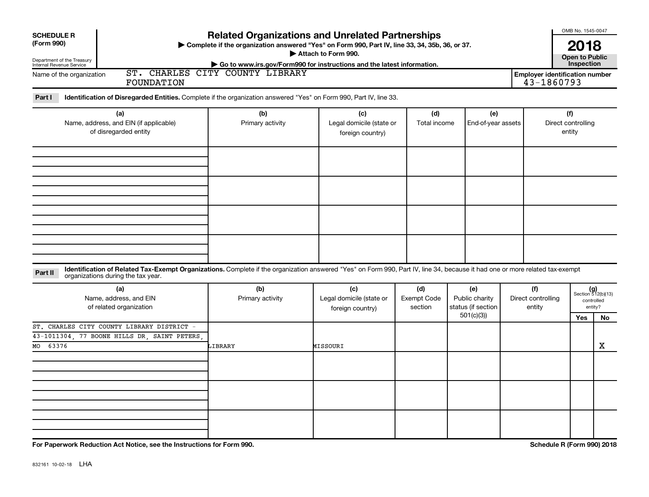| <b>SCHEDULE R</b><br>(Form 990)<br>Department of the Treasury<br>Internal Revenue Service                                                                                                                                     |                                 | <b>Related Organizations and Unrelated Partnerships</b><br>> Complete if the organization answered "Yes" on Form 990, Part IV, line 33, 34, 35b, 36, or 37.<br>Attach to Form 990.<br>Go to www.irs.gov/Form990 for instructions and the latest information. |                                      |                                                          |                                     |                                                     |                                                      |  |  |
|-------------------------------------------------------------------------------------------------------------------------------------------------------------------------------------------------------------------------------|---------------------------------|--------------------------------------------------------------------------------------------------------------------------------------------------------------------------------------------------------------------------------------------------------------|--------------------------------------|----------------------------------------------------------|-------------------------------------|-----------------------------------------------------|------------------------------------------------------|--|--|
| Name of the organization<br>FOUNDATION                                                                                                                                                                                        | ST. CHARLES CITY COUNTY LIBRARY |                                                                                                                                                                                                                                                              |                                      |                                                          |                                     | <b>Employer identification number</b><br>43-1860793 |                                                      |  |  |
| Part I<br>Identification of Disregarded Entities. Complete if the organization answered "Yes" on Form 990, Part IV, line 33.                                                                                                  |                                 |                                                                                                                                                                                                                                                              |                                      |                                                          |                                     |                                                     |                                                      |  |  |
| (a)<br>Name, address, and EIN (if applicable)<br>of disregarded entity                                                                                                                                                        | (b)<br>Primary activity         | (c)<br>Legal domicile (state or<br>foreign country)                                                                                                                                                                                                          | (d)<br>Total income                  | (e)<br>End-of-year assets                                |                                     | (f)<br>Direct controlling<br>entity                 |                                                      |  |  |
|                                                                                                                                                                                                                               |                                 |                                                                                                                                                                                                                                                              |                                      |                                                          |                                     |                                                     |                                                      |  |  |
|                                                                                                                                                                                                                               |                                 |                                                                                                                                                                                                                                                              |                                      |                                                          |                                     |                                                     |                                                      |  |  |
| Identification of Related Tax-Exempt Organizations. Complete if the organization answered "Yes" on Form 990, Part IV, line 34, because it had one or more related tax-exempt<br>Part II<br>organizations during the tax year. |                                 |                                                                                                                                                                                                                                                              |                                      |                                                          |                                     |                                                     |                                                      |  |  |
| (a)<br>Name, address, and EIN<br>of related organization                                                                                                                                                                      | (b)<br>Primary activity         | (c)<br>Legal domicile (state or<br>foreign country)                                                                                                                                                                                                          | (d)<br><b>Exempt Code</b><br>section | (e)<br>Public charity<br>status (if section<br>501(c)(3) | (f)<br>Direct controlling<br>entity |                                                     | $(g)$<br>Section 512(b)(13)<br>controlled<br>entity? |  |  |
| ST. CHARLES CITY COUNTY LIBRARY DISTRICT -<br>43-1011304, 77 BOONE HILLS DR, SAINT PETERS<br>63376<br>MO                                                                                                                      | LIBRARY                         | MISSOURI                                                                                                                                                                                                                                                     |                                      |                                                          |                                     | Yes                                                 | No<br>х                                              |  |  |
|                                                                                                                                                                                                                               |                                 |                                                                                                                                                                                                                                                              |                                      |                                                          |                                     |                                                     |                                                      |  |  |
|                                                                                                                                                                                                                               |                                 |                                                                                                                                                                                                                                                              |                                      |                                                          |                                     |                                                     |                                                      |  |  |
| For Paperwork Reduction Act Notice, see the Instructions for Form 990.                                                                                                                                                        |                                 |                                                                                                                                                                                                                                                              |                                      |                                                          |                                     | Schedule R (Form 990) 2018                          |                                                      |  |  |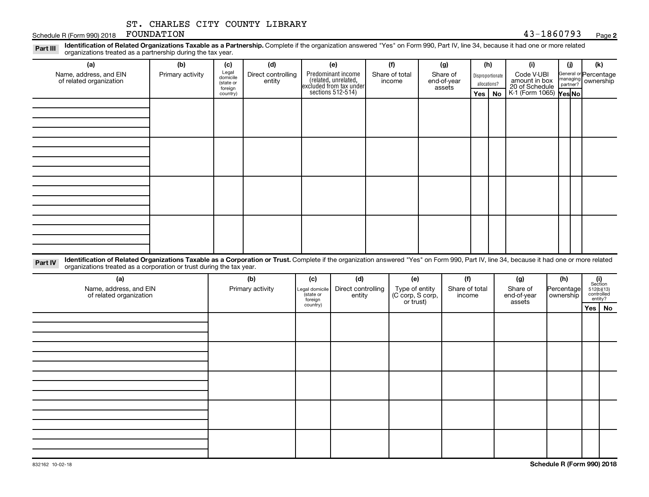#### **2**

| Schedule R (Form 990) 2018                                                                                                                                                                                                                                 | ST. CHARLES CITY COUNTY LIBRARY<br>FOUNDATION |                                                  |                                     |                                                                              |                                 |                                          |                                         |          | 43-1860793                                           |                             | Page 2                                    |  |
|------------------------------------------------------------------------------------------------------------------------------------------------------------------------------------------------------------------------------------------------------------|-----------------------------------------------|--------------------------------------------------|-------------------------------------|------------------------------------------------------------------------------|---------------------------------|------------------------------------------|-----------------------------------------|----------|------------------------------------------------------|-----------------------------|-------------------------------------------|--|
| Identification of Related Organizations Taxable as a Partnership. Complete if the organization answered "Yes" on Form 990, Part IV, line 34, because it had one or more related<br>Part III<br>organizations treated as a partnership during the tax year. |                                               |                                                  |                                     |                                                                              |                                 |                                          |                                         |          |                                                      |                             |                                           |  |
| (a)<br>Name, address, and EIN<br>of related organization                                                                                                                                                                                                   | (b)<br>Primary activity                       | (c)<br>Legal<br>domicile<br>(state or<br>foreign | (d)<br>Direct controlling<br>entity | (e)<br>Predominant income<br>(related, unrelated,<br>excluded from tax under | (f)<br>Share of total<br>income | (g)<br>Share of<br>end-of-year<br>assets | (h)<br>Disproportionate<br>allocations? |          | (i)<br>Code V-UBI<br>amount in box<br>20 of Schedule | (j)<br>managing<br>partner? | (k)<br>General or Percentage<br>ownership |  |
|                                                                                                                                                                                                                                                            |                                               | country)                                         |                                     | sections 512-514)                                                            |                                 |                                          |                                         | Yes   No | K-1 (Form 1065) Yes No                               |                             |                                           |  |
|                                                                                                                                                                                                                                                            |                                               |                                                  |                                     |                                                                              |                                 |                                          |                                         |          |                                                      |                             |                                           |  |
|                                                                                                                                                                                                                                                            |                                               |                                                  |                                     |                                                                              |                                 |                                          |                                         |          |                                                      |                             |                                           |  |
|                                                                                                                                                                                                                                                            |                                               |                                                  |                                     |                                                                              |                                 |                                          |                                         |          |                                                      |                             |                                           |  |

Part IV Identification of Related Organizations Taxable as a Corporation or Trust. Complete if the organization answered "Yes" on Form 990, Part IV, line 34, because it had one or more related organizations treated as a corporation or trust during the tax year.

| (a)<br>Name, address, and EIN<br>of related organization | (b)<br>Primary activity | (c)<br>Legal domicile<br>(state or<br>foreign | (d)<br>Direct controlling<br>entity | (e)<br>Type of entity<br>(C corp, S corp,<br>or trust) | (f)<br>Share of total<br>income | (g)<br>Share of<br>end-of-year<br>assets | (h)<br>Percentage<br>ownership | $\begin{array}{c} \textbf{(i)}\\ \text{Section}\\ 5\,12 \text{(b)} \text{(13)}\\ \text{controlled} \\ \text{entity?} \end{array}$ |
|----------------------------------------------------------|-------------------------|-----------------------------------------------|-------------------------------------|--------------------------------------------------------|---------------------------------|------------------------------------------|--------------------------------|-----------------------------------------------------------------------------------------------------------------------------------|
|                                                          |                         | country)                                      |                                     |                                                        |                                 |                                          |                                | Yes   No                                                                                                                          |
|                                                          |                         |                                               |                                     |                                                        |                                 |                                          |                                |                                                                                                                                   |
|                                                          |                         |                                               |                                     |                                                        |                                 |                                          |                                |                                                                                                                                   |
|                                                          |                         |                                               |                                     |                                                        |                                 |                                          |                                |                                                                                                                                   |
|                                                          |                         |                                               |                                     |                                                        |                                 |                                          |                                |                                                                                                                                   |
|                                                          |                         |                                               |                                     |                                                        |                                 |                                          |                                |                                                                                                                                   |
|                                                          |                         |                                               |                                     |                                                        |                                 |                                          |                                |                                                                                                                                   |
|                                                          |                         |                                               |                                     |                                                        |                                 |                                          |                                |                                                                                                                                   |
|                                                          |                         |                                               |                                     |                                                        |                                 |                                          |                                |                                                                                                                                   |
|                                                          |                         |                                               |                                     |                                                        |                                 |                                          |                                |                                                                                                                                   |
|                                                          |                         |                                               |                                     |                                                        |                                 |                                          |                                |                                                                                                                                   |
|                                                          |                         |                                               |                                     |                                                        |                                 |                                          |                                |                                                                                                                                   |
|                                                          |                         |                                               |                                     |                                                        |                                 |                                          |                                |                                                                                                                                   |
|                                                          |                         |                                               |                                     |                                                        |                                 |                                          |                                |                                                                                                                                   |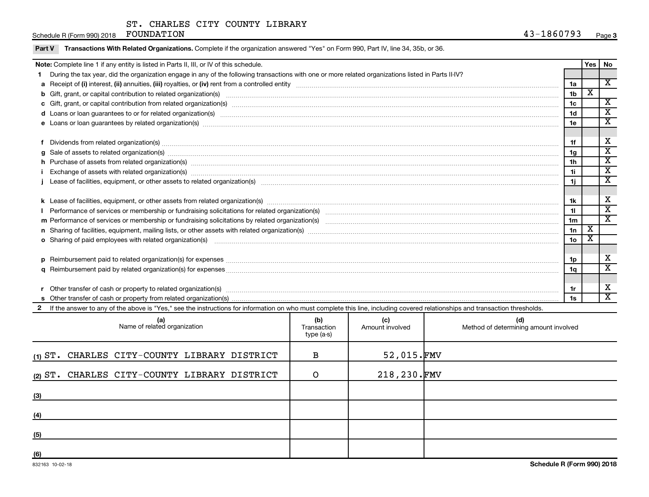Schedule R (Form 990) 2018 FOUNDATION

| Part V | Transactions With Related Organizations. Complete if the organization answered "Yes" on Form 990, Part IV, line 34, 35b, or 36.                                                                                                |                 |                         |                         |  |  |  |  |
|--------|--------------------------------------------------------------------------------------------------------------------------------------------------------------------------------------------------------------------------------|-----------------|-------------------------|-------------------------|--|--|--|--|
|        | Note: Complete line 1 if any entity is listed in Parts II, III, or IV of this schedule.                                                                                                                                        |                 |                         |                         |  |  |  |  |
|        | During the tax year, did the organization engage in any of the following transactions with one or more related organizations listed in Parts II-IV?                                                                            |                 |                         |                         |  |  |  |  |
|        |                                                                                                                                                                                                                                | 1a              |                         | X                       |  |  |  |  |
|        | b Gift, grant, or capital contribution to related organization(s) manufaction contains and content and contribution to related organization(s) manufaction content and contribution to related organization(s) manufaction con | 1 <sub>b</sub>  | $\overline{\textbf{x}}$ |                         |  |  |  |  |
|        |                                                                                                                                                                                                                                | 1 <sub>c</sub>  |                         | $\overline{\mathbf{X}}$ |  |  |  |  |
|        |                                                                                                                                                                                                                                | 1 <sub>d</sub>  |                         | $\mathbf{x}$            |  |  |  |  |
|        | e Loans or loan guarantees by related organization(s) manufaction contraction contraction contraction contraction contraction contraction contraction contraction contraction contraction control of the contraction control o | 1e              |                         | $\overline{\mathbf{x}}$ |  |  |  |  |
|        |                                                                                                                                                                                                                                |                 |                         |                         |  |  |  |  |
|        | f Dividends from related organization(s) manufactured contains and contained and contained contained and contained and contained and contained and contained and contained and contained and contained and contained and conta | 1f              |                         | X                       |  |  |  |  |
|        | $g$ Sale of assets to related organization(s) material content content content to the content of the content of the content of the content of the content of the content of the content of the content of the content of the   | 1g              |                         | $\overline{\mathbf{x}}$ |  |  |  |  |
|        | h Purchase of assets from related organization(s) www.assettion.com/www.assettion.com/www.assettion.com/www.assettion.com/www.assettion.com/www.assettion.com/www.assettion.com/www.assettion.com/www.assettion.com/www.assett | 1 <sub>h</sub>  |                         | $\mathbf{x}$            |  |  |  |  |
|        | Exchange of assets with related organization(s) www.wallen.com/www.wallen.com/www.wallen.com/www.wallen.com/www.wallen.com/www.wallen.com/www.wallen.com/www.wallen.com/www.wallen.com/www.wallen.com/www.wallen.com/www.walle | 11              |                         | $\overline{\mathbf{x}}$ |  |  |  |  |
|        |                                                                                                                                                                                                                                | 1j              |                         | X                       |  |  |  |  |
|        |                                                                                                                                                                                                                                |                 |                         |                         |  |  |  |  |
|        |                                                                                                                                                                                                                                | 1k              |                         | X                       |  |  |  |  |
|        |                                                                                                                                                                                                                                | 11              |                         | $\overline{\mathbf{x}}$ |  |  |  |  |
|        |                                                                                                                                                                                                                                | 1 <sub>m</sub>  |                         | $\overline{\mathbf{x}}$ |  |  |  |  |
|        |                                                                                                                                                                                                                                | 1n              | $\overline{\mathbf{x}}$ |                         |  |  |  |  |
|        | o Sharing of paid employees with related organization(s) manufactured content to the state of paid employees with related organization(s) manufactured content and the state of the state of the state of the state of the sta | 10 <sub>o</sub> | X                       |                         |  |  |  |  |
|        |                                                                                                                                                                                                                                |                 |                         |                         |  |  |  |  |
|        |                                                                                                                                                                                                                                | 1p              |                         | x                       |  |  |  |  |
|        |                                                                                                                                                                                                                                | 1q              |                         | $\overline{\mathbf{x}}$ |  |  |  |  |
|        |                                                                                                                                                                                                                                |                 |                         |                         |  |  |  |  |
|        |                                                                                                                                                                                                                                | 1r              |                         | x                       |  |  |  |  |
|        |                                                                                                                                                                                                                                | 1s              |                         | $\overline{\mathbf{x}}$ |  |  |  |  |
|        | 2 If the answer to any of the above is "Yes," see the instructions for information on who must complete this line, including covered relationships and transaction thresholds.                                                 |                 |                         |                         |  |  |  |  |

| (a)<br>Name of related organization          | (b)<br>Transaction<br>type (a-s) | (c)<br>Amount involved | (d)<br>Method of determining amount involved |
|----------------------------------------------|----------------------------------|------------------------|----------------------------------------------|
| (1) ST. CHARLES CITY-COUNTY LIBRARY DISTRICT | В                                | $52,015.$ FMV          |                                              |
| (2) ST. CHARLES CITY-COUNTY LIBRARY DISTRICT | O                                | 218,230.FMV            |                                              |
| (3)                                          |                                  |                        |                                              |
| (4)                                          |                                  |                        |                                              |
| (5)                                          |                                  |                        |                                              |
| (6)                                          |                                  |                        |                                              |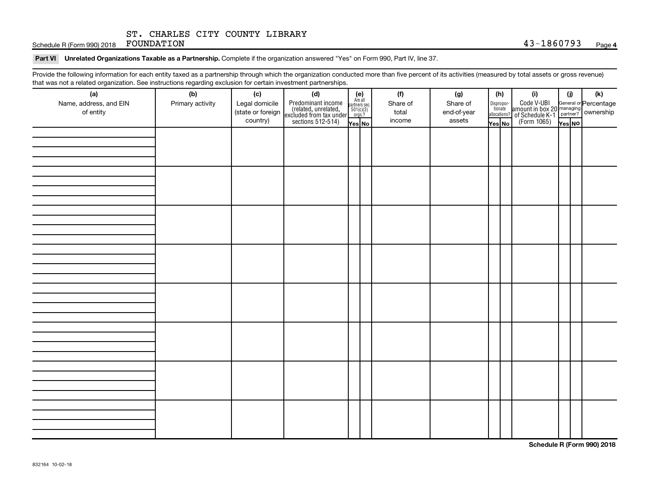Schedule R (Form 990) 2018 FOUNDATION  $43-1860793$  Page

#### Part VI Unrelated Organizations Taxable as a Partnership. Complete if the organization answered "Yes" on Form 990, Part IV, line 37.

Provide the following information for each entity taxed as a partnership through which the organization conducted more than five percent of its activities (measured by total assets or gross revenue) that was not a related organization. See instructions regarding exclusion for certain investment partnerships.

| that was not a related organization. Occ instructions regarding excitation for certain investment partnerships.<br>(a) | (b)              | (c)               |                                                                                                                                                                                                                           |  | (f)      | (g)         |        | (h)                                                                                                   | (i)                                                                   | (i)    | (k)                                                     |
|------------------------------------------------------------------------------------------------------------------------|------------------|-------------------|---------------------------------------------------------------------------------------------------------------------------------------------------------------------------------------------------------------------------|--|----------|-------------|--------|-------------------------------------------------------------------------------------------------------|-----------------------------------------------------------------------|--------|---------------------------------------------------------|
| Name, address, and EIN                                                                                                 | Primary activity | Legal domicile    | (d)<br>Predominant income<br>(related, unrelated,<br>excluded from tax under<br>sections 512-514)<br>$\begin{array}{r} \n\text{Re all} \\ \text{are also} \\ \text{excillated} \\ \text{sections: } 512-514\n\end{array}$ |  | Share of | Share of    |        |                                                                                                       |                                                                       |        |                                                         |
| of entity                                                                                                              |                  | (state or foreign |                                                                                                                                                                                                                           |  | total    | end-of-year |        | $\begin{tabular}{c} Dispropor- \quad \quad \text{tionate} \\ \quad \text{allocations?} \end{tabular}$ | Code V-UBI<br>amount in box 20<br>?<br>of Schedule K-1<br>(Form 1065) |        | General or Percentage<br>managing<br>partner? Ownership |
|                                                                                                                        |                  | country)          |                                                                                                                                                                                                                           |  | income   | assets      | Yes No |                                                                                                       |                                                                       | Yes NO |                                                         |
|                                                                                                                        |                  |                   |                                                                                                                                                                                                                           |  |          |             |        |                                                                                                       |                                                                       |        |                                                         |
|                                                                                                                        |                  |                   |                                                                                                                                                                                                                           |  |          |             |        |                                                                                                       |                                                                       |        |                                                         |
|                                                                                                                        |                  |                   |                                                                                                                                                                                                                           |  |          |             |        |                                                                                                       |                                                                       |        |                                                         |
|                                                                                                                        |                  |                   |                                                                                                                                                                                                                           |  |          |             |        |                                                                                                       |                                                                       |        |                                                         |
|                                                                                                                        |                  |                   |                                                                                                                                                                                                                           |  |          |             |        |                                                                                                       |                                                                       |        |                                                         |
|                                                                                                                        |                  |                   |                                                                                                                                                                                                                           |  |          |             |        |                                                                                                       |                                                                       |        |                                                         |
|                                                                                                                        |                  |                   |                                                                                                                                                                                                                           |  |          |             |        |                                                                                                       |                                                                       |        |                                                         |
|                                                                                                                        |                  |                   |                                                                                                                                                                                                                           |  |          |             |        |                                                                                                       |                                                                       |        |                                                         |
|                                                                                                                        |                  |                   |                                                                                                                                                                                                                           |  |          |             |        |                                                                                                       |                                                                       |        |                                                         |
|                                                                                                                        |                  |                   |                                                                                                                                                                                                                           |  |          |             |        |                                                                                                       |                                                                       |        |                                                         |
|                                                                                                                        |                  |                   |                                                                                                                                                                                                                           |  |          |             |        |                                                                                                       |                                                                       |        |                                                         |
|                                                                                                                        |                  |                   |                                                                                                                                                                                                                           |  |          |             |        |                                                                                                       |                                                                       |        |                                                         |
|                                                                                                                        |                  |                   |                                                                                                                                                                                                                           |  |          |             |        |                                                                                                       |                                                                       |        |                                                         |
|                                                                                                                        |                  |                   |                                                                                                                                                                                                                           |  |          |             |        |                                                                                                       |                                                                       |        |                                                         |
|                                                                                                                        |                  |                   |                                                                                                                                                                                                                           |  |          |             |        |                                                                                                       |                                                                       |        |                                                         |
|                                                                                                                        |                  |                   |                                                                                                                                                                                                                           |  |          |             |        |                                                                                                       |                                                                       |        |                                                         |
|                                                                                                                        |                  |                   |                                                                                                                                                                                                                           |  |          |             |        |                                                                                                       |                                                                       |        |                                                         |
|                                                                                                                        |                  |                   |                                                                                                                                                                                                                           |  |          |             |        |                                                                                                       |                                                                       |        |                                                         |
|                                                                                                                        |                  |                   |                                                                                                                                                                                                                           |  |          |             |        |                                                                                                       |                                                                       |        |                                                         |
|                                                                                                                        |                  |                   |                                                                                                                                                                                                                           |  |          |             |        |                                                                                                       |                                                                       |        |                                                         |
|                                                                                                                        |                  |                   |                                                                                                                                                                                                                           |  |          |             |        |                                                                                                       |                                                                       |        |                                                         |
|                                                                                                                        |                  |                   |                                                                                                                                                                                                                           |  |          |             |        |                                                                                                       |                                                                       |        |                                                         |
|                                                                                                                        |                  |                   |                                                                                                                                                                                                                           |  |          |             |        |                                                                                                       |                                                                       |        |                                                         |
|                                                                                                                        |                  |                   |                                                                                                                                                                                                                           |  |          |             |        |                                                                                                       |                                                                       |        |                                                         |
|                                                                                                                        |                  |                   |                                                                                                                                                                                                                           |  |          |             |        |                                                                                                       |                                                                       |        |                                                         |
|                                                                                                                        |                  |                   |                                                                                                                                                                                                                           |  |          |             |        |                                                                                                       |                                                                       |        |                                                         |
|                                                                                                                        |                  |                   |                                                                                                                                                                                                                           |  |          |             |        |                                                                                                       |                                                                       |        |                                                         |
|                                                                                                                        |                  |                   |                                                                                                                                                                                                                           |  |          |             |        |                                                                                                       |                                                                       |        |                                                         |
|                                                                                                                        |                  |                   |                                                                                                                                                                                                                           |  |          |             |        |                                                                                                       |                                                                       |        |                                                         |
|                                                                                                                        |                  |                   |                                                                                                                                                                                                                           |  |          |             |        |                                                                                                       |                                                                       |        |                                                         |
|                                                                                                                        |                  |                   |                                                                                                                                                                                                                           |  |          |             |        |                                                                                                       |                                                                       |        |                                                         |
|                                                                                                                        |                  |                   |                                                                                                                                                                                                                           |  |          |             |        |                                                                                                       |                                                                       |        |                                                         |

**Schedule R (Form 990) 2018**